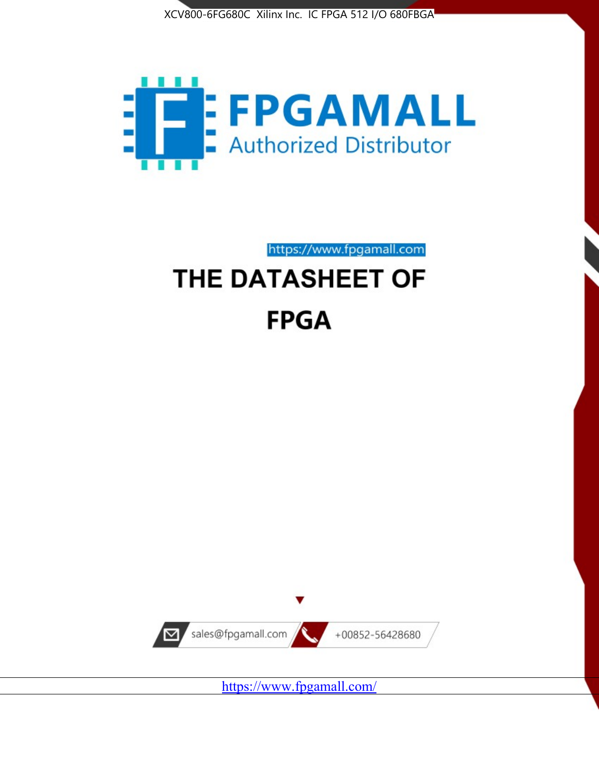



https://www.fpgamall.com THE DATASHEET OF

# **FPGA**



<https://www.fpgamall.com/>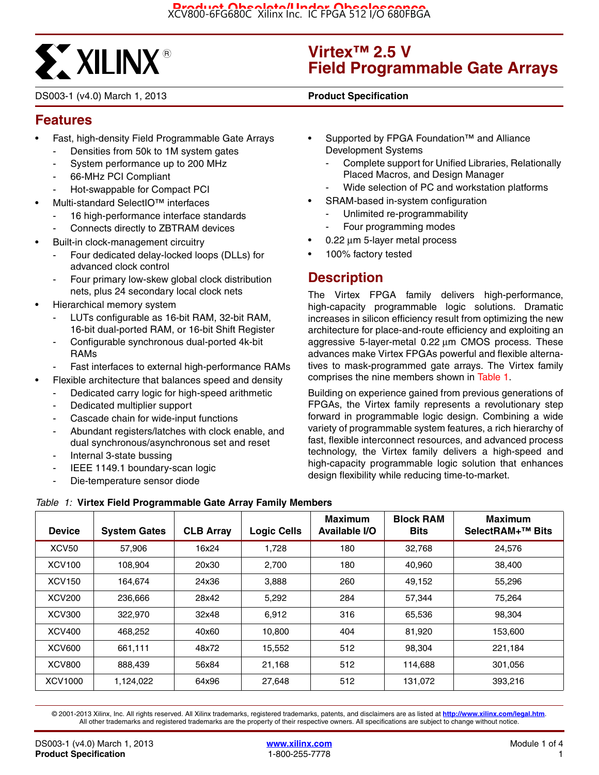

DS003-1 (v4.0) March 1, 2013 **0 0 Product Specification**

## **Virtex™ 2.5 V Field Programmable Gate Arrays**

## **Features**

- Fast, high-density Field Programmable Gate Arrays
	- Densities from 50k to 1M system gates
	- System performance up to 200 MHz
	- 66-MHz PCI Compliant
	- Hot-swappable for Compact PCI
- Multi-standard SelectIO™ interfaces
	- 16 high-performance interface standards
	- Connects directly to ZBTRAM devices
- Built-in clock-management circuitry
	- Four dedicated delay-locked loops (DLLs) for advanced clock control
	- Four primary low-skew global clock distribution nets, plus 24 secondary local clock nets
- Hierarchical memory system
	- LUTs configurable as 16-bit RAM, 32-bit RAM, 16-bit dual-ported RAM, or 16-bit Shift Register
	- Configurable synchronous dual-ported 4k-bit RAMs
	- Fast interfaces to external high-performance RAMs
	- Flexible architecture that balances speed and density
		- Dedicated carry logic for high-speed arithmetic
		- Dedicated multiplier support
		- Cascade chain for wide-input functions
		- Abundant registers/latches with clock enable, and dual synchronous/asynchronous set and reset
		- Internal 3-state bussing
		- IEEE 1149.1 boundary-scan logic
		- Die-temperature sensor diode
- Supported by FPGA Foundation™ and Alliance Development Systems
	- Complete support for Unified Libraries, Relationally Placed Macros, and Design Manager
	- Wide selection of PC and workstation platforms
- SRAM-based in-system configuration
	- Unlimited re-programmability
	- Four programming modes
- 0.22 μm 5-layer metal process
- 100% factory tested

## **Description**

The Virtex FPGA family delivers high-performance, high-capacity programmable logic solutions. Dramatic increases in silicon efficiency result from optimizing the new architecture for place-and-route efficiency and exploiting an aggressive 5-layer-metal 0.22 μm CMOS process. These advances make Virtex FPGAs powerful and flexible alternatives to mask-programmed gate arrays. The Virtex family comprises the nine members shown in Table 1.

Building on experience gained from previous generations of FPGAs, the Virtex family represents a revolutionary step forward in programmable logic design. Combining a wide variety of programmable system features, a rich hierarchy of fast, flexible interconnect resources, and advanced process technology, the Virtex family delivers a high-speed and high-capacity programmable logic solution that enhances design flexibility while reducing time-to-market.

| <b>Device</b>     | <b>System Gates</b> | <b>CLB Array</b> | <b>Logic Cells</b> | Maximum<br>Available I/O | <b>Block RAM</b><br><b>Bits</b> | <b>Maximum</b><br>SelectRAM+ <sup>™</sup> Bits |
|-------------------|---------------------|------------------|--------------------|--------------------------|---------------------------------|------------------------------------------------|
| XCV <sub>50</sub> | 57.906              | 16x24            | 1,728              | 180                      | 32,768                          | 24.576                                         |
| <b>XCV100</b>     | 108,904             | 20x30            | 2,700              | 180                      | 40,960                          | 38,400                                         |
| <b>XCV150</b>     | 164.674             | 24x36            | 3,888              | 260                      | 49,152                          | 55,296                                         |
| <b>XCV200</b>     | 236,666             | 28x42            | 5,292              | 284                      | 57,344                          | 75,264                                         |
| <b>XCV300</b>     | 322,970             | 32x48            | 6.912              | 316                      | 65,536                          | 98.304                                         |
| XCV400            | 468,252             | 40x60            | 10,800             | 404                      | 81,920                          | 153,600                                        |
| <b>XCV600</b>     | 661.111             | 48x72            | 15,552             | 512                      | 98,304                          | 221.184                                        |
| <b>XCV800</b>     | 888.439             | 56x84            | 21,168             | 512                      | 114,688                         | 301.056                                        |
| XCV1000           | 1.124.022           | 64x96            | 27.648             | 512                      | 131,072                         | 393.216                                        |

*Table 1:* **Virtex Field Programmable Gate Array Family Members**

© 2001-2013 Xilinx, Inc. All rights reserved. All Xilinx trademarks, registered trademarks, patents, and disclaimers are as listed at **<http://www.xilinx.com/legal.htm>**. All other trademarks and registered trademarks are the property of their respective owners. All specifications are subject to change without notice.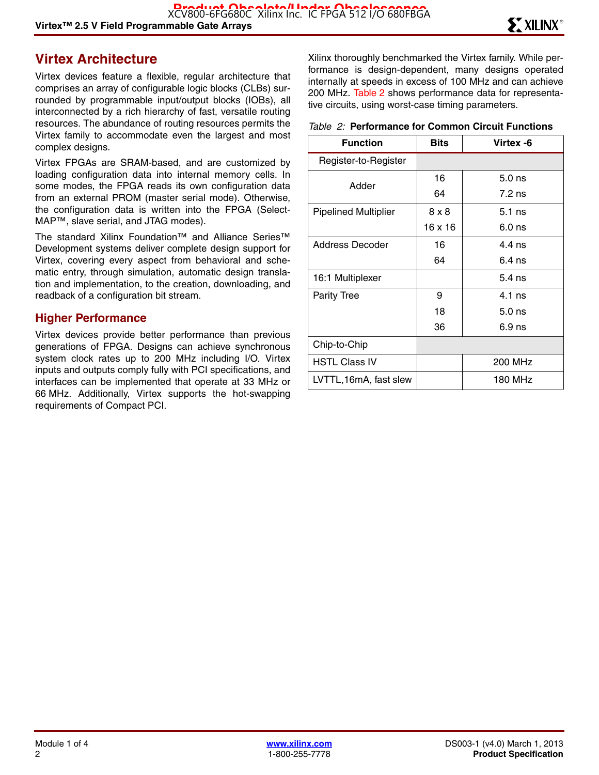## **Virtex Architecture**

Virtex devices feature a flexible, regular architecture that comprises an array of configurable logic blocks (CLBs) surrounded by programmable input/output blocks (IOBs), all interconnected by a rich hierarchy of fast, versatile routing resources. The abundance of routing resources permits the Virtex family to accommodate even the largest and most complex designs.

Virtex FPGAs are SRAM-based, and are customized by loading configuration data into internal memory cells. In some modes, the FPGA reads its own configuration data from an external PROM (master serial mode). Otherwise, the configuration data is written into the FPGA (Select-MAP™, slave serial, and JTAG modes).

The standard Xilinx Foundation™ and Alliance Series™ Development systems deliver complete design support for Virtex, covering every aspect from behavioral and schematic entry, through simulation, automatic design translation and implementation, to the creation, downloading, and readback of a configuration bit stream.

#### **Higher Performance**

Virtex devices provide better performance than previous generations of FPGA. Designs can achieve synchronous system clock rates up to 200 MHz including I/O. Virtex inputs and outputs comply fully with PCI specifications, and interfaces can be implemented that operate at 33 MHz or 66 MHz. Additionally, Virtex supports the hot-swapping requirements of Compact PCI.

Xilinx thoroughly benchmarked the Virtex family. While performance is design-dependent, many designs operated internally at speeds in excess of 100 MHz and can achieve 200 MHz. Table 2 shows performance data for representative circuits, using worst-case timing parameters.

#### *Table 2:* **Performance for Common Circuit Functions**

| <b>Function</b>             | <b>Bits</b> | Virtex -6 |
|-----------------------------|-------------|-----------|
| Register-to-Register        |             |           |
| Adder                       | 16          | $5.0$ ns  |
|                             | 64          | $7.2$ ns  |
| <b>Pipelined Multiplier</b> | 8 x 8       | $5.1$ ns  |
|                             | 16 x 16     | $6.0$ ns  |
| Address Decoder             | 16          | 4 4 ns    |
|                             | 64          | $6.4$ ns  |
| 16:1 Multiplexer            |             | $5.4$ ns  |
| <b>Parity Tree</b>          | 9           | $4.1$ ns  |
|                             | 18          | $5.0$ ns  |
|                             | 36          | $6.9$ ns  |
| Chip-to-Chip                |             |           |
| <b>HSTL Class IV</b>        |             | 200 MHz   |
| LVTTL,16mA, fast slew       |             | 180 MHz   |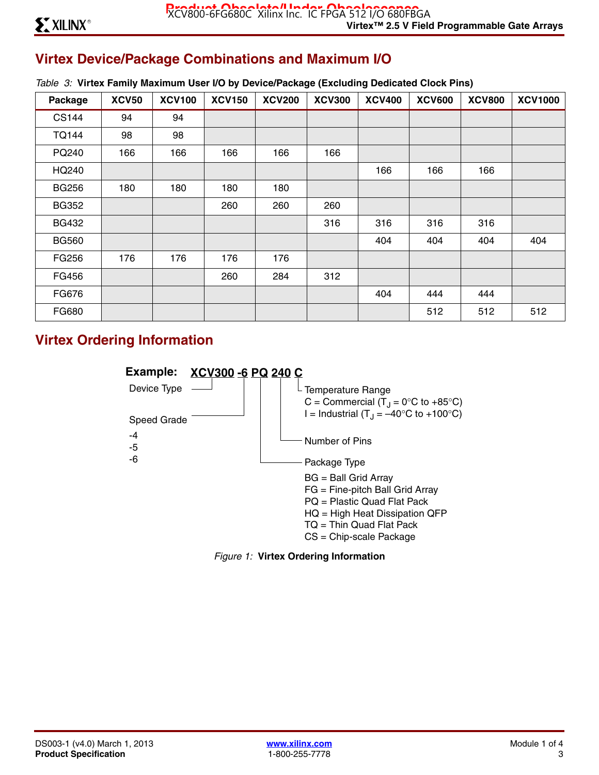## **Virtex Device/Package Combinations and Maximum I/O**

|  |  | Table 3: Virtex Family Maximum User I/O by Device/Package (Excluding Dedicated Clock Pins) |  |  |  |  |  |
|--|--|--------------------------------------------------------------------------------------------|--|--|--|--|--|
|--|--|--------------------------------------------------------------------------------------------|--|--|--|--|--|

| Package      | <b>XCV50</b> | <b>XCV100</b> | <b>XCV150</b> | <b>XCV200</b> | <b>XCV300</b> | <b>XCV400</b> | <b>XCV600</b> | <b>XCV800</b> | <b>XCV1000</b> |
|--------------|--------------|---------------|---------------|---------------|---------------|---------------|---------------|---------------|----------------|
| <b>CS144</b> | 94           | 94            |               |               |               |               |               |               |                |
| <b>TQ144</b> | 98           | 98            |               |               |               |               |               |               |                |
| PQ240        | 166          | 166           | 166           | 166           | 166           |               |               |               |                |
| HQ240        |              |               |               |               |               | 166           | 166           | 166           |                |
| <b>BG256</b> | 180          | 180           | 180           | 180           |               |               |               |               |                |
| <b>BG352</b> |              |               | 260           | 260           | 260           |               |               |               |                |
| <b>BG432</b> |              |               |               |               | 316           | 316           | 316           | 316           |                |
| <b>BG560</b> |              |               |               |               |               | 404           | 404           | 404           | 404            |
| FG256        | 176          | 176           | 176           | 176           |               |               |               |               |                |
| FG456        |              |               | 260           | 284           | 312           |               |               |               |                |
| FG676        |              |               |               |               |               | 404           | 444           | 444           |                |
| FG680        |              |               |               |               |               |               | 512           | 512           | 512            |

## **Virtex Ordering Information**



*Figure 1:* **Virtex Ordering Information**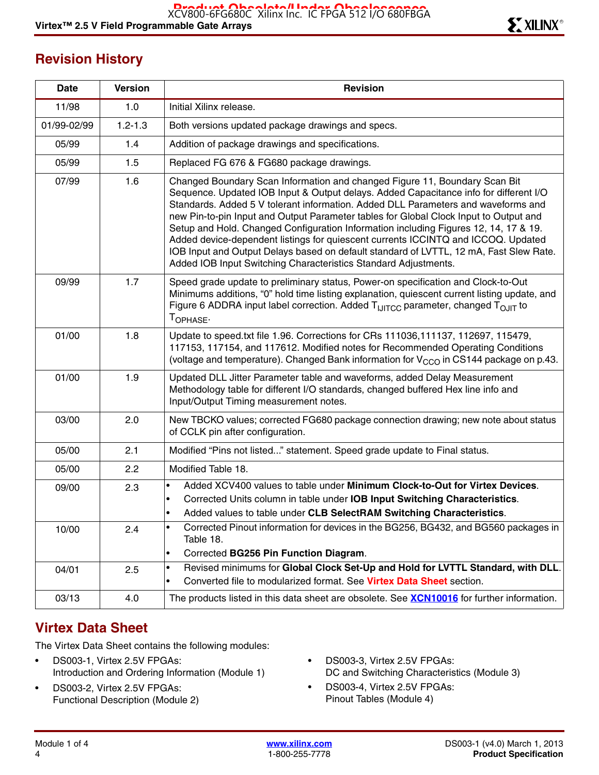## **Revision History**

| Date        | <b>Version</b> | <b>Revision</b>                                                                                                                                                                                                                                                                                                                                                                                                                                                                                                                                                                                                                                                                             |
|-------------|----------------|---------------------------------------------------------------------------------------------------------------------------------------------------------------------------------------------------------------------------------------------------------------------------------------------------------------------------------------------------------------------------------------------------------------------------------------------------------------------------------------------------------------------------------------------------------------------------------------------------------------------------------------------------------------------------------------------|
| 11/98       | 1.0            | Initial Xilinx release.                                                                                                                                                                                                                                                                                                                                                                                                                                                                                                                                                                                                                                                                     |
| 01/99-02/99 | $1.2 - 1.3$    | Both versions updated package drawings and specs.                                                                                                                                                                                                                                                                                                                                                                                                                                                                                                                                                                                                                                           |
| 05/99       | 1.4            | Addition of package drawings and specifications.                                                                                                                                                                                                                                                                                                                                                                                                                                                                                                                                                                                                                                            |
| 05/99       | 1.5            | Replaced FG 676 & FG680 package drawings.                                                                                                                                                                                                                                                                                                                                                                                                                                                                                                                                                                                                                                                   |
| 07/99       | 1.6            | Changed Boundary Scan Information and changed Figure 11, Boundary Scan Bit<br>Sequence. Updated IOB Input & Output delays. Added Capacitance info for different I/O<br>Standards. Added 5 V tolerant information. Added DLL Parameters and waveforms and<br>new Pin-to-pin Input and Output Parameter tables for Global Clock Input to Output and<br>Setup and Hold. Changed Configuration Information including Figures 12, 14, 17 & 19.<br>Added device-dependent listings for quiescent currents ICCINTQ and ICCOQ. Updated<br>IOB Input and Output Delays based on default standard of LVTTL, 12 mA, Fast Slew Rate.<br>Added IOB Input Switching Characteristics Standard Adjustments. |
| 09/99       | 1.7            | Speed grade update to preliminary status, Power-on specification and Clock-to-Out<br>Minimums additions, "0" hold time listing explanation, quiescent current listing update, and<br>Figure 6 ADDRA input label correction. Added T <sub>IJITCC</sub> parameter, changed T <sub>OJIT</sub> to<br>TOPHASE.                                                                                                                                                                                                                                                                                                                                                                                   |
| 01/00       | 1.8            | Update to speed.txt file 1.96. Corrections for CRs 111036,111137, 112697, 115479,<br>117153, 117154, and 117612. Modified notes for Recommended Operating Conditions<br>(voltage and temperature). Changed Bank information for V <sub>CCO</sub> in CS144 package on p.43.                                                                                                                                                                                                                                                                                                                                                                                                                  |
| 01/00       | 1.9            | Updated DLL Jitter Parameter table and waveforms, added Delay Measurement<br>Methodology table for different I/O standards, changed buffered Hex line info and<br>Input/Output Timing measurement notes.                                                                                                                                                                                                                                                                                                                                                                                                                                                                                    |
| 03/00       | 2.0            | New TBCKO values; corrected FG680 package connection drawing; new note about status<br>of CCLK pin after configuration.                                                                                                                                                                                                                                                                                                                                                                                                                                                                                                                                                                     |
| 05/00       | 2.1            | Modified "Pins not listed" statement. Speed grade update to Final status.                                                                                                                                                                                                                                                                                                                                                                                                                                                                                                                                                                                                                   |
| 05/00       | 2.2            | Modified Table 18.                                                                                                                                                                                                                                                                                                                                                                                                                                                                                                                                                                                                                                                                          |
| 09/00       | 2.3            | Added XCV400 values to table under Minimum Clock-to-Out for Virtex Devices.<br>$\bullet$<br>Corrected Units column in table under IOB Input Switching Characteristics.<br>Added values to table under CLB SelectRAM Switching Characteristics.                                                                                                                                                                                                                                                                                                                                                                                                                                              |
| 10/00       | 2.4            | Corrected Pinout information for devices in the BG256, BG432, and BG560 packages in<br>Table 18.<br>Corrected BG256 Pin Function Diagram.<br>$\bullet$                                                                                                                                                                                                                                                                                                                                                                                                                                                                                                                                      |
| 04/01       | 2.5            | Revised minimums for Global Clock Set-Up and Hold for LVTTL Standard, with DLL.<br>$\bullet$<br>Converted file to modularized format. See Virtex Data Sheet section.<br>$\bullet$                                                                                                                                                                                                                                                                                                                                                                                                                                                                                                           |
| 03/13       | 4.0            | The products listed in this data sheet are obsolete. See <b>XCN10016</b> for further information.                                                                                                                                                                                                                                                                                                                                                                                                                                                                                                                                                                                           |

## **Virtex Data Sheet**

The Virtex Data Sheet contains the following modules:

- DS003-1, Virtex 2.5V FPGAs: Introduction and Ordering Information (Module 1)
- DS003-2, Virtex 2.5V FPGAs: Functional Description (Module 2)
- DS003-3, Virtex 2.5V FPGAs: DC and Switching Characteristics (Module 3)
- DS003-4, Virtex 2.5V FPGAs: Pinout Tables (Module 4)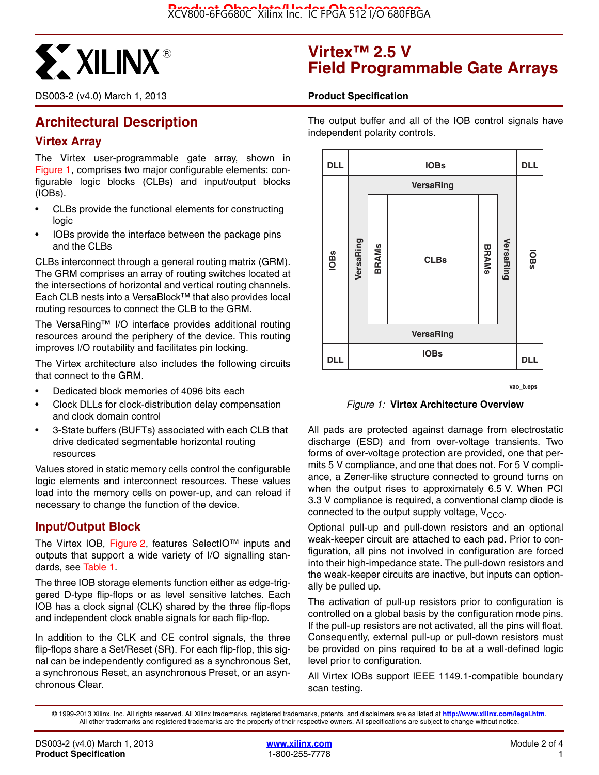

DS003-2 (v4.0) March 1, 2013 **0 0 Product Specification**

## **Architectural Description**

### **Virtex Array**

The Virtex user-programmable gate array, shown in Figure 1, comprises two major configurable elements: configurable logic blocks (CLBs) and input/output blocks (IOBs).

- CLBs provide the functional elements for constructing logic
- IOBs provide the interface between the package pins and the CLBs

CLBs interconnect through a general routing matrix (GRM). The GRM comprises an array of routing switches located at the intersections of horizontal and vertical routing channels. Each CLB nests into a VersaBlock™ that also provides local routing resources to connect the CLB to the GRM.

The VersaRing™ I/O interface provides additional routing resources around the periphery of the device. This routing improves I/O routability and facilitates pin locking.

The Virtex architecture also includes the following circuits that connect to the GRM.

- Dedicated block memories of 4096 bits each
- Clock DLLs for clock-distribution delay compensation and clock domain control
- 3-State buffers (BUFTs) associated with each CLB that drive dedicated segmentable horizontal routing resources

Values stored in static memory cells control the configurable logic elements and interconnect resources. These values load into the memory cells on power-up, and can reload if necessary to change the function of the device.

#### **Input/Output Block**

The Virtex IOB, Figure 2, features SelectIO™ inputs and outputs that support a wide variety of I/O signalling standards, see Table 1.

The three IOB storage elements function either as edge-triggered D-type flip-flops or as level sensitive latches. Each IOB has a clock signal (CLK) shared by the three flip-flops and independent clock enable signals for each flip-flop.

In addition to the CLK and CE control signals, the three flip-flops share a Set/Reset (SR). For each flip-flop, this signal can be independently configured as a synchronous Set, a synchronous Reset, an asynchronous Preset, or an asynchronous Clear.

## **Virtex™ 2.5 V Field Programmable Gate Arrays**

The output buffer and all of the IOB control signals have independent polarity controls.



**vao\_b.eps**

*Figure 1:* **Virtex Architecture Overview**

All pads are protected against damage from electrostatic discharge (ESD) and from over-voltage transients. Two forms of over-voltage protection are provided, one that permits 5 V compliance, and one that does not. For 5 V compliance, a Zener-like structure connected to ground turns on when the output rises to approximately 6.5 V. When PCI 3.3 V compliance is required, a conventional clamp diode is connected to the output supply voltage,  $V_{CCO}$ .

Optional pull-up and pull-down resistors and an optional weak-keeper circuit are attached to each pad. Prior to configuration, all pins not involved in configuration are forced into their high-impedance state. The pull-down resistors and the weak-keeper circuits are inactive, but inputs can optionally be pulled up.

The activation of pull-up resistors prior to configuration is controlled on a global basis by the configuration mode pins. If the pull-up resistors are not activated, all the pins will float. Consequently, external pull-up or pull-down resistors must be provided on pins required to be at a well-defined logic level prior to configuration.

All Virtex IOBs support IEEE 1149.1-compatible boundary scan testing.

<sup>© 1999-2013</sup> Xilinx, Inc. All rights reserved. All Xilinx trademarks, registered trademarks, patents, and disclaimers are as listed at **<http://www.xilinx.com/legal.htm>**. All other trademarks and registered trademarks are the property of their respective owners. All specifications are subject to change without notice.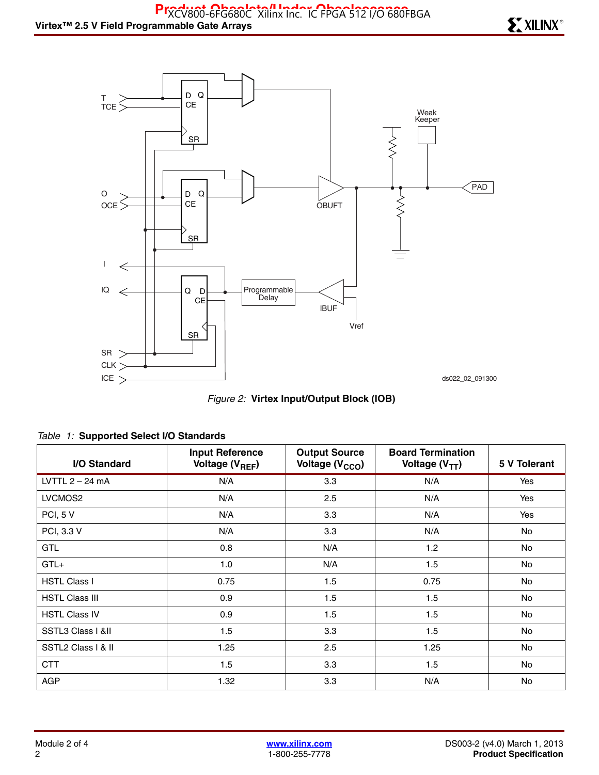

*Figure 2:* **Virtex Input/Output Block (IOB)**

| I/O Standard          | <b>Input Reference</b><br>Voltage (V <sub>REF</sub> ) | <b>Output Source</b><br>Voltage (V <sub>CCO</sub> ) | <b>Board Termination</b><br>Voltage $(V_{TT})$ | 5 V Tolerant |
|-----------------------|-------------------------------------------------------|-----------------------------------------------------|------------------------------------------------|--------------|
| LVTTL $2 - 24$ mA     | N/A                                                   | 3.3                                                 | N/A                                            | Yes          |
| LVCMOS2               | N/A                                                   | 2.5                                                 | N/A                                            | Yes          |
| PCI, 5 V              | N/A                                                   | 3.3                                                 | N/A                                            | Yes          |
| PCI, 3.3 V            | N/A                                                   | 3.3                                                 | N/A                                            | No           |
| <b>GTL</b>            | 0.8                                                   | N/A                                                 | 1.2                                            | No           |
| $GTL+$                | 1.0                                                   | N/A                                                 | 1.5                                            | No           |
| <b>HSTL Class I</b>   | 0.75                                                  | 1.5                                                 | 0.75                                           | No           |
| <b>HSTL Class III</b> | 0.9                                                   | 1.5                                                 | 1.5                                            | No           |
| <b>HSTL Class IV</b>  | 0.9                                                   | 1.5                                                 | 1.5                                            | <b>No</b>    |
| SSTL3 Class I &II     | 1.5                                                   | 3.3                                                 | 1.5                                            | No           |
| SSTL2 Class   & II    | 1.25                                                  | 2.5                                                 | 1.25                                           | <b>No</b>    |
| <b>CTT</b>            | 1.5                                                   | 3.3                                                 | 1.5                                            | No           |
| <b>AGP</b>            | 1.32                                                  | 3.3                                                 | N/A                                            | <b>No</b>    |

#### *Table 1:* **Supported Select I/O Standards**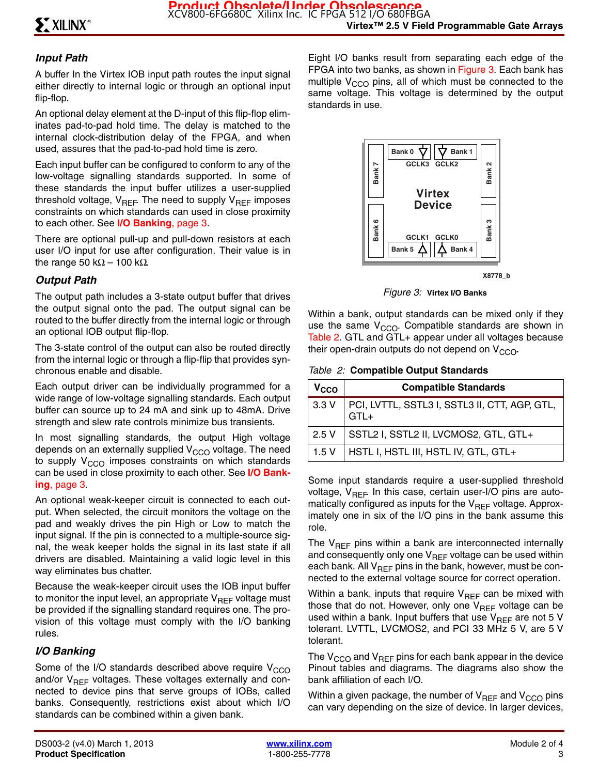### *Input Path*

A buffer In the Virtex IOB input path routes the input signal either directly to internal logic or through an optional input flip-flop.

An optional delay element at the D-input of this flip-flop eliminates pad-to-pad hold time. The delay is matched to the internal clock-distribution delay of the FPGA, and when used, assures that the pad-to-pad hold time is zero.

Each input buffer can be configured to conform to any of the low-voltage signalling standards supported. In some of these standards the input buffer utilizes a user-supplied threshold voltage,  $V_{\text{RFE}}$  The need to supply  $V_{\text{RFE}}$  imposes constraints on which standards can used in close proximity to each other. See **I/O Banking**, page 3.

There are optional pull-up and pull-down resistors at each user I/O input for use after configuration. Their value is in the range 50 kΩ – 100 kΩ.

### *Output Path*

The output path includes a 3-state output buffer that drives the output signal onto the pad. The output signal can be routed to the buffer directly from the internal logic or through an optional IOB output flip-flop.

The 3-state control of the output can also be routed directly from the internal logic or through a flip-flip that provides synchronous enable and disable.

Each output driver can be individually programmed for a wide range of low-voltage signalling standards. Each output buffer can source up to 24 mA and sink up to 48mA. Drive strength and slew rate controls minimize bus transients.

In most signalling standards, the output High voltage depends on an externally supplied  $V_{CCO}$  voltage. The need to supply  $V_{CCO}$  imposes constraints on which standards can be used in close proximity to each other. See **I/O Banking**, page 3.

An optional weak-keeper circuit is connected to each output. When selected, the circuit monitors the voltage on the pad and weakly drives the pin High or Low to match the input signal. If the pin is connected to a multiple-source signal, the weak keeper holds the signal in its last state if all drivers are disabled. Maintaining a valid logic level in this way eliminates bus chatter.

Because the weak-keeper circuit uses the IOB input buffer to monitor the input level, an appropriate  $V_{\text{RFF}}$  voltage must be provided if the signalling standard requires one. The provision of this voltage must comply with the I/O banking rules.

### *I/O Banking*

Some of the I/O standards described above require  $V<sub>CCO</sub>$ and/or  $V_{REF}$  voltages. These voltages externally and connected to device pins that serve groups of IOBs, called banks. Consequently, restrictions exist about which I/O standards can be combined within a given bank.

Eight I/O banks result from separating each edge of the FPGA into two banks, as shown in Figure 3. Each bank has multiple  $V_{CCO}$  pins, all of which must be connected to the same voltage. This voltage is determined by the output standards in use.



**X8778\_b**

*Figure 3:* **Virtex I/O Banks**

Within a bank, output standards can be mixed only if they use the same  $V_{CCO}$ . Compatible standards are shown in Table 2. GTL and GTL+ appear under all voltages because their open-drain outputs do not depend on V<sub>CCO</sub>.

*Table 2:* **Compatible Output Standards**

| V <sub>CCO</sub> | <b>Compatible Standards</b>                             |
|------------------|---------------------------------------------------------|
| 3.3V             | PCI, LVTTL, SSTL3 I, SSTL3 II, CTT, AGP, GTL,<br>$GTL+$ |
| 2.5V             | SSTL2 I, SSTL2 II, LVCMOS2, GTL, GTL+                   |
| 1.5V             | HSTL I, HSTL III, HSTL IV, GTL, GTL+                    |

Some input standards require a user-supplied threshold voltage,  $V_{\text{BFE}}$  In this case, certain user-I/O pins are automatically configured as inputs for the  $V_{REF}$  voltage. Approximately one in six of the I/O pins in the bank assume this role.

The  $V_{REF}$  pins within a bank are interconnected internally and consequently only one  $V_{REF}$  voltage can be used within each bank. All  $V_{REF}$  pins in the bank, however, must be connected to the external voltage source for correct operation.

Within a bank, inputs that require  $V_{REF}$  can be mixed with those that do not. However, only one  $V_{REF}$  voltage can be used within a bank. Input buffers that use  $V_{REF}$  are not 5 V tolerant. LVTTL, LVCMOS2, and PCI 33 MHz 5 V, are 5 V tolerant.

The  $V_{CCO}$  and  $V_{REF}$  pins for each bank appear in the device Pinout tables and diagrams. The diagrams also show the bank affiliation of each I/O.

Within a given package, the number of  $V_{REF}$  and  $V_{CCO}$  pins can vary depending on the size of device. In larger devices,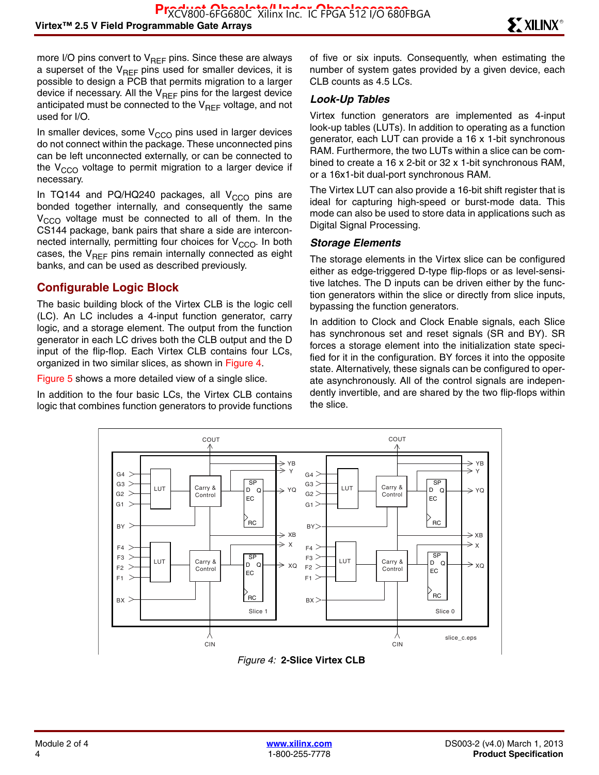more I/O pins convert to  $V_{REF}$  pins. Since these are always a superset of the  $V_{REF}$  pins used for smaller devices, it is possible to design a PCB that permits migration to a larger device if necessary. All the  $V_{REF}$  pins for the largest device anticipated must be connected to the  $V_{\text{RFF}}$  voltage, and not used for I/O.

In smaller devices, some  $V<sub>CCO</sub>$  pins used in larger devices do not connect within the package. These unconnected pins can be left unconnected externally, or can be connected to the  $V_{CCO}$  voltage to permit migration to a larger device if necessary.

In TQ144 and PQ/HQ240 packages, all  $V_{CCO}$  pins are bonded together internally, and consequently the same  $V_{\text{CCO}}$  voltage must be connected to all of them. In the CS144 package, bank pairs that share a side are interconnected internally, permitting four choices for  $V_{CCO}$ . In both cases, the  $V_{REF}$  pins remain internally connected as eight banks, and can be used as described previously.

#### **Configurable Logic Block**

The basic building block of the Virtex CLB is the logic cell (LC). An LC includes a 4-input function generator, carry logic, and a storage element. The output from the function generator in each LC drives both the CLB output and the D input of the flip-flop. Each Virtex CLB contains four LCs, organized in two similar slices, as shown in Figure 4.

Figure 5 shows a more detailed view of a single slice.

In addition to the four basic LCs, the Virtex CLB contains logic that combines function generators to provide functions of five or six inputs. Consequently, when estimating the number of system gates provided by a given device, each CLB counts as 4.5 LCs.

#### *Look-Up Tables*

Virtex function generators are implemented as 4-input look-up tables (LUTs). In addition to operating as a function generator, each LUT can provide a 16 x 1-bit synchronous RAM. Furthermore, the two LUTs within a slice can be combined to create a 16 x 2-bit or 32 x 1-bit synchronous RAM, or a 16x1-bit dual-port synchronous RAM.

The Virtex LUT can also provide a 16-bit shift register that is ideal for capturing high-speed or burst-mode data. This mode can also be used to store data in applications such as Digital Signal Processing.

#### *Storage Elements*

The storage elements in the Virtex slice can be configured either as edge-triggered D-type flip-flops or as level-sensitive latches. The D inputs can be driven either by the function generators within the slice or directly from slice inputs, bypassing the function generators.

In addition to Clock and Clock Enable signals, each Slice has synchronous set and reset signals (SR and BY). SR forces a storage element into the initialization state specified for it in the configuration. BY forces it into the opposite state. Alternatively, these signals can be configured to operate asynchronously. All of the control signals are independently invertible, and are shared by the two flip-flops within the slice.



*Figure 4:* **2-Slice Virtex CLB**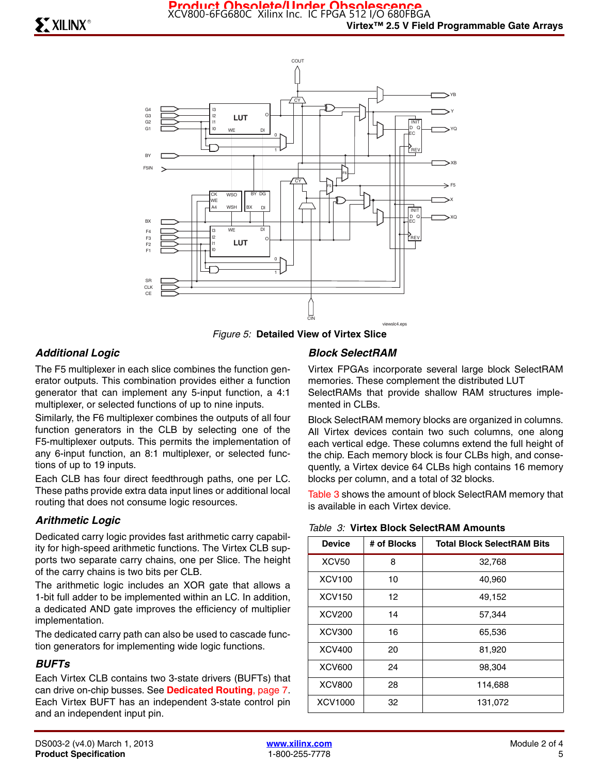

*Figure 5:* **Detailed View of Virtex Slice**

#### *Additional Logic*

The F5 multiplexer in each slice combines the function generator outputs. This combination provides either a function generator that can implement any 5-input function, a 4:1 multiplexer, or selected functions of up to nine inputs.

Similarly, the F6 multiplexer combines the outputs of all four function generators in the CLB by selecting one of the F5-multiplexer outputs. This permits the implementation of any 6-input function, an 8:1 multiplexer, or selected functions of up to 19 inputs.

Each CLB has four direct feedthrough paths, one per LC. These paths provide extra data input lines or additional local routing that does not consume logic resources.

#### *Arithmetic Logic*

Dedicated carry logic provides fast arithmetic carry capability for high-speed arithmetic functions. The Virtex CLB supports two separate carry chains, one per Slice. The height of the carry chains is two bits per CLB.

The arithmetic logic includes an XOR gate that allows a 1-bit full adder to be implemented within an LC. In addition, a dedicated AND gate improves the efficiency of multiplier implementation.

The dedicated carry path can also be used to cascade function generators for implementing wide logic functions.

#### *BUFTs*

Each Virtex CLB contains two 3-state drivers (BUFTs) that can drive on-chip busses. See **Dedicated Routing**, page 7. Each Virtex BUFT has an independent 3-state control pin and an independent input pin.

#### *Block SelectRAM*

Virtex FPGAs incorporate several large block SelectRAM memories. These complement the distributed LUT SelectRAMs that provide shallow RAM structures implemented in CLBs.

Block SelectRAM memory blocks are organized in columns. All Virtex devices contain two such columns, one along each vertical edge. These columns extend the full height of the chip. Each memory block is four CLBs high, and consequently, a Virtex device 64 CLBs high contains 16 memory blocks per column, and a total of 32 blocks.

Table 3 shows the amount of block SelectRAM memory that is available in each Virtex device.

| <b>Device</b> | # of Blocks | <b>Total Block SelectRAM Bits</b> |
|---------------|-------------|-----------------------------------|
| <b>XCV50</b>  | 8           | 32,768                            |
| <b>XCV100</b> | 10          | 40,960                            |
| <b>XCV150</b> | 12          | 49,152                            |
| <b>XCV200</b> | 14          | 57,344                            |
| <b>XCV300</b> | 16          | 65,536                            |
| <b>XCV400</b> | 20          | 81,920                            |
| <b>XCV600</b> | 24          | 98,304                            |
| <b>XCV800</b> | 28          | 114,688                           |
| XCV1000       | 32          | 131,072                           |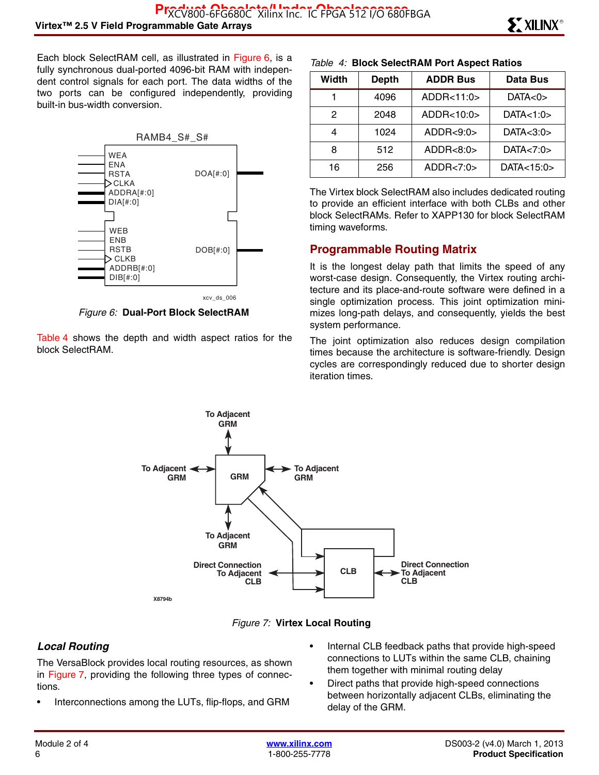Each block SelectRAM cell, as illustrated in Figure 6, is a fully synchronous dual-ported 4096-bit RAM with independent control signals for each port. The data widths of the two ports can be configured independently, providing built-in bus-width conversion.



*Figure 6:* **Dual-Port Block SelectRAM**

Table 4 shows the depth and width aspect ratios for the block SelectRAM.

#### *Table 4:* **Block SelectRAM Port Aspect Ratios**

| Width | <b>Depth</b> | <b>ADDR Bus</b> | Data Bus         |
|-------|--------------|-----------------|------------------|
|       | 4096         | ADDR<11:0>      | DATA<0>          |
| 2     | 2048         | ADDR<10:0>      | DATA<1:0>        |
|       | 1024         | ADDR<9:0>       | DATA $<$ 3:0 $>$ |
| 8     | 512          | ADDR < 8:0>     | DATA < 7:0 >     |
| 16    | 256          | ADDR<7:0>       | DATA<15:0>       |

The Virtex block SelectRAM also includes dedicated routing to provide an efficient interface with both CLBs and other block SelectRAMs. Refer to XAPP130 for block SelectRAM timing waveforms.

#### **Programmable Routing Matrix**

It is the longest delay path that limits the speed of any worst-case design. Consequently, the Virtex routing architecture and its place-and-route software were defined in a single optimization process. This joint optimization minimizes long-path delays, and consequently, yields the best system performance.

The joint optimization also reduces design compilation times because the architecture is software-friendly. Design cycles are correspondingly reduced due to shorter design iteration times.





#### *Local Routing*

The VersaBlock provides local routing resources, as shown in Figure 7, providing the following three types of connections.

- Interconnections among the LUTs, flip-flops, and GRM
- Internal CLB feedback paths that provide high-speed connections to LUTs within the same CLB, chaining them together with minimal routing delay
- Direct paths that provide high-speed connections between horizontally adjacent CLBs, eliminating the delay of the GRM.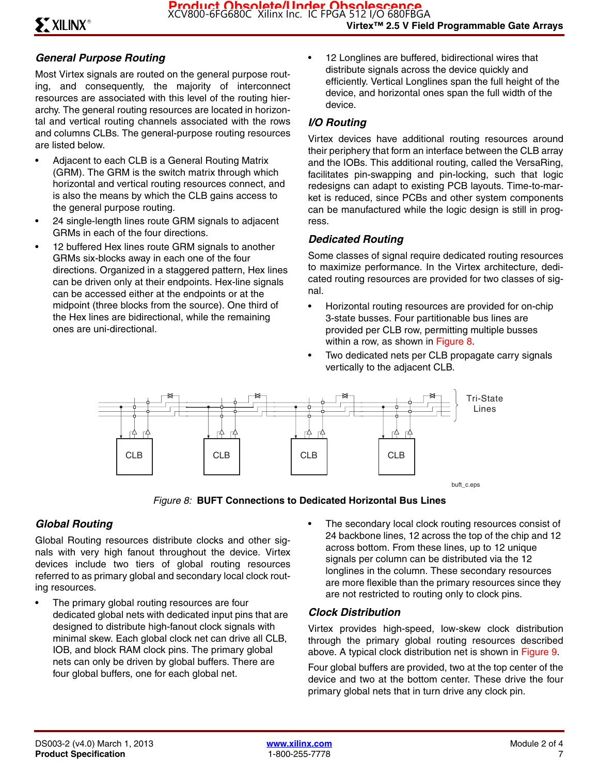#### *General Purpose Routing*

Most Virtex signals are routed on the general purpose routing, and consequently, the majority of interconnect resources are associated with this level of the routing hierarchy. The general routing resources are located in horizontal and vertical routing channels associated with the rows and columns CLBs. The general-purpose routing resources are listed below.

- Adjacent to each CLB is a General Routing Matrix (GRM). The GRM is the switch matrix through which horizontal and vertical routing resources connect, and is also the means by which the CLB gains access to the general purpose routing.
- 24 single-length lines route GRM signals to adjacent GRMs in each of the four directions.
- 12 buffered Hex lines route GRM signals to another GRMs six-blocks away in each one of the four directions. Organized in a staggered pattern, Hex lines can be driven only at their endpoints. Hex-line signals can be accessed either at the endpoints or at the midpoint (three blocks from the source). One third of the Hex lines are bidirectional, while the remaining ones are uni-directional.

• 12 Longlines are buffered, bidirectional wires that distribute signals across the device quickly and efficiently. Vertical Longlines span the full height of the device, and horizontal ones span the full width of the device.

#### *I/O Routing*

Virtex devices have additional routing resources around their periphery that form an interface between the CLB array and the IOBs. This additional routing, called the VersaRing, facilitates pin-swapping and pin-locking, such that logic redesigns can adapt to existing PCB layouts. Time-to-market is reduced, since PCBs and other system components can be manufactured while the logic design is still in progress.

#### *Dedicated Routing*

Some classes of signal require dedicated routing resources to maximize performance. In the Virtex architecture, dedicated routing resources are provided for two classes of signal.

- Horizontal routing resources are provided for on-chip 3-state busses. Four partitionable bus lines are provided per CLB row, permitting multiple busses within a row, as shown in Figure 8.
- Two dedicated nets per CLB propagate carry signals vertically to the adjacent CLB.



*Figure 8:* **BUFT Connections to Dedicated Horizontal Bus Lines**

#### *Global Routing*

Global Routing resources distribute clocks and other signals with very high fanout throughout the device. Virtex devices include two tiers of global routing resources referred to as primary global and secondary local clock routing resources.

- The primary global routing resources are four dedicated global nets with dedicated input pins that are designed to distribute high-fanout clock signals with minimal skew. Each global clock net can drive all CLB, IOB, and block RAM clock pins. The primary global nets can only be driven by global buffers. There are four global buffers, one for each global net.
- The secondary local clock routing resources consist of 24 backbone lines, 12 across the top of the chip and 12 across bottom. From these lines, up to 12 unique signals per column can be distributed via the 12 longlines in the column. These secondary resources are more flexible than the primary resources since they are not restricted to routing only to clock pins.

#### *Clock Distribution*

Virtex provides high-speed, low-skew clock distribution through the primary global routing resources described above. A typical clock distribution net is shown in Figure 9.

Four global buffers are provided, two at the top center of the device and two at the bottom center. These drive the four primary global nets that in turn drive any clock pin.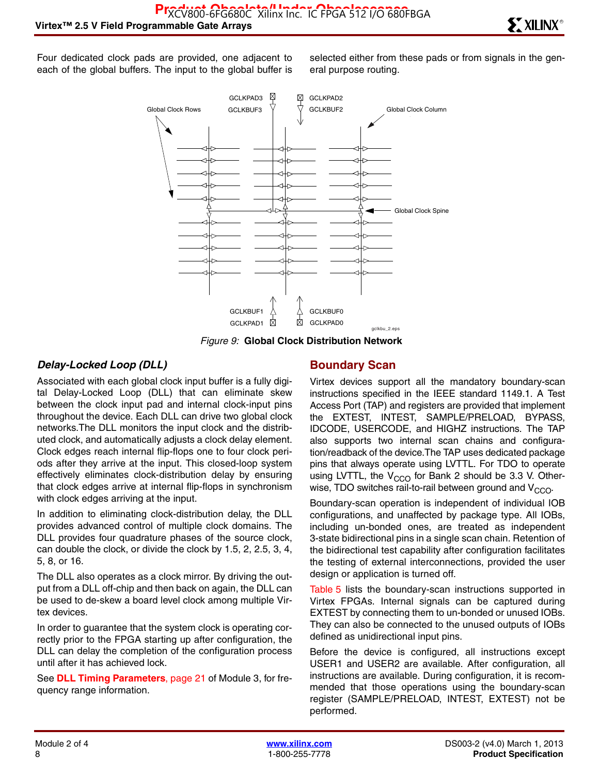Four dedicated clock pads are provided, one adjacent to each of the global buffers. The input to the global buffer is selected either from these pads or from signals in the general purpose routing.



*Figure 9:* **Global Clock Distribution Network**

#### *Delay-Locked Loop (DLL)*

Associated with each global clock input buffer is a fully digital Delay-Locked Loop (DLL) that can eliminate skew between the clock input pad and internal clock-input pins throughout the device. Each DLL can drive two global clock networks.The DLL monitors the input clock and the distributed clock, and automatically adjusts a clock delay element. Clock edges reach internal flip-flops one to four clock periods after they arrive at the input. This closed-loop system effectively eliminates clock-distribution delay by ensuring that clock edges arrive at internal flip-flops in synchronism with clock edges arriving at the input.

In addition to eliminating clock-distribution delay, the DLL provides advanced control of multiple clock domains. The DLL provides four quadrature phases of the source clock, can double the clock, or divide the clock by 1.5, 2, 2.5, 3, 4, 5, 8, or 16.

The DLL also operates as a clock mirror. By driving the output from a DLL off-chip and then back on again, the DLL can be used to de-skew a board level clock among multiple Virtex devices.

In order to guarantee that the system clock is operating correctly prior to the FPGA starting up after configuration, the DLL can delay the completion of the configuration process until after it has achieved lock.

See **DLL Timing Parameters**, page 21 of Module 3, for frequency range information.

#### **Boundary Scan**

Virtex devices support all the mandatory boundary-scan instructions specified in the IEEE standard 1149.1. A Test Access Port (TAP) and registers are provided that implement the EXTEST, INTEST, SAMPLE/PRELOAD, BYPASS, IDCODE, USERCODE, and HIGHZ instructions. The TAP also supports two internal scan chains and configuration/readback of the device.The TAP uses dedicated package pins that always operate using LVTTL. For TDO to operate using LVTTL, the  $V_{CCO}$  for Bank 2 should be 3.3 V. Otherwise, TDO switches rail-to-rail between ground and  $V_{CCO}$ .

Boundary-scan operation is independent of individual IOB configurations, and unaffected by package type. All IOBs, including un-bonded ones, are treated as independent 3-state bidirectional pins in a single scan chain. Retention of the bidirectional test capability after configuration facilitates the testing of external interconnections, provided the user design or application is turned off.

Table 5 lists the boundary-scan instructions supported in Virtex FPGAs. Internal signals can be captured during EXTEST by connecting them to un-bonded or unused IOBs. They can also be connected to the unused outputs of IOBs defined as unidirectional input pins.

Before the device is configured, all instructions except USER1 and USER2 are available. After configuration, all instructions are available. During configuration, it is recommended that those operations using the boundary-scan register (SAMPLE/PRELOAD, INTEST, EXTEST) not be performed.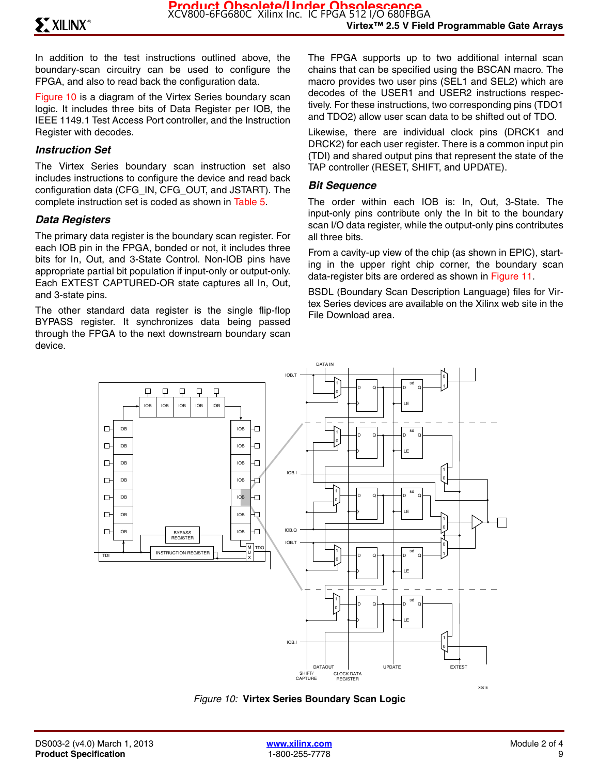In addition to the test instructions outlined above, the boundary-scan circuitry can be used to configure the FPGA, and also to read back the configuration data.

Figure 10 is a diagram of the Virtex Series boundary scan logic. It includes three bits of Data Register per IOB, the IEEE 1149.1 Test Access Port controller, and the Instruction Register with decodes.

#### *Instruction Set*

The Virtex Series boundary scan instruction set also includes instructions to configure the device and read back configuration data (CFG\_IN, CFG\_OUT, and JSTART). The complete instruction set is coded as shown in Table 5.

#### *Data Registers*

The primary data register is the boundary scan register. For each IOB pin in the FPGA, bonded or not, it includes three bits for In, Out, and 3-State Control. Non-IOB pins have appropriate partial bit population if input-only or output-only. Each EXTEST CAPTURED-OR state captures all In, Out, and 3-state pins.

The other standard data register is the single flip-flop BYPASS register. It synchronizes data being passed through the FPGA to the next downstream boundary scan device.

The FPGA supports up to two additional internal scan chains that can be specified using the BSCAN macro. The macro provides two user pins (SEL1 and SEL2) which are decodes of the USER1 and USER2 instructions respectively. For these instructions, two corresponding pins (TDO1 and TDO2) allow user scan data to be shifted out of TDO.

Likewise, there are individual clock pins (DRCK1 and DRCK2) for each user register. There is a common input pin (TDI) and shared output pins that represent the state of the TAP controller (RESET, SHIFT, and UPDATE).

#### *Bit Sequence*

The order within each IOB is: In, Out, 3-State. The input-only pins contribute only the In bit to the boundary scan I/O data register, while the output-only pins contributes all three bits.

From a cavity-up view of the chip (as shown in EPIC), starting in the upper right chip corner, the boundary scan data-register bits are ordered as shown in Figure 11.

BSDL (Boundary Scan Description Language) files for Virtex Series devices are available on the Xilinx web site in the File Download area.



*Figure 10:* **Virtex Series Boundary Scan Logic**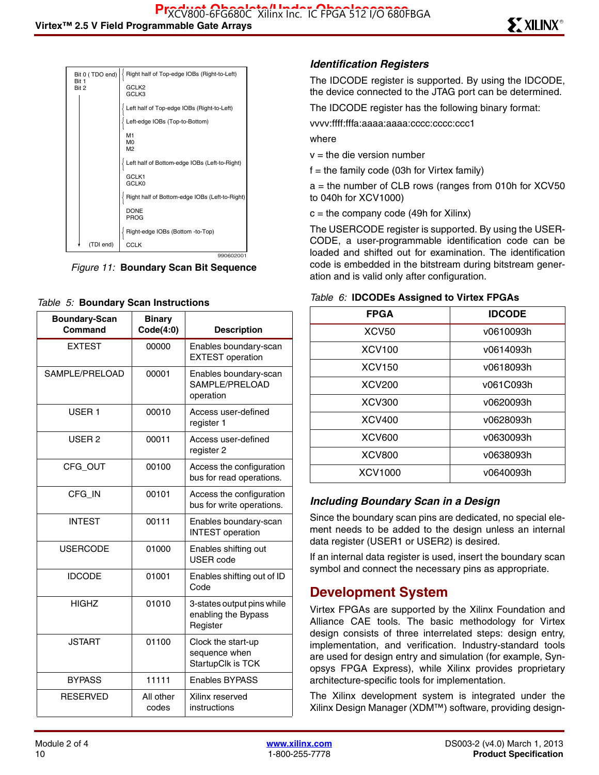| Bit 0 (TDO end)<br>Rit 1 | Right half of Top-edge IOBs (Right-to-Left)    |
|--------------------------|------------------------------------------------|
| Bit 2                    | GCLK <sub>2</sub><br>GCLK3                     |
|                          | Left half of Top-edge IOBs (Right-to-Left)     |
|                          | Left-edge IOBs (Top-to-Bottom)                 |
|                          | M1                                             |
|                          | M <sub>0</sub>                                 |
|                          | M <sub>2</sub>                                 |
|                          | Left half of Bottom-edge IOBs (Left-to-Right)  |
|                          | GCLK1<br><b>GCLK0</b>                          |
|                          | Right half of Bottom-edge IOBs (Left-to-Right) |
|                          | <b>DONE</b><br>PROG                            |
|                          | Right-edge IOBs (Bottom -to-Top)               |
| (TDI end)                | <b>CCLK</b>                                    |
|                          | 990602001                                      |

*Figure 11:* **Boundary Scan Bit Sequence**

#### *Table 5:* **Boundary Scan Instructions**

| <b>Boundary-Scan</b><br>Command | <b>Binary</b><br>Code(4:0) | <b>Description</b>                                            |
|---------------------------------|----------------------------|---------------------------------------------------------------|
| <b>EXTEST</b>                   | 00000                      | Enables boundary-scan<br><b>EXTEST</b> operation              |
| SAMPLE/PRELOAD                  | 00001                      | Enables boundary-scan<br>SAMPLE/PRELOAD<br>operation          |
| USER <sub>1</sub>               | 00010                      | Access user-defined<br>register 1                             |
| USER <sub>2</sub>               | 00011                      | Access user-defined<br>register 2                             |
| CFG_OUT                         | 00100                      | Access the configuration<br>bus for read operations.          |
| CFG_IN                          | 00101                      | Access the configuration<br>bus for write operations.         |
| <b>INTEST</b>                   | 00111                      | Enables boundary-scan<br><b>INTEST</b> operation              |
| <b>USERCODE</b>                 | 01000                      | Enables shifting out<br><b>USER</b> code                      |
| <b>IDCODE</b>                   | 01001                      | Enables shifting out of ID<br>Code                            |
| <b>HIGHZ</b>                    | 01010                      | 3-states output pins while<br>enabling the Bypass<br>Register |
| <b>JSTART</b>                   | 01100                      | Clock the start-up<br>sequence when<br>StartupClk is TCK      |
| <b>BYPASS</b>                   | 11111                      | <b>Enables BYPASS</b>                                         |
| <b>RESERVED</b>                 | All other<br>codes         | Xilinx reserved<br>instructions                               |

#### *Identification Registers*

The IDCODE register is supported. By using the IDCODE, the device connected to the JTAG port can be determined.

The IDCODE register has the following binary format:

vvvv:ffff:fffa:aaaa:aaaa:cccc:cccc:ccc1

where

 $v =$  the die version number

 $f =$  the family code (03h for Virtex family)

 $a =$  the number of CLB rows (ranges from 010h for XCV50 to 040h for XCV1000)

 $c =$  the company code (49h for Xilinx)

The USERCODE register is supported. By using the USER-CODE, a user-programmable identification code can be loaded and shifted out for examination. The identification code is embedded in the bitstream during bitstream generation and is valid only after configuration.

| <b>FPGA</b>   | <b>IDCODE</b> |
|---------------|---------------|
| <b>XCV50</b>  | v0610093h     |
| <b>XCV100</b> | v0614093h     |
| <b>XCV150</b> | v0618093h     |
| <b>XCV200</b> | v061C093h     |
| <b>XCV300</b> | v0620093h     |
| <b>XCV400</b> | v0628093h     |
| <b>XCV600</b> | v0630093h     |
| <b>XCV800</b> | v0638093h     |
| XCV1000       | v0640093h     |

#### *Table 6:* **IDCODEs Assigned to Virtex FPGAs**

#### *Including Boundary Scan in a Design*

Since the boundary scan pins are dedicated, no special element needs to be added to the design unless an internal data register (USER1 or USER2) is desired.

If an internal data register is used, insert the boundary scan symbol and connect the necessary pins as appropriate.

## **Development System**

Virtex FPGAs are supported by the Xilinx Foundation and Alliance CAE tools. The basic methodology for Virtex design consists of three interrelated steps: design entry, implementation, and verification. Industry-standard tools are used for design entry and simulation (for example, Synopsys FPGA Express), while Xilinx provides proprietary architecture-specific tools for implementation.

The Xilinx development system is integrated under the Xilinx Design Manager (XDM™) software, providing design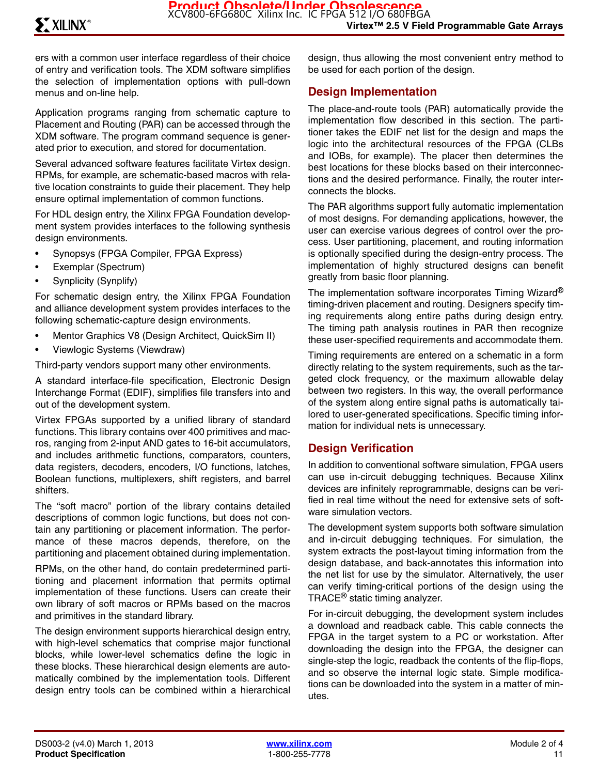ers with a common user interface regardless of their choice of entry and verification tools. The XDM software simplifies the selection of implementation options with pull-down menus and on-line help.

Application programs ranging from schematic capture to Placement and Routing (PAR) can be accessed through the XDM software. The program command sequence is generated prior to execution, and stored for documentation.

Several advanced software features facilitate Virtex design. RPMs, for example, are schematic-based macros with relative location constraints to guide their placement. They help ensure optimal implementation of common functions.

For HDL design entry, the Xilinx FPGA Foundation development system provides interfaces to the following synthesis design environments.

- Synopsys (FPGA Compiler, FPGA Express)
- Exemplar (Spectrum)
- Synplicity (Synplify)

For schematic design entry, the Xilinx FPGA Foundation and alliance development system provides interfaces to the following schematic-capture design environments.

- Mentor Graphics V8 (Design Architect, QuickSim II)
- Viewlogic Systems (Viewdraw)

Third-party vendors support many other environments.

A standard interface-file specification, Electronic Design Interchange Format (EDIF), simplifies file transfers into and out of the development system.

Virtex FPGAs supported by a unified library of standard functions. This library contains over 400 primitives and macros, ranging from 2-input AND gates to 16-bit accumulators, and includes arithmetic functions, comparators, counters, data registers, decoders, encoders, I/O functions, latches, Boolean functions, multiplexers, shift registers, and barrel shifters.

The "soft macro" portion of the library contains detailed descriptions of common logic functions, but does not contain any partitioning or placement information. The performance of these macros depends, therefore, on the partitioning and placement obtained during implementation.

RPMs, on the other hand, do contain predetermined partitioning and placement information that permits optimal implementation of these functions. Users can create their own library of soft macros or RPMs based on the macros and primitives in the standard library.

The design environment supports hierarchical design entry, with high-level schematics that comprise major functional blocks, while lower-level schematics define the logic in these blocks. These hierarchical design elements are automatically combined by the implementation tools. Different design entry tools can be combined within a hierarchical

design, thus allowing the most convenient entry method to be used for each portion of the design.

#### **Design Implementation**

The place-and-route tools (PAR) automatically provide the implementation flow described in this section. The partitioner takes the EDIF net list for the design and maps the logic into the architectural resources of the FPGA (CLBs and IOBs, for example). The placer then determines the best locations for these blocks based on their interconnections and the desired performance. Finally, the router interconnects the blocks.

The PAR algorithms support fully automatic implementation of most designs. For demanding applications, however, the user can exercise various degrees of control over the process. User partitioning, placement, and routing information is optionally specified during the design-entry process. The implementation of highly structured designs can benefit greatly from basic floor planning.

The implementation software incorporates Timing Wizard<sup>®</sup> timing-driven placement and routing. Designers specify timing requirements along entire paths during design entry. The timing path analysis routines in PAR then recognize these user-specified requirements and accommodate them.

Timing requirements are entered on a schematic in a form directly relating to the system requirements, such as the targeted clock frequency, or the maximum allowable delay between two registers. In this way, the overall performance of the system along entire signal paths is automatically tailored to user-generated specifications. Specific timing information for individual nets is unnecessary.

#### **Design Verification**

In addition to conventional software simulation, FPGA users can use in-circuit debugging techniques. Because Xilinx devices are infinitely reprogrammable, designs can be verified in real time without the need for extensive sets of software simulation vectors.

The development system supports both software simulation and in-circuit debugging techniques. For simulation, the system extracts the post-layout timing information from the design database, and back-annotates this information into the net list for use by the simulator. Alternatively, the user can verify timing-critical portions of the design using the TRACE® static timing analyzer.

For in-circuit debugging, the development system includes a download and readback cable. This cable connects the FPGA in the target system to a PC or workstation. After downloading the design into the FPGA, the designer can single-step the logic, readback the contents of the flip-flops, and so observe the internal logic state. Simple modifications can be downloaded into the system in a matter of minutes.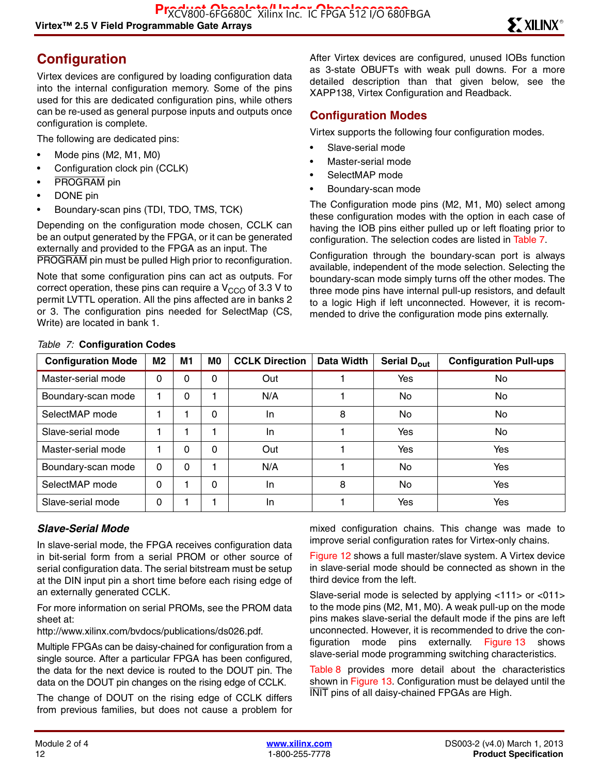## **Configuration**

Virtex devices are configured by loading configuration data into the internal configuration memory. Some of the pins used for this are dedicated configuration pins, while others can be re-used as general purpose inputs and outputs once configuration is complete.

The following are dedicated pins:

- Mode pins (M2, M1, M0)
- Configuration clock pin (CCLK)
- PROGRAM pin
- DONE pin
- Boundary-scan pins (TDI, TDO, TMS, TCK)

Depending on the configuration mode chosen, CCLK can be an output generated by the FPGA, or it can be generated externally and provided to the FPGA as an input. The PROGRAM pin must be pulled High prior to reconfiguration.

Note that some configuration pins can act as outputs. For correct operation, these pins can require a  $V_{CCO}$  of 3.3 V to permit LVTTL operation. All the pins affected are in banks 2 or 3. The configuration pins needed for SelectMap (CS, Write) are located in bank 1.

After Virtex devices are configured, unused IOBs function as 3-state OBUFTs with weak pull downs. For a more detailed description than that given below, see the XAPP138, Virtex Configuration and Readback.

#### **Configuration Modes**

Virtex supports the following four configuration modes.

- Slave-serial mode
- Master-serial mode
- SelectMAP mode
- Boundary-scan mode

The Configuration mode pins (M2, M1, M0) select among these configuration modes with the option in each case of having the IOB pins either pulled up or left floating prior to configuration. The selection codes are listed in Table 7.

Configuration through the boundary-scan port is always available, independent of the mode selection. Selecting the boundary-scan mode simply turns off the other modes. The three mode pins have internal pull-up resistors, and default to a logic High if left unconnected. However, it is recommended to drive the configuration mode pins externally.

| <b>Configuration Mode</b> | M2           | M1 | M <sub>0</sub> | <b>CCLK Direction</b> | Data Width | Serial D <sub>out</sub> | <b>Configuration Pull-ups</b> |
|---------------------------|--------------|----|----------------|-----------------------|------------|-------------------------|-------------------------------|
| Master-serial mode        | 0            | 0  | 0              | Out                   |            | Yes                     | No.                           |
| Boundary-scan mode        |              | 0  |                | N/A                   |            | No.                     | <b>No</b>                     |
| SelectMAP mode            |              |    | $\Omega$       | In.                   | 8          | No                      | No                            |
| Slave-serial mode         |              |    |                | In.                   |            | Yes                     | No.                           |
| Master-serial mode        |              | 0  | $\Omega$       | Out                   |            | Yes                     | Yes                           |
| Boundary-scan mode        | $\mathbf{0}$ | 0  |                | N/A                   |            | <b>No</b>               | Yes                           |
| SelectMAP mode            | 0            |    | 0              | In.                   | 8          | No.                     | Yes                           |
| Slave-serial mode         | 0            |    |                | In                    |            | Yes                     | Yes                           |

#### *Table 7:* **Configuration Codes**

#### *Slave-Serial Mode*

In slave-serial mode, the FPGA receives configuration data in bit-serial form from a serial PROM or other source of serial configuration data. The serial bitstream must be setup at the DIN input pin a short time before each rising edge of an externally generated CCLK.

For more information on serial PROMs, see the PROM data sheet at:

http://www.xilinx.com/bvdocs/publications/ds026.pdf.

Multiple FPGAs can be daisy-chained for configuration from a single source. After a particular FPGA has been configured, the data for the next device is routed to the DOUT pin. The data on the DOUT pin changes on the rising edge of CCLK.

The change of DOUT on the rising edge of CCLK differs from previous families, but does not cause a problem for

mixed configuration chains. This change was made to improve serial configuration rates for Virtex-only chains.

Figure 12 shows a full master/slave system. A Virtex device in slave-serial mode should be connected as shown in the third device from the left.

Slave-serial mode is selected by applying <111> or <011> to the mode pins (M2, M1, M0). A weak pull-up on the mode pins makes slave-serial the default mode if the pins are left unconnected. However, it is recommended to drive the configuration mode pins externally. Figure 13 shows slave-serial mode programming switching characteristics.

Table 8 provides more detail about the characteristics shown in Figure 13. Configuration must be delayed until the INIT pins of all daisy-chained FPGAs are High.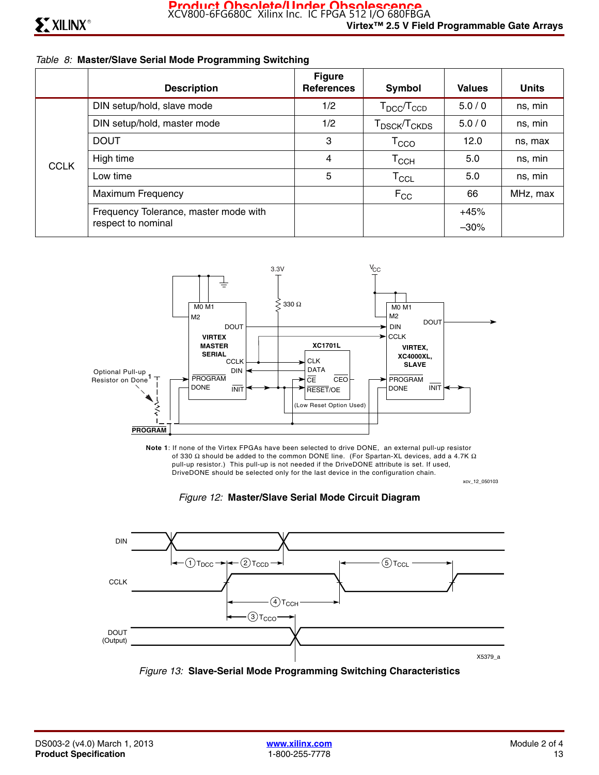#### *Table 8:* **Master/Slave Serial Mode Programming Switching**

|             | <b>Description</b>                    | <b>Figure</b><br><b>References</b> | Symbol                               | <b>Values</b> | <b>Units</b> |
|-------------|---------------------------------------|------------------------------------|--------------------------------------|---------------|--------------|
|             | DIN setup/hold, slave mode            | 1/2                                | $T_{\text{DCC}}/T_{\text{CCD}}$      | 5.0/0         | ns, min      |
|             | DIN setup/hold, master mode           |                                    | T <sub>DSCK</sub> /T <sub>CKDS</sub> | 5.0/0         | ns, min      |
|             | <b>DOUT</b>                           | 3                                  | $\mathsf{T}_{\text{CCO}}$            | 12.0          | ns, max      |
| <b>CCLK</b> | High time                             | 4                                  | Тссн                                 | 5.0           | ns, min      |
|             | Low time                              | 5                                  | $\mathsf{T}_{\mathsf{CCL}}$          | 5.0           | ns, min      |
|             | <b>Maximum Frequency</b>              |                                    | $F_{CC}$                             | 66            | MHz, max     |
|             | Frequency Tolerance, master mode with |                                    |                                      | $+45%$        |              |
|             | respect to nominal                    |                                    |                                      | $-30%$        |              |



xcv\_12\_050103 **Note 1**: If none of the Virtex FPGAs have been selected to drive DONE, an external pull-up resistor of 330  $\Omega$  should be added to the common DONE line. (For Spartan-XL devices, add a 4.7K  $\Omega$  pull-up resistor.) This pull-up is not needed if the DriveDONE attribute is set. If used, DriveDONE should be selected only for the last device in the configuration chain.





*Figure 13:* **Slave-Serial Mode Programming Switching Characteristics**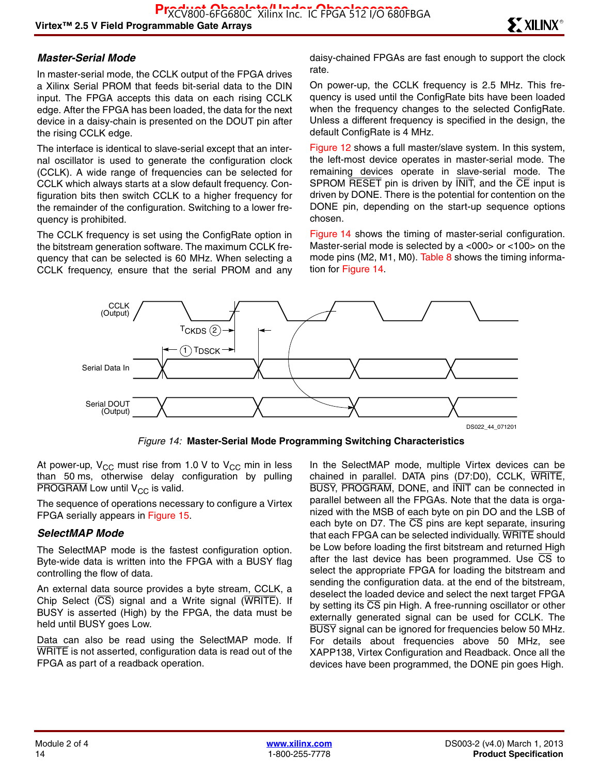#### *Master-Serial Mode*

In master-serial mode, the CCLK output of the FPGA drives a Xilinx Serial PROM that feeds bit-serial data to the DIN input. The FPGA accepts this data on each rising CCLK edge. After the FPGA has been loaded, the data for the next device in a daisy-chain is presented on the DOUT pin after the rising CCLK edge.

The interface is identical to slave-serial except that an internal oscillator is used to generate the configuration clock (CCLK). A wide range of frequencies can be selected for CCLK which always starts at a slow default frequency. Configuration bits then switch CCLK to a higher frequency for the remainder of the configuration. Switching to a lower frequency is prohibited.

The CCLK frequency is set using the ConfigRate option in the bitstream generation software. The maximum CCLK frequency that can be selected is 60 MHz. When selecting a CCLK frequency, ensure that the serial PROM and any daisy-chained FPGAs are fast enough to support the clock rate.

On power-up, the CCLK frequency is 2.5 MHz. This frequency is used until the ConfigRate bits have been loaded when the frequency changes to the selected ConfigRate. Unless a different frequency is specified in the design, the default ConfigRate is 4 MHz.

Figure 12 shows a full master/slave system. In this system, the left-most device operates in master-serial mode. The remaining devices operate in slave-serial mode. The SPROM RESET pin is driven by INIT, and the CE input is driven by DONE. There is the potential for contention on the DONE pin, depending on the start-up sequence options chosen.

Figure 14 shows the timing of master-serial configuration. Master-serial mode is selected by a <000> or <100> on the mode pins (M2, M1, M0). Table 8 shows the timing information for Figure 14.



*Figure 14:* **Master-Serial Mode Programming Switching Characteristics**

At power-up,  $V_{CC}$  must rise from 1.0 V to  $V_{CC}$  min in less than 50 ms, otherwise delay configuration by pulling PROGRAM Low until  $V_{CC}$  is valid.

The sequence of operations necessary to configure a Virtex FPGA serially appears in Figure 15.

#### *SelectMAP Mode*

The SelectMAP mode is the fastest configuration option. Byte-wide data is written into the FPGA with a BUSY flag controlling the flow of data.

An external data source provides a byte stream, CCLK, a Chip Select  $(\overline{CS})$  signal and a Write signal  $(\overline{WRITE})$ . If BUSY is asserted (High) by the FPGA, the data must be held until BUSY goes Low.

Data can also be read using the SelectMAP mode. If WRITE is not asserted, configuration data is read out of the FPGA as part of a readback operation.

In the SelectMAP mode, multiple Virtex devices can be chained in parallel. DATA pins (D7:D0), CCLK, WRITE, BUSY, PROGRAM, DONE, and INIT can be connected in parallel between all the FPGAs. Note that the data is organized with the MSB of each byte on pin DO and the LSB of each byte on D7. The  $\overline{\text{CS}}$  pins are kept separate, insuring that each FPGA can be selected individually. WRITE should be Low before loading the first bitstream and returned High after the last device has been programmed. Use  $\overline{CS}$  to select the appropriate FPGA for loading the bitstream and sending the configuration data. at the end of the bitstream, deselect the loaded device and select the next target FPGA by setting its  $\overline{CS}$  pin High. A free-running oscillator or other externally generated signal can be used for CCLK. The BUSY signal can be ignored for frequencies below 50 MHz. For details about frequencies above 50 MHz, see XAPP138, Virtex Configuration and Readback. Once all the devices have been programmed, the DONE pin goes High.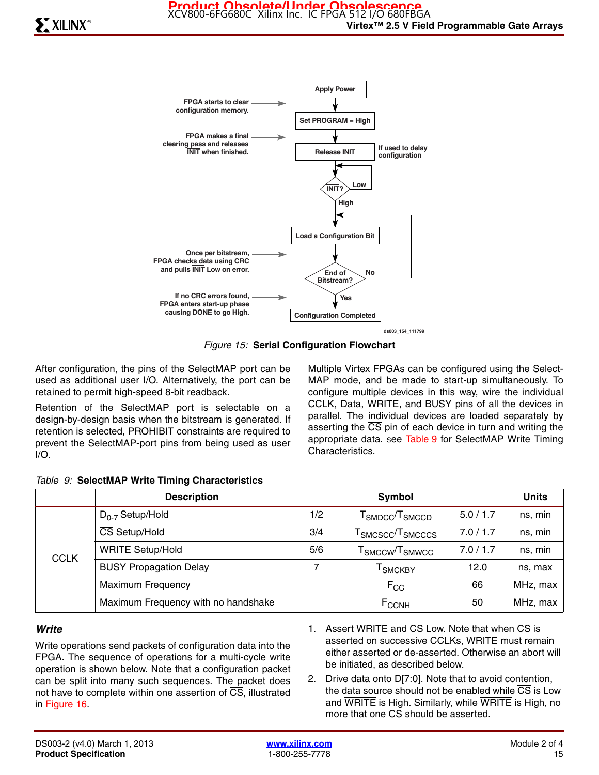

**ds003\_154\_111799**

*Figure 15:* **Serial Configuration Flowchart**

After configuration, the pins of the SelectMAP port can be used as additional user I/O. Alternatively, the port can be retained to permit high-speed 8-bit readback.

Retention of the SelectMAP port is selectable on a design-by-design basis when the bitstream is generated. If retention is selected, PROHIBIT constraints are required to prevent the SelectMAP-port pins from being used as user I/O.

Multiple Virtex FPGAs can be configured using the Select-MAP mode, and be made to start-up simultaneously. To configure multiple devices in this way, wire the individual CCLK, Data, WRITE, and BUSY pins of all the devices in parallel. The individual devices are loaded separately by asserting the  $\overline{CS}$  pin of each device in turn and writing the appropriate data. See Table 9 for SelectMAP Write Timing Characteristics.

|             | <b>Description</b>                  |     | Symbol                                                               |           | <b>Units</b> |
|-------------|-------------------------------------|-----|----------------------------------------------------------------------|-----------|--------------|
|             | $D_{0-7}$ Setup/Hold                | 1/2 | ${\sf T}_{\sf SMDCC}/{\sf T}_{\sf SMCCD}$                            | 5.0 / 1.7 | ns, min      |
|             | CS Setup/Hold                       | 3/4 | $\mathsf{\Gamma}_{\mathsf{SMCSCC}}\!/\!\mathsf{T}_{\mathsf{SMCCCS}}$ | 7.0 / 1.7 | ns, min      |
| <b>CCLK</b> | <b>WRITE</b> Setup/Hold             | 5/6 | ${\sf T}_{\mathsf{SMCCW}}$ / ${\sf T}_{\mathsf{SMWCC}}$              | 7.0 / 1.7 | ns, min      |
|             | <b>BUSY Propagation Delay</b>       | 7   | <sup>I</sup> SMCKBY                                                  | 12.0      | ns, max      |
|             | <b>Maximum Frequency</b>            |     | $F_{CC}$                                                             | 66        | MHz, max     |
|             | Maximum Frequency with no handshake |     | $F_{CCNH}$                                                           | 50        | MHz, max     |

#### *Table 9:* **SelectMAP Write Timing Characteristics**

#### *Write*

Write operations send packets of configuration data into the FPGA. The sequence of operations for a multi-cycle write operation is shown below. Note that a configuration packet can be split into many such sequences. The packet does not have to complete within one assertion of CS, illustrated in Figure 16.

- 1. Assert WRITE and CS Low. Note that when CS is asserted on successive CCLKs, WRITE must remain either asserted or de-asserted. Otherwise an abort will be initiated, as described below.
- 2. Drive data onto D[7:0]. Note that to avoid contention, the data source should not be enabled while  $\overline{CS}$  is Low and WRITE is High. Similarly, while WRITE is High, no more that one  $\overline{CS}$  should be asserted.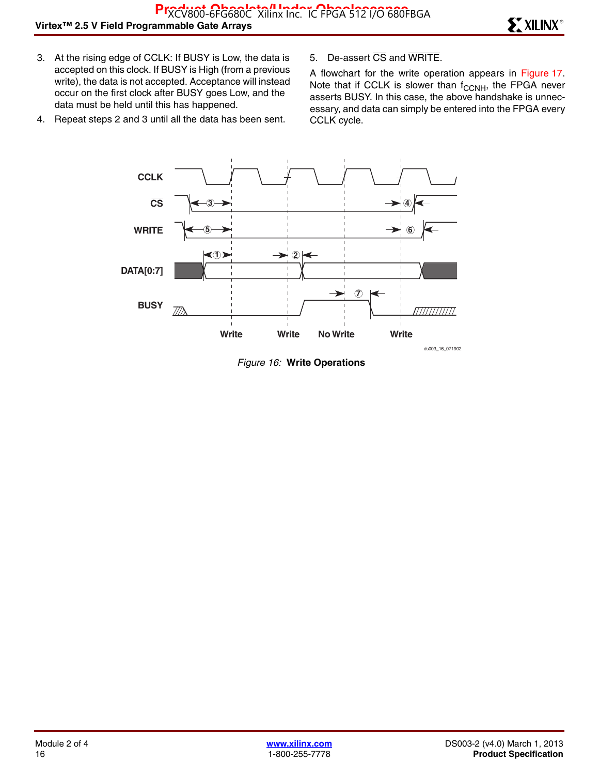- 3. At the rising edge of CCLK: If BUSY is Low, the data is accepted on this clock. If BUSY is High (from a previous write), the data is not accepted. Acceptance will instead occur on the first clock after BUSY goes Low, and the data must be held until this has happened.
- 4. Repeat steps 2 and 3 until all the data has been sent.
- 5. De-assert CS and WRITE.

A flowchart for the write operation appears in Figure 17. Note that if CCLK is slower than  $f_{\text{CCNH}}$ , the FPGA never asserts BUSY. In this case, the above handshake is unnecessary, and data can simply be entered into the FPGA every CCLK cycle.



*Figure 16:* **Write Operations**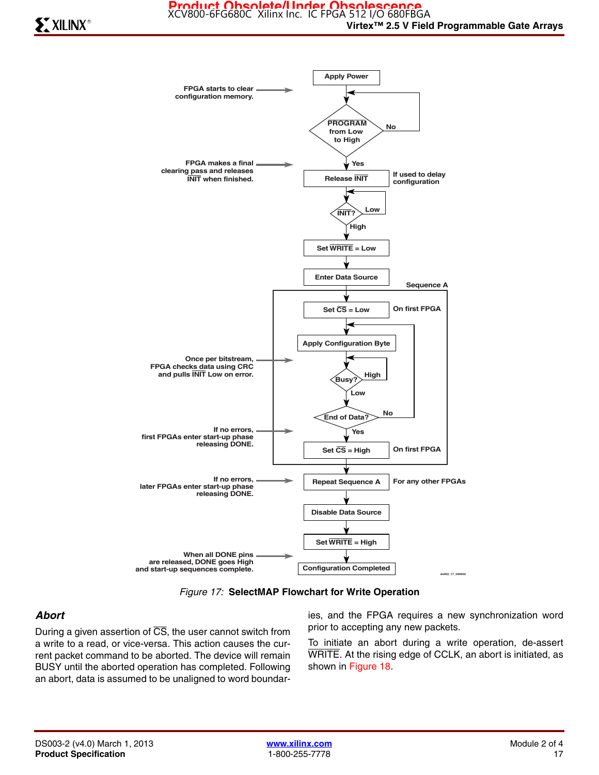

*Figure 17:* **SelectMAP Flowchart for Write Operation**

#### *Abort*

During a given assertion of  $\overline{CS}$ , the user cannot switch from a write to a read, or vice-versa. This action causes the current packet command to be aborted. The device will remain BUSY until the aborted operation has completed. Following an abort, data is assumed to be unaligned to word boundaries, and the FPGA requires a new synchronization word prior to accepting any new packets.

To initiate an abort during a write operation, de-assert WRITE. At the rising edge of CCLK, an abort is initiated, as shown in Figure 18.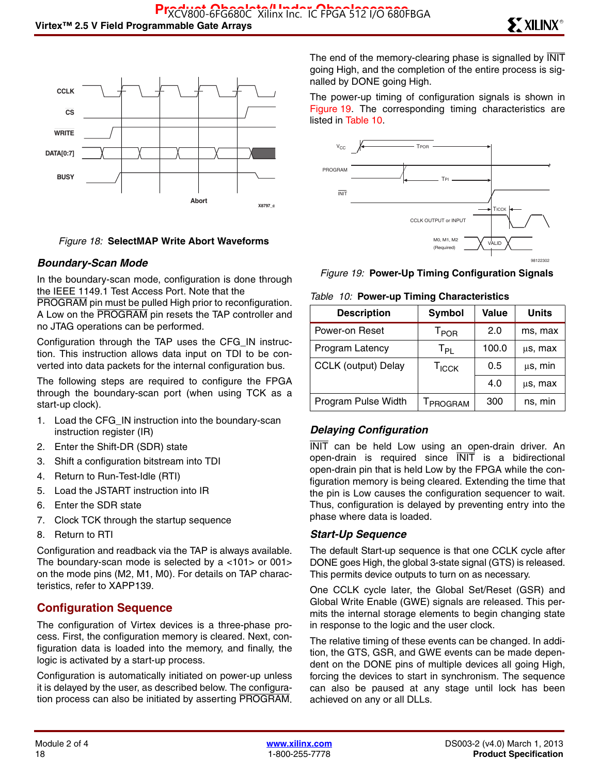

#### *Figure 18:* **SelectMAP Write Abort Waveforms**

#### *Boundary-Scan Mode*

In the boundary-scan mode, configuration is done through the IEEE 1149.1 Test Access Port. Note that the

PROGRAM pin must be pulled High prior to reconfiguration. A Low on the PROGRAM pin resets the TAP controller and no JTAG operations can be performed.

Configuration through the TAP uses the CFG\_IN instruction. This instruction allows data input on TDI to be converted into data packets for the internal configuration bus.

The following steps are required to configure the FPGA through the boundary-scan port (when using TCK as a start-up clock).

- 1. Load the CFG\_IN instruction into the boundary-scan instruction register (IR)
- 2. Enter the Shift-DR (SDR) state
- 3. Shift a configuration bitstream into TDI
- 4. Return to Run-Test-Idle (RTI)
- 5. Load the JSTART instruction into IR
- 6. Enter the SDR state
- 7. Clock TCK through the startup sequence
- 8. Return to RTI

Configuration and readback via the TAP is always available. The boundary-scan mode is selected by a <101> or 001> on the mode pins (M2, M1, M0). For details on TAP characteristics, refer to XAPP139.

#### **Configuration Sequence**

The configuration of Virtex devices is a three-phase process. First, the configuration memory is cleared. Next, configuration data is loaded into the memory, and finally, the logic is activated by a start-up process.

Configuration is automatically initiated on power-up unless it is delayed by the user, as described below. The configuration process can also be initiated by asserting PROGRAM. The end of the memory-clearing phase is signalled by  $\overline{\text{INIT}}$ going High, and the completion of the entire process is signalled by DONE going High.

The power-up timing of configuration signals is shown in Figure 19. The corresponding timing characteristics are listed in Table 10.





#### *Table 10:* **Power-up Timing Characteristics**

| <b>Description</b>         | Symbol                      | <b>Value</b> | <b>Units</b> |  |  |  |
|----------------------------|-----------------------------|--------------|--------------|--|--|--|
| Power-on Reset             | $\mathsf{T}_{\mathsf{POR}}$ | 2.0          | ms, max      |  |  |  |
| Program Latency            | $T_{PL}$                    | 100.0        | us, max      |  |  |  |
| <b>CCLK (output) Delay</b> | T <sub>ICCK</sub>           | 0.5          | $\mu$ s, min |  |  |  |
|                            |                             | 4.0          | μs, max      |  |  |  |
| Program Pulse Width        | T <sub>PROGRAM</sub>        | 300          | ns, min      |  |  |  |

#### *Delaying Configuration*

INIT can be held Low using an open-drain driver. An open-drain is required since INIT is a bidirectional open-drain pin that is held Low by the FPGA while the configuration memory is being cleared. Extending the time that the pin is Low causes the configuration sequencer to wait. Thus, configuration is delayed by preventing entry into the phase where data is loaded.

#### *Start-Up Sequence*

The default Start-up sequence is that one CCLK cycle after DONE goes High, the global 3-state signal (GTS) is released. This permits device outputs to turn on as necessary.

One CCLK cycle later, the Global Set/Reset (GSR) and Global Write Enable (GWE) signals are released. This permits the internal storage elements to begin changing state in response to the logic and the user clock.

The relative timing of these events can be changed. In addition, the GTS, GSR, and GWE events can be made dependent on the DONE pins of multiple devices all going High, forcing the devices to start in synchronism. The sequence can also be paused at any stage until lock has been achieved on any or all DLLs.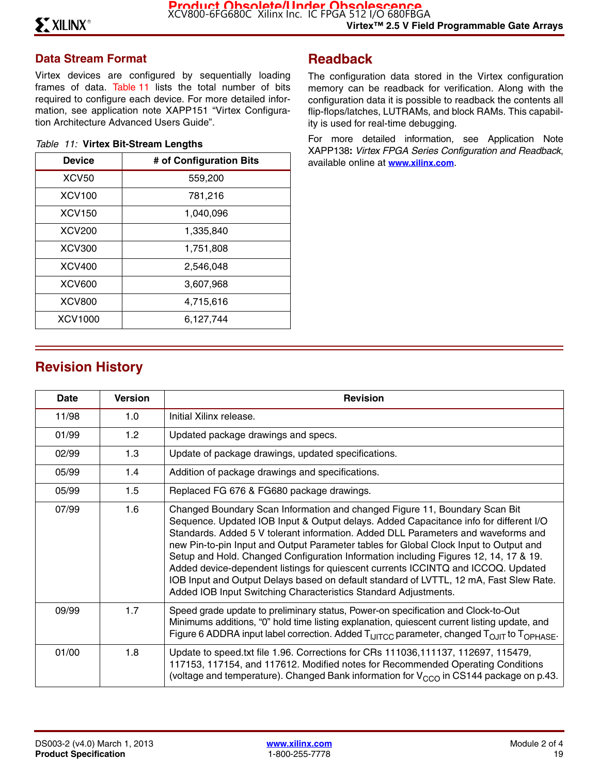### **Data Stream Format**

Virtex devices are configured by sequentially loading frames of data. Table 11 lists the total number of bits required to configure each device. For more detailed information, see application note XAPP151 "Virtex Configuration Architecture Advanced Users Guide".

|  |  |  | Table 11: Virtex Bit-Stream Lengths |  |
|--|--|--|-------------------------------------|--|
|--|--|--|-------------------------------------|--|

| <b>Device</b>  | # of Configuration Bits |
|----------------|-------------------------|
| <b>XCV50</b>   | 559,200                 |
| <b>XCV100</b>  | 781,216                 |
| <b>XCV150</b>  | 1,040,096               |
| <b>XCV200</b>  | 1,335,840               |
| <b>XCV300</b>  | 1,751,808               |
| XCV400         | 2,546,048               |
| <b>XCV600</b>  | 3,607,968               |
| <b>XCV800</b>  | 4,715,616               |
| <b>XCV1000</b> | 6,127,744               |

## **Readback**

The configuration data stored in the Virtex configuration memory can be readback for verification. Along with the configuration data it is possible to readback the contents all flip-flops/latches, LUTRAMs, and block RAMs. This capability is used for real-time debugging.

For more detailed information, see Application Note XAPP138**:** *Virtex FPGA Series Configuration and Readback*, available online at **[www.xilinx.com](http://www.xilinx.com)**.

## **Revision History**

| Date  | <b>Version</b> | <b>Revision</b>                                                                                                                                                                                                                                                                                                                                                                                                                                                                                                                                                                                                                                                                             |
|-------|----------------|---------------------------------------------------------------------------------------------------------------------------------------------------------------------------------------------------------------------------------------------------------------------------------------------------------------------------------------------------------------------------------------------------------------------------------------------------------------------------------------------------------------------------------------------------------------------------------------------------------------------------------------------------------------------------------------------|
| 11/98 | 1.0            | Initial Xilinx release.                                                                                                                                                                                                                                                                                                                                                                                                                                                                                                                                                                                                                                                                     |
| 01/99 | 1.2            | Updated package drawings and specs.                                                                                                                                                                                                                                                                                                                                                                                                                                                                                                                                                                                                                                                         |
| 02/99 | 1.3            | Update of package drawings, updated specifications.                                                                                                                                                                                                                                                                                                                                                                                                                                                                                                                                                                                                                                         |
| 05/99 | 1.4            | Addition of package drawings and specifications.                                                                                                                                                                                                                                                                                                                                                                                                                                                                                                                                                                                                                                            |
| 05/99 | 1.5            | Replaced FG 676 & FG680 package drawings.                                                                                                                                                                                                                                                                                                                                                                                                                                                                                                                                                                                                                                                   |
| 07/99 | 1.6            | Changed Boundary Scan Information and changed Figure 11, Boundary Scan Bit<br>Sequence. Updated IOB Input & Output delays. Added Capacitance info for different I/O<br>Standards. Added 5 V tolerant information. Added DLL Parameters and waveforms and<br>new Pin-to-pin Input and Output Parameter tables for Global Clock Input to Output and<br>Setup and Hold. Changed Configuration Information including Figures 12, 14, 17 & 19.<br>Added device-dependent listings for quiescent currents ICCINTQ and ICCOQ. Updated<br>IOB Input and Output Delays based on default standard of LVTTL, 12 mA, Fast Slew Rate.<br>Added IOB Input Switching Characteristics Standard Adjustments. |
| 09/99 | 1.7            | Speed grade update to preliminary status, Power-on specification and Clock-to-Out<br>Minimums additions, "0" hold time listing explanation, quiescent current listing update, and<br>Figure 6 ADDRA input label correction. Added T <sub>IJITCC</sub> parameter, changed T <sub>OJIT</sub> to T <sub>OPHASE</sub> .                                                                                                                                                                                                                                                                                                                                                                         |
| 01/00 | 1.8            | Update to speed.txt file 1.96. Corrections for CRs 111036,111137, 112697, 115479,<br>117153, 117154, and 117612. Modified notes for Recommended Operating Conditions<br>(voltage and temperature). Changed Bank information for $V_{CCO}$ in CS144 package on p.43.                                                                                                                                                                                                                                                                                                                                                                                                                         |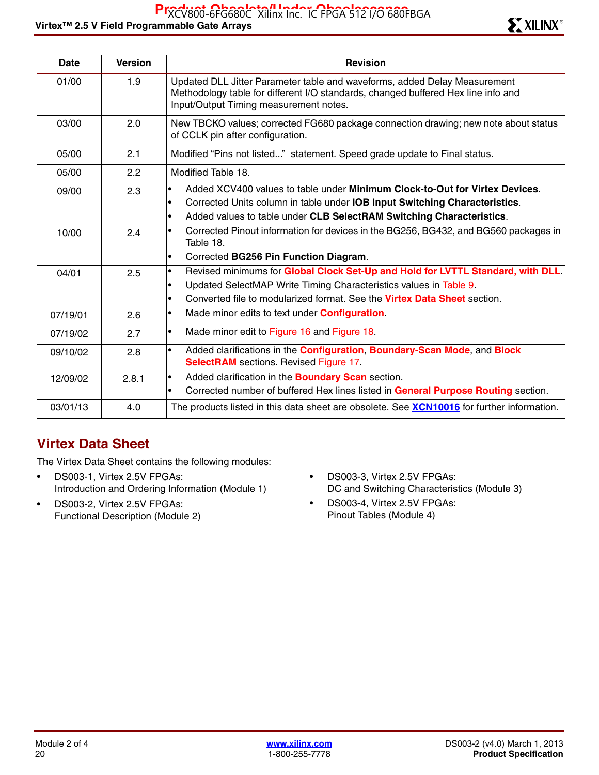| <b>Date</b> | <b>Version</b> | <b>Revision</b>                                                                                                                                                                                                                                                   |
|-------------|----------------|-------------------------------------------------------------------------------------------------------------------------------------------------------------------------------------------------------------------------------------------------------------------|
| 01/00       | 1.9            | Updated DLL Jitter Parameter table and waveforms, added Delay Measurement<br>Methodology table for different I/O standards, changed buffered Hex line info and<br>Input/Output Timing measurement notes.                                                          |
| 03/00       | 2.0            | New TBCKO values; corrected FG680 package connection drawing; new note about status<br>of CCLK pin after configuration.                                                                                                                                           |
| 05/00       | 2.1            | Modified "Pins not listed" statement. Speed grade update to Final status.                                                                                                                                                                                         |
| 05/00       | 2.2            | Modified Table 18.                                                                                                                                                                                                                                                |
| 09/00       | 2.3            | Added XCV400 values to table under Minimum Clock-to-Out for Virtex Devices.<br>$\bullet$<br>Corrected Units column in table under IOB Input Switching Characteristics.<br>$\bullet$<br>Added values to table under CLB SelectRAM Switching Characteristics.<br>٠  |
| 10/00       | 2.4            | Corrected Pinout information for devices in the BG256, BG432, and BG560 packages in<br>$\bullet$<br>Table 18.<br>Corrected BG256 Pin Function Diagram.<br>$\bullet$                                                                                               |
| 04/01       | 2.5            | Revised minimums for Global Clock Set-Up and Hold for LVTTL Standard, with DLL.<br>$\bullet$<br>Updated SelectMAP Write Timing Characteristics values in Table 9.<br>Converted file to modularized format. See the <b>Virtex Data Sheet</b> section.<br>$\bullet$ |
| 07/19/01    | 2.6            | Made minor edits to text under <b>Configuration</b> .<br>$\bullet$                                                                                                                                                                                                |
| 07/19/02    | 2.7            | Made minor edit to Figure 16 and Figure 18.<br>$\bullet$                                                                                                                                                                                                          |
| 09/10/02    | 2.8            | Added clarifications in the Configuration, Boundary-Scan Mode, and Block<br>$\bullet$<br><b>SelectRAM</b> sections. Revised Figure 17.                                                                                                                            |
| 12/09/02    | 2.8.1          | Added clarification in the <b>Boundary Scan</b> section.<br>$\bullet$<br>Corrected number of buffered Hex lines listed in General Purpose Routing section.<br>$\bullet$                                                                                           |
| 03/01/13    | 4.0            | The products listed in this data sheet are obsolete. See <b>XCN10016</b> for further information.                                                                                                                                                                 |

## **Virtex Data Sheet**

The Virtex Data Sheet contains the following modules:

- DS003-1, Virtex 2.5V FPGAs: Introduction and Ordering Information (Module 1)
- DS003-2, Virtex 2.5V FPGAs: Functional Description (Module 2)
- DS003-3, Virtex 2.5V FPGAs: DC and Switching Characteristics (Module 3)
- DS003-4, Virtex 2.5V FPGAs: Pinout Tables (Module 4)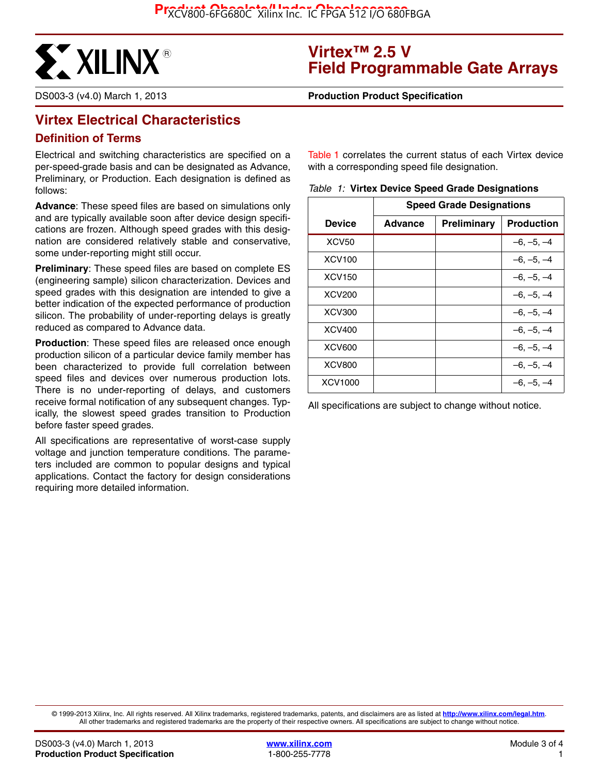

## **Virtex™ 2.5 V Field Programmable Gate Arrays**

DS003-3 (v4.0) March 1, 2013 **0 0 Production Product Specification**

## **Virtex Electrical Characteristics**

#### **Definition of Terms**

Electrical and switching characteristics are specified on a per-speed-grade basis and can be designated as Advance, Preliminary, or Production. Each designation is defined as follows:

**Advance**: These speed files are based on simulations only and are typically available soon after device design specifications are frozen. Although speed grades with this designation are considered relatively stable and conservative, some under-reporting might still occur.

**Preliminary**: These speed files are based on complete ES (engineering sample) silicon characterization. Devices and speed grades with this designation are intended to give a better indication of the expected performance of production silicon. The probability of under-reporting delays is greatly reduced as compared to Advance data.

**Production**: These speed files are released once enough production silicon of a particular device family member has been characterized to provide full correlation between speed files and devices over numerous production lots. There is no under-reporting of delays, and customers receive formal notification of any subsequent changes. Typically, the slowest speed grades transition to Production before faster speed grades.

All specifications are representative of worst-case supply voltage and junction temperature conditions. The parameters included are common to popular designs and typical applications. Contact the factory for design considerations requiring more detailed information.

Table 1 correlates the current status of each Virtex device with a corresponding speed file designation.

|  |  |  | Table 1: Virtex Device Speed Grade Designations |
|--|--|--|-------------------------------------------------|
|--|--|--|-------------------------------------------------|

|                    | <b>Speed Grade Designations</b> |             |                   |  |  |
|--------------------|---------------------------------|-------------|-------------------|--|--|
| Device             | <b>Advance</b>                  | Preliminary | <b>Production</b> |  |  |
| XCV <sub>50</sub>  |                                 |             | $-6, -5, -4$      |  |  |
| <b>XCV100</b>      |                                 |             | $-6, -5, -4$      |  |  |
| XCV <sub>150</sub> |                                 |             | $-6, -5, -4$      |  |  |
| <b>XCV200</b>      |                                 |             | $-6, -5, -4$      |  |  |
| <b>XCV300</b>      |                                 |             | $-6, -5, -4$      |  |  |
| <b>XCV400</b>      |                                 |             | $-6, -5, -4$      |  |  |
| <b>XCV600</b>      |                                 |             | $-6, -5, -4$      |  |  |
| <b>XCV800</b>      |                                 |             | –6. –5. –4        |  |  |
| XCV1000            |                                 |             | $-6, -5, -4$      |  |  |

All specifications are subject to change without notice.

© 1999-2013 Xilinx, Inc. All rights reserved. All Xilinx trademarks, registered trademarks, patents, and disclaimers are as listed at **<http://www.xilinx.com/legal.htm>**. All other trademarks and registered trademarks are the property of their respective owners. All specifications are subject to change without notice.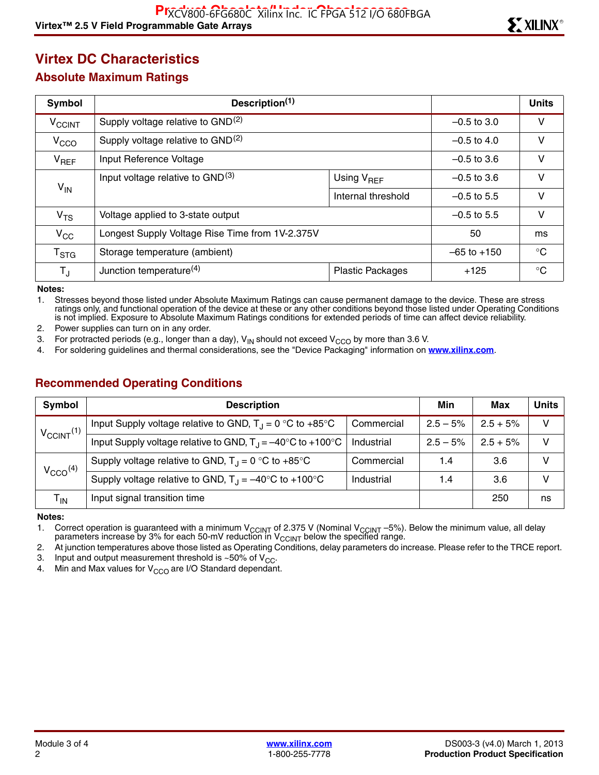## **Virtex DC Characteristics**

#### **Absolute Maximum Ratings**

| Symbol                   | Description <sup>(1)</sup>                      |                         |               | <b>Units</b> |  |
|--------------------------|-------------------------------------------------|-------------------------|---------------|--------------|--|
| <b>V<sub>CCINT</sub></b> | Supply voltage relative to GND <sup>(2)</sup>   | $-0.5$ to 3.0           | V             |              |  |
| V <sub>CCO</sub>         | Supply voltage relative to GND <sup>(2)</sup>   | $-0.5$ to 4.0           | v             |              |  |
| $V_{REF}$                | Input Reference Voltage                         | $-0.5$ to 3.6           | v             |              |  |
|                          | Input voltage relative to GND <sup>(3)</sup>    | Using V <sub>REF</sub>  | $-0.5$ to 3.6 | v            |  |
| $V_{IN}$                 |                                                 | Internal threshold      | $-0.5$ to 5.5 | $\vee$       |  |
| V <sub>TS</sub>          | Voltage applied to 3-state output               |                         | $-0.5$ to 5.5 | $\vee$       |  |
| $V_{CC}$                 | Longest Supply Voltage Rise Time from 1V-2.375V | 50                      | ms            |              |  |
| $T_{\text{STG}}$         | Storage temperature (ambient)                   | $-65$ to $+150$         | $^{\circ}C$   |              |  |
| $T_{\sf J}$              | Junction temperature <sup>(4)</sup>             | <b>Plastic Packages</b> |               |              |  |

**Notes:** 

1. Stresses beyond those listed under Absolute Maximum Ratings can cause permanent damage to the device. These are stress ratings only, and functional operation of the device at these or any other conditions beyond those listed under Operating Conditions is not implied. Exposure to Absolute Maximum Ratings conditions for extended periods of time can affect device reliability.

2. Power supplies can turn on in any order.

3. For protracted periods (e.g., longer than a day),  $V_{IN}$  should not exceed  $V_{CCO}$  by more than 3.6 V.<br>4. For soldering quidelines and thermal considerations, see the "Device Packaging" information on t

4. For soldering guidelines and thermal considerations, see the "Device Packaging" information on **[www.xilinx.com](http://www.xilinx.com)**.

### **Recommended Operating Conditions**

| <b>Symbol</b>              | <b>Description</b>                                                                                      | Min        | Max        | Units      |    |
|----------------------------|---------------------------------------------------------------------------------------------------------|------------|------------|------------|----|
| $V_{CClNT}$ <sup>(1)</sup> | Input Supply voltage relative to GND, $T_J = 0$ °C to +85°C                                             | Commercial | $2.5 - 5%$ | $2.5 + 5%$ | v  |
|                            | Input Supply voltage relative to GND, $T_{\text{J}} = -40^{\circ} \text{C}$ to +100 $^{\circ} \text{C}$ | Industrial | $2.5 - 5%$ | $2.5 + 5%$ | v  |
| $V_{CCO}$ <sup>(4)</sup>   | Supply voltage relative to GND, $T_1 = 0$ °C to +85°C                                                   | Commercial | 1.4        | 3.6        |    |
|                            | Supply voltage relative to GND, $T_{\text{J}} = -40^{\circ} \text{C}$ to +100°C                         | Industrial | 1.4        | 3.6        |    |
| T <sub>IN</sub>            | Input signal transition time                                                                            |            |            | 250        | ns |

**Notes:** 

1. Correct operation is guaranteed with a minimum V<sub>CCINT</sub> of 2.375 V (Nominal V<sub>CCINT</sub> –5%). Below the minimum value, all delay parameters increase by 3% for each 50-mV reduction in V $_{\rm CCINT}$  below the specified range.

2. At junction temperatures above those listed as Operating Conditions, delay parameters do increase. Please refer to the TRCE report.

3. Input and output measurement threshold is  $~50\%$  of V<sub>CC</sub>.<br>4. Min and Max values for V<sub>CCO</sub> are I/O Standard dependant

Min and Max values for  $V_{CCO}$  are I/O Standard dependant.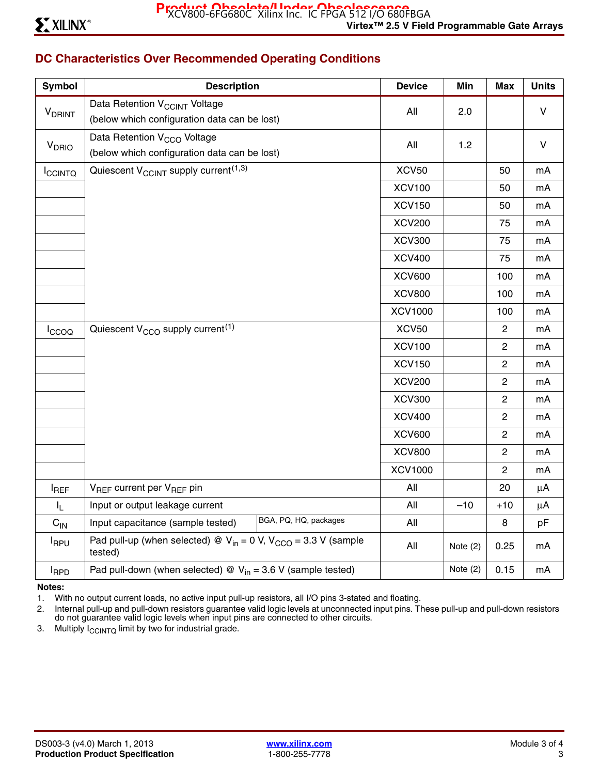## **DC Characteristics Over Recommended Operating Conditions**

| Symbol                    | <b>Description</b>                                                                  | <b>Device</b>  | Min        | <b>Max</b>     | <b>Units</b> |
|---------------------------|-------------------------------------------------------------------------------------|----------------|------------|----------------|--------------|
| <b>V</b> <sub>DRINT</sub> | Data Retention V <sub>CCINT</sub> Voltage                                           | All            | 2.0        |                | $\mathsf{V}$ |
|                           | (below which configuration data can be lost)                                        |                |            |                |              |
| V <sub>DRIO</sub>         | Data Retention V <sub>CCO</sub> Voltage                                             | All            | 1.2        |                | $\mathsf{V}$ |
|                           | (below which configuration data can be lost)                                        |                |            |                |              |
| <b>ICCINTQ</b>            | Quiescent V <sub>CCINT</sub> supply current <sup>(1,3)</sup>                        | <b>XCV50</b>   |            | 50             | mA           |
|                           |                                                                                     | <b>XCV100</b>  |            | 50             | mA           |
|                           |                                                                                     | <b>XCV150</b>  |            | 50             | mA           |
|                           |                                                                                     | <b>XCV200</b>  |            | 75             | mA           |
|                           |                                                                                     | <b>XCV300</b>  |            | 75             | mA           |
|                           |                                                                                     | <b>XCV400</b>  |            | 75             | mA           |
|                           |                                                                                     | <b>XCV600</b>  |            | 100            | mA           |
|                           |                                                                                     | <b>XCV800</b>  |            | 100            | mA           |
|                           |                                                                                     | <b>XCV1000</b> |            | 100            | mA           |
| Iccoo                     | Quiescent V <sub>CCO</sub> supply current <sup>(1)</sup>                            | <b>XCV50</b>   |            | $\overline{c}$ | mA           |
|                           |                                                                                     | <b>XCV100</b>  |            | $\overline{c}$ | mA           |
|                           |                                                                                     | <b>XCV150</b>  |            | $\overline{c}$ | mA           |
|                           |                                                                                     | <b>XCV200</b>  |            | $\overline{c}$ | mA           |
|                           |                                                                                     | <b>XCV300</b>  |            | $\overline{c}$ | mA           |
|                           |                                                                                     | <b>XCV400</b>  |            | $\overline{c}$ | mA           |
|                           |                                                                                     | <b>XCV600</b>  |            | $\mathbf{2}$   | mA           |
|                           |                                                                                     | <b>XCV800</b>  |            | $\overline{2}$ | mA           |
|                           |                                                                                     | <b>XCV1000</b> |            | $\mathbf{2}$   | mA           |
| <b>I</b> REF              | V <sub>REF</sub> current per V <sub>REF</sub> pin                                   | All            |            | 20             | $\mu$ A      |
| $I_L$                     | Input or output leakage current                                                     | All            | $-10$      | $+10$          | $\mu$ A      |
| $C_{IN}$                  | BGA, PQ, HQ, packages<br>Input capacitance (sample tested)                          | All            |            | 8              | pF           |
| <b>I</b> RPU              | Pad pull-up (when selected) @ $V_{in} = 0$ V, $V_{CCO} = 3.3$ V (sample<br>tested)  | All            | Note (2)   | 0.25           | mA           |
| <b>I</b> RPD              | Pad pull-down (when selected) $\mathcal{Q}$ V <sub>in</sub> = 3.6 V (sample tested) |                | Note $(2)$ | 0.15           | mA           |

#### **Notes:**

1. With no output current loads, no active input pull-up resistors, all I/O pins 3-stated and floating.

2. Internal pull-up and pull-down resistors guarantee valid logic levels at unconnected input pins. These pull-up and pull-down resistors do not guarantee valid logic levels when input pins are connected to other circuits.

3. Multiply  $I_{\text{CCINTQ}}$  limit by two for industrial grade.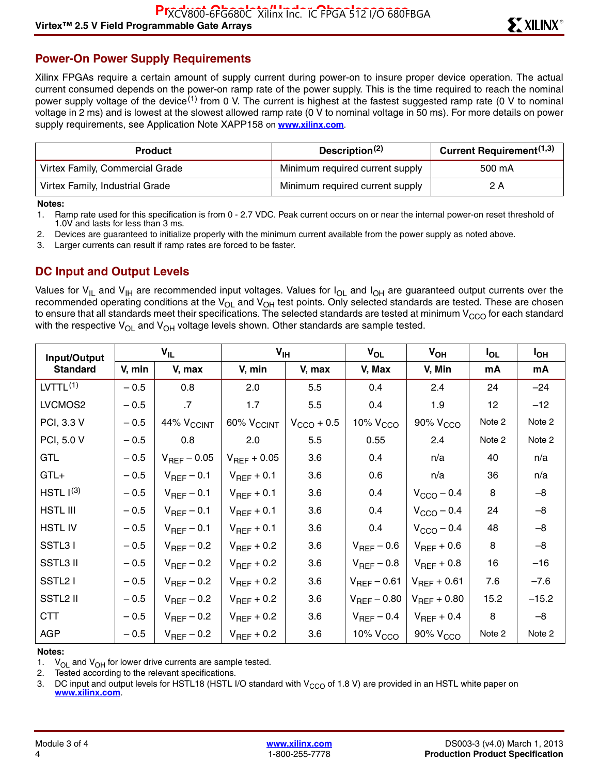#### **Power-On Power Supply Requirements**

Xilinx FPGAs require a certain amount of supply current during power-on to insure proper device operation. The actual current consumed depends on the power-on ramp rate of the power supply. This is the time required to reach the nominal power supply voltage of the device<sup>(1)</sup> from 0 V. The current is highest at the fastest suggested ramp rate (0 V to nominal voltage in 2 ms) and is lowest at the slowest allowed ramp rate (0 V to nominal voltage in 50 ms). For more details on power supply requirements, see Application Note XAPP158 on **[www.xilinx.com](http://www.xilinx.com)**.

| <b>Product</b>                  | Description <sup>(2)</sup>      | <b>Current Requirement</b> <sup>(1,3)</sup> |  |  |
|---------------------------------|---------------------------------|---------------------------------------------|--|--|
| Virtex Family, Commercial Grade | Minimum required current supply | 500 mA                                      |  |  |
| Virtex Family, Industrial Grade | Minimum required current supply | 2 A                                         |  |  |

#### **Notes:**

1. Ramp rate used for this specification is from 0 - 2.7 VDC. Peak current occurs on or near the internal power-on reset threshold of 1.0V and lasts for less than 3 ms.

2. Devices are guaranteed to initialize properly with the minimum current available from the power supply as noted above.

3. Larger currents can result if ramp rates are forced to be faster.

#### **DC Input and Output Levels**

Values for V<sub>IL</sub> and V<sub>IH</sub> are recommended input voltages. Values for I<sub>OL</sub> and I<sub>OH</sub> are guaranteed output currents over the recommended operating conditions at the V<sub>OL</sub> and V<sub>OH</sub> test points. Only selected standards are tested. These are chosen to ensure that all standards meet their specifications. The selected standards are tested at minimum V $_{\rm{CCO}}$  for each standard with the respective  $V_{OL}$  and  $V_{OH}$  voltage levels shown. Other standards are sample tested.

| Input/Output          | $V_{IL}$ |                            |                            | $V_{\text{IH}}$        |                      | $V_{OH}$               | $I_{OL}$        | I <sub>OH</sub> |
|-----------------------|----------|----------------------------|----------------------------|------------------------|----------------------|------------------------|-----------------|-----------------|
| <b>Standard</b>       | V, min   | V, max                     | V, min                     | V, max                 | V, Max               | V, Min                 | mA              | mA              |
| LVTTL <sup>(1)</sup>  | $-0.5$   | 0.8                        | 2.0                        | 5.5                    | 0.4                  | 2.4                    | 24              | $-24$           |
| LVCMOS2               | $-0.5$   | $\cdot$ 7                  | 1.7                        | 5.5                    | 0.4                  | 1.9                    | 12 <sub>2</sub> | $-12$           |
| PCI, 3.3 V            | $-0.5$   | $44\%$ $\rm V_{\rm CCINT}$ | $60\%$ $\rm V_{\rm CCINT}$ | $V_{\text{CCO}} + 0.5$ | 10% V <sub>CCO</sub> | 90% V <sub>CCO</sub>   | Note 2          | Note 2          |
| PCI, 5.0 V            | $-0.5$   | 0.8                        | 2.0                        | 5.5                    | 0.55                 | 2.4                    | Note 2          | Note 2          |
| <b>GTL</b>            | $-0.5$   | $V_{REF}$ – 0.05           | $V_{REF}$ + 0.05           | 3.6                    | 0.4                  | n/a                    | 40              | n/a             |
| $GTL+$                | $-0.5$   | $V_{REF}$ – 0.1            | $V_{REF}$ + 0.1            | 3.6                    | 0.6                  | n/a                    | 36              | n/a             |
| HSTL I <sup>(3)</sup> | $-0.5$   | $V_{REF}$ – 0.1            | $V_{REF}$ + 0.1            | 3.6                    | 0.4                  | $V_{\text{CCO}} - 0.4$ | 8               | $-8$            |
| <b>HSTL III</b>       | $-0.5$   | $V_{REF}$ – 0.1            | $V_{REF}$ + 0.1            | 3.6                    | 0.4                  | $V_{\text{CCO}}$ – 0.4 | 24              | $-8$            |
| <b>HSTLIV</b>         | $-0.5$   | $V_{REF}$ – 0.1            | $V_{REF}$ + 0.1            | 3.6                    | 0.4                  | $V_{\text{CCO}}$ – 0.4 | 48              | $-8$            |
| SSTL31                | $-0.5$   | $V_{REF}$ – 0.2            | $V_{REF}$ + 0.2            | 3.6                    | $V_{REF}$ – 0.6      | $V_{REF}$ + 0.6        | 8               | $-8$            |
| <b>SSTL3 II</b>       | $-0.5$   | $V_{REF}$ – 0.2            | $V_{REF}$ + 0.2            | 3.6                    | $V_{REF}$ – 0.8      | $V_{REF}$ + 0.8        | 16              | $-16$           |
| SSTL <sub>2</sub> I   | $-0.5$   | $V_{REF}$ – 0.2            | $V_{REF}$ + 0.2            | 3.6                    | $V_{REF}$ – 0.61     | $V_{REF}$ + 0.61       | 7.6             | $-7.6$          |
| SSTL2 II              | $-0.5$   | $V_{REF}$ – 0.2            | $V_{REF}$ + 0.2            | 3.6                    | $V_{REF}$ – 0.80     | $V_{REF} + 0.80$       | 15.2            | $-15.2$         |
| <b>CTT</b>            | $-0.5$   | $V_{REF}$ – 0.2            | $V_{REF}$ + 0.2            | 3.6                    | $V_{REF}$ – 0.4      | $V_{REF}$ + 0.4        | 8               | $-8$            |
| <b>AGP</b>            | $-0.5$   | $V_{REF}$ – 0.2            | $V_{REF}$ + 0.2            | 3.6                    | 10% $VCCO$           | 90% V <sub>CCO</sub>   | Note 2          | Note 2          |

#### **Notes:**

1.  $V_{OL}$  and  $V_{OH}$  for lower drive currents are sample tested.

2. Tested according to the relevant specifications.

3. DC input and output levels for HSTL18 (HSTL I/O standard with  $V_{CCO}$  of 1.8 V) are provided in an HSTL white paper on **[www.xilinx.com](http://www.xilinx.com)**.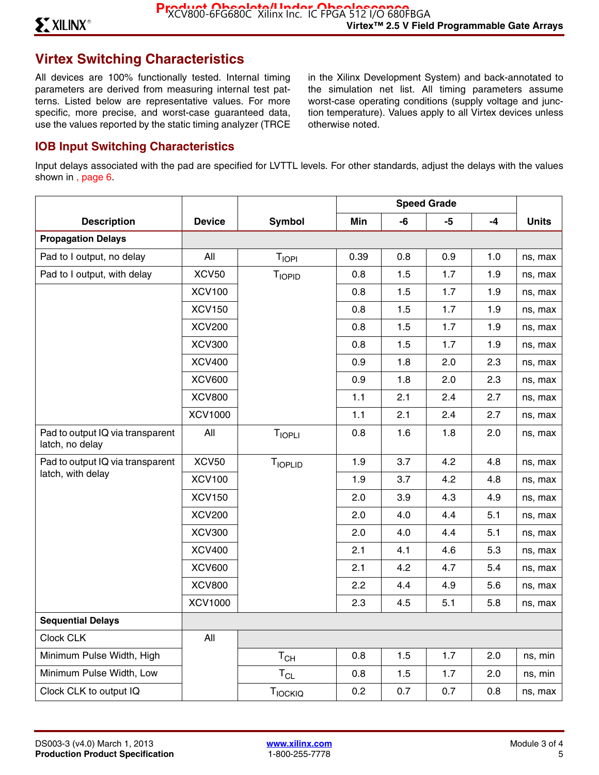## **Virtex Switching Characteristics**

All devices are 100% functionally tested. Internal timing parameters are derived from measuring internal test patterns. Listed below are representative values. For more specific, more precise, and worst-case guaranteed data, use the values reported by the static timing analyzer (TRCE in the Xilinx Development System) and back-annotated to the simulation net list. All timing parameters assume worst-case operating conditions (supply voltage and junction temperature). Values apply to all Virtex devices unless otherwise noted.

#### **IOB Input Switching Characteristics**

Input delays associated with the pad are specified for LVTTL levels. For other standards, adjust the delays with the values shown in , page 6.

|                                                     |                |                   | <b>Speed Grade</b> |     |      |      |              |
|-----------------------------------------------------|----------------|-------------------|--------------------|-----|------|------|--------------|
| <b>Description</b>                                  | <b>Device</b>  | <b>Symbol</b>     | Min                | -6  | $-5$ | $-4$ | <b>Units</b> |
| <b>Propagation Delays</b>                           |                |                   |                    |     |      |      |              |
| Pad to I output, no delay                           | All            | T <sub>IOPI</sub> | 0.39               | 0.8 | 0.9  | 1.0  | ns, max      |
| Pad to I output, with delay                         | <b>XCV50</b>   | <b>TIOPID</b>     | 0.8                | 1.5 | 1.7  | 1.9  | ns, max      |
|                                                     | <b>XCV100</b>  |                   | 0.8                | 1.5 | 1.7  | 1.9  | ns, max      |
|                                                     | <b>XCV150</b>  |                   | 0.8                | 1.5 | 1.7  | 1.9  | ns, max      |
|                                                     | <b>XCV200</b>  |                   | 0.8                | 1.5 | 1.7  | 1.9  | ns, max      |
|                                                     | <b>XCV300</b>  |                   | 0.8                | 1.5 | 1.7  | 1.9  | ns, max      |
|                                                     | <b>XCV400</b>  |                   | 0.9                | 1.8 | 2.0  | 2.3  | ns, max      |
|                                                     | <b>XCV600</b>  |                   | 0.9                | 1.8 | 2.0  | 2.3  | ns, max      |
|                                                     | <b>XCV800</b>  |                   | 1.1                | 2.1 | 2.4  | 2.7  | ns, max      |
|                                                     | <b>XCV1000</b> |                   | 1.1                | 2.1 | 2.4  | 2.7  | ns, max      |
| Pad to output IQ via transparent<br>latch, no delay | All            | <b>TIOPLI</b>     | 0.8                | 1.6 | 1.8  | 2.0  | ns, max      |
| Pad to output IQ via transparent                    | <b>XCV50</b>   | TIOPLID           | 1.9                | 3.7 | 4.2  | 4.8  | ns, max      |
| latch, with delay                                   | <b>XCV100</b>  |                   | 1.9                | 3.7 | 4.2  | 4.8  | ns, max      |
|                                                     | <b>XCV150</b>  |                   | 2.0                | 3.9 | 4.3  | 4.9  | ns, max      |
|                                                     | <b>XCV200</b>  |                   | 2.0                | 4.0 | 4.4  | 5.1  | ns, max      |
|                                                     | <b>XCV300</b>  |                   | 2.0                | 4.0 | 4.4  | 5.1  | ns, max      |
|                                                     | <b>XCV400</b>  |                   | 2.1                | 4.1 | 4.6  | 5.3  | ns, max      |
|                                                     | <b>XCV600</b>  |                   | 2.1                | 4.2 | 4.7  | 5.4  | ns, max      |
|                                                     | <b>XCV800</b>  |                   | 2.2                | 4.4 | 4.9  | 5.6  | ns, max      |
|                                                     | <b>XCV1000</b> |                   | 2.3                | 4.5 | 5.1  | 5.8  | ns, max      |
| <b>Sequential Delays</b>                            |                |                   |                    |     |      |      |              |
| Clock CLK                                           | All            |                   |                    |     |      |      |              |
| Minimum Pulse Width, High                           |                | $T_{CH}$          | 0.8                | 1.5 | 1.7  | 2.0  | ns, min      |
| Minimum Pulse Width, Low                            |                | $T_{CL}$          | 0.8                | 1.5 | 1.7  | 2.0  | ns, min      |
| Clock CLK to output IQ                              |                | TIOCKIQ           | 0.2                | 0.7 | 0.7  | 0.8  | ns, max      |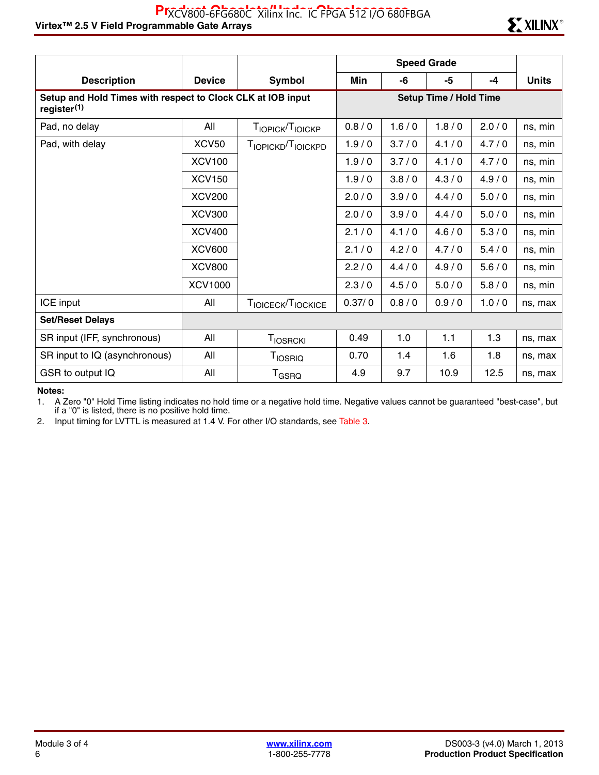|                                                                                        |               |                               |        |       | <b>Speed Grade</b>            |       |              |
|----------------------------------------------------------------------------------------|---------------|-------------------------------|--------|-------|-------------------------------|-------|--------------|
| <b>Description</b>                                                                     | <b>Device</b> | <b>Symbol</b>                 | Min    | -6    | -5                            | $-4$  | <b>Units</b> |
| Setup and Hold Times with respect to Clock CLK at IOB input<br>register <sup>(1)</sup> |               |                               |        |       | <b>Setup Time / Hold Time</b> |       |              |
| Pad, no delay                                                                          | All           | TIOPICK <sup>T</sup> IOICKP   | 0.8/0  | 1.6/0 | 1.8/0                         | 2.0/0 | ns, min      |
| Pad, with delay                                                                        | <b>XCV50</b>  | TIOPICKD <sup>T</sup> IOICKPD | 1.9/0  | 3.7/0 | 4.1/0                         | 4.7/0 | ns, min      |
|                                                                                        | <b>XCV100</b> |                               | 1.9/0  | 3.7/0 | 4.1/0                         | 4.7/0 | ns, min      |
|                                                                                        | <b>XCV150</b> |                               | 1.9/0  | 3.8/0 | 4.3/0                         | 4.9/0 | ns, min      |
|                                                                                        | <b>XCV200</b> |                               | 2.0/0  | 3.9/0 | 4.4/0                         | 5.0/0 | ns, min      |
|                                                                                        | <b>XCV300</b> |                               | 2.0/0  | 3.9/0 | 4.4/0                         | 5.0/0 | ns, min      |
|                                                                                        | <b>XCV400</b> |                               | 2.1/0  | 4.1/0 | 4.6/0                         | 5.3/0 | ns, min      |
|                                                                                        | <b>XCV600</b> |                               | 2.1/0  | 4.2/0 | 4.7/0                         | 5.4/0 | ns, min      |
|                                                                                        | <b>XCV800</b> |                               | 2.2/0  | 4.4/0 | 4.9/0                         | 5.6/0 | ns, min      |
|                                                                                        | XCV1000       |                               | 2.3/0  | 4.5/0 | 5.0/0                         | 5.8/0 | ns, min      |
| ICE input                                                                              | All           | TIOICECK <sup>T</sup> IOCKICE | 0.37/0 | 0.8/0 | 0.9/0                         | 1.0/0 | ns, max      |
| <b>Set/Reset Delays</b>                                                                |               |                               |        |       |                               |       |              |
| SR input (IFF, synchronous)                                                            | All           | <b>TIOSRCKI</b>               | 0.49   | 1.0   | 1.1                           | 1.3   | ns, max      |
| SR input to IQ (asynchronous)                                                          | All           | <b>TIOSRIQ</b>                | 0.70   | 1.4   | 1.6                           | 1.8   | ns, max      |
| GSR to output IQ                                                                       | All           | $T_{\tiny{\text{GSRO}}}$      | 4.9    | 9.7   | 10.9                          | 12.5  | ns, max      |

#### **Notes:**

1. A Zero "0" Hold Time listing indicates no hold time or a negative hold time. Negative values cannot be guaranteed "best-case", but if a "0" is listed, there is no positive hold time.

2. Input timing for LVTTL is measured at 1.4 V. For other I/O standards, see Table 3.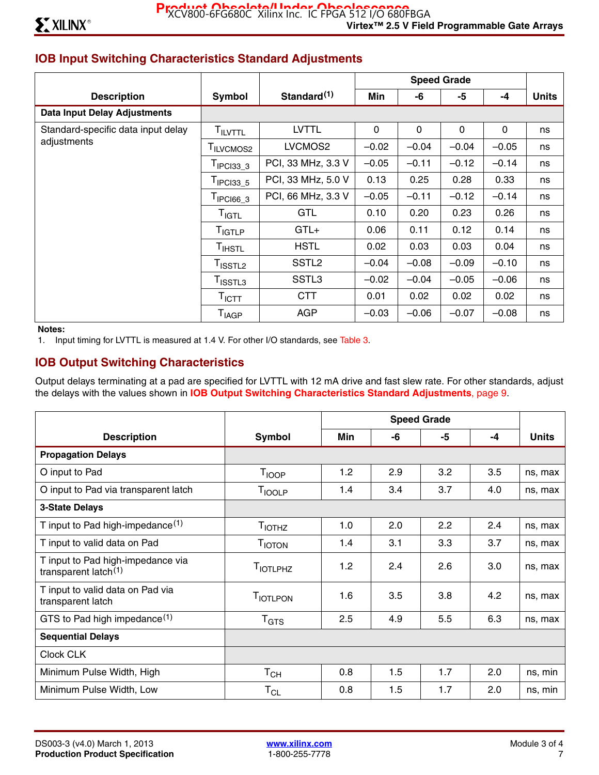## **IOB Input Switching Characteristics Standard Adjustments**

|                                     |                              |                         |         |         | <b>Speed Grade</b> |         |              |
|-------------------------------------|------------------------------|-------------------------|---------|---------|--------------------|---------|--------------|
| <b>Description</b>                  | Symbol                       | Standard <sup>(1)</sup> | Min     | -6      | -5                 | $-4$    | <b>Units</b> |
| <b>Data Input Delay Adjustments</b> |                              |                         |         |         |                    |         |              |
| Standard-specific data input delay  | T <sub>ILVTTL</sub>          | <b>LVTTL</b>            | 0       | 0       | 0                  | 0       | ns           |
| adjustments                         | T <sub>ILVCMOS2</sub>        | LVCMOS2                 | $-0.02$ | $-0.04$ | $-0.04$            | $-0.05$ | ns           |
|                                     | $T_{IPC133}$ 3               | PCI, 33 MHz, 3.3 V      | $-0.05$ | $-0.11$ | $-0.12$            | $-0.14$ | ns           |
|                                     | $T_{\text{IPCI33}_5}$        | PCI, 33 MHz, 5.0 V      | 0.13    | 0.25    | 0.28               | 0.33    | ns           |
|                                     | $T_{IPCl66\_3}$              | PCI, 66 MHz, 3.3 V      | $-0.05$ | $-0.11$ | $-0.12$            | $-0.14$ | ns           |
|                                     | T <sub>IGTL</sub>            | <b>GTL</b>              | 0.10    | 0.20    | 0.23               | 0.26    | ns           |
|                                     | T <sub>IGTLP</sub>           | $GTL+$                  | 0.06    | 0.11    | 0.12               | 0.14    | ns           |
|                                     | $T_{\sf IHSTL}$              | <b>HSTL</b>             | 0.02    | 0.03    | 0.03               | 0.04    | ns           |
|                                     | T <sub>ISSTL2</sub>          | SSTL <sub>2</sub>       | $-0.04$ | $-0.08$ | $-0.09$            | $-0.10$ | ns           |
|                                     | $T_{\sf ISSTL3}$             | SSTL <sub>3</sub>       | $-0.02$ | $-0.04$ | $-0.05$            | $-0.06$ | ns           |
|                                     | $\mathsf{T}_{\mathsf{ICTT}}$ | <b>CTT</b>              | 0.01    | 0.02    | 0.02               | 0.02    | ns           |
|                                     | T <sub>IAGP</sub>            | <b>AGP</b>              | $-0.03$ | $-0.06$ | $-0.07$            | $-0.08$ | ns           |

#### **Notes:**

1. Input timing for LVTTL is measured at 1.4 V. For other I/O standards, see Table 3.

### **IOB Output Switching Characteristics**

Output delays terminating at a pad are specified for LVTTL with 12 mA drive and fast slew rate. For other standards, adjust the delays with the values shown in **IOB Output Switching Characteristics Standard Adjustments**, page 9.

|                                                              |                              |     | <b>Speed Grade</b> |     |     |              |  |
|--------------------------------------------------------------|------------------------------|-----|--------------------|-----|-----|--------------|--|
| <b>Description</b>                                           | Symbol                       | Min | -6                 | -5  | -4  | <b>Units</b> |  |
| <b>Propagation Delays</b>                                    |                              |     |                    |     |     |              |  |
| O input to Pad                                               | T <sub>IOOP</sub>            | 1.2 | 2.9                | 3.2 | 3.5 | ns, max      |  |
| O input to Pad via transparent latch                         | T <sub>IOOLP</sub>           | 1.4 | 3.4                | 3.7 | 4.0 | ns, max      |  |
| <b>3-State Delays</b>                                        |                              |     |                    |     |     |              |  |
| T input to Pad high-impedance $(1)$                          | <b>T</b> <sub>IOTHZ</sub>    | 1.0 | 2.0                | 2.2 | 2.4 | ns, max      |  |
| T input to valid data on Pad                                 | <b>T</b> IOTON               | 1.4 | 3.1                | 3.3 | 3.7 | ns, max      |  |
| T input to Pad high-impedance via<br>transparent latch $(1)$ | <b>TIOTLPHZ</b>              | 1.2 | 2.4                | 2.6 | 3.0 | ns, max      |  |
| T input to valid data on Pad via<br>transparent latch        | <b>TIOTLPON</b>              | 1.6 | 3.5                | 3.8 | 4.2 | ns, max      |  |
| GTS to Pad high impedance <sup>(1)</sup>                     | $T_{\hbox{\scriptsize GTS}}$ | 2.5 | 4.9                | 5.5 | 6.3 | ns, max      |  |
| <b>Sequential Delays</b>                                     |                              |     |                    |     |     |              |  |
| Clock CLK                                                    |                              |     |                    |     |     |              |  |
| Minimum Pulse Width, High                                    | $\mathsf{T}_{\mathsf{CH}}$   | 0.8 | 1.5                | 1.7 | 2.0 | ns, min      |  |
| Minimum Pulse Width, Low                                     | $T_{CL}$                     | 0.8 | 1.5                | 1.7 | 2.0 | ns, min      |  |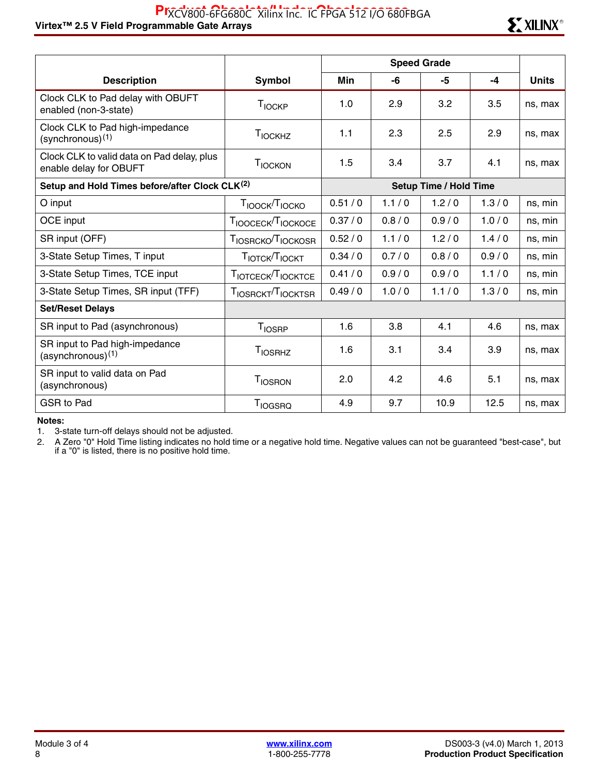#### Virtex™ 2.5 V Field Programmable Gate Arrays Research And The Trust of Text of Trust of Text **Research Arrays** Research Music Research **Ex** XILINX<sup>®</sup> PIXCV800-6FG680C Xilinx Inc. IC FPGA 512 I/O 680FBGA



|                                                                      |                                        |        | <b>Speed Grade</b>            |       |       |              |  |
|----------------------------------------------------------------------|----------------------------------------|--------|-------------------------------|-------|-------|--------------|--|
| <b>Description</b>                                                   | Symbol                                 | Min    | -6                            | -5    | -4    | <b>Units</b> |  |
| Clock CLK to Pad delay with OBUFT<br>enabled (non-3-state)           | T <sub>IOCKP</sub>                     | 1.0    | 2.9                           | 3.2   | 3.5   | ns, max      |  |
| Clock CLK to Pad high-impedance<br>(synchronous)(1)                  | T <sub>IOCKHZ</sub>                    | 1.1    | 2.3                           | 2.5   | 2.9   | ns, max      |  |
| Clock CLK to valid data on Pad delay, plus<br>enable delay for OBUFT | T <sub>IOCKON</sub>                    | 1.5    | 3.4                           | 3.7   | 4.1   | ns, max      |  |
| Setup and Hold Times before/after Clock CLK(2)                       |                                        |        | <b>Setup Time / Hold Time</b> |       |       |              |  |
| O input                                                              | T <sub>IOOCK</sub> /T <sub>IOCKO</sub> | 0.51/0 | 1.1/0                         | 1.2/0 | 1.3/0 | ns, min      |  |
| OCE input                                                            | TIOOCECK <sup>T</sup> IOCKOCE          | 0.37/0 | 0.8/0                         | 0.9/0 | 1.0/0 | ns, min      |  |
| SR input (OFF)                                                       | TIOSRCKO <sup>T</sup> IOCKOSR          | 0.52/0 | 1.1/0                         | 1.2/0 | 1.4/0 | ns, min      |  |
| 3-State Setup Times, T input                                         | TIOTCK <sup>T</sup> IOCKT              | 0.34/0 | 0.7/0                         | 0.8/0 | 0.9/0 | ns, min      |  |
| 3-State Setup Times, TCE input                                       | TIOTCECK <sup>T</sup> IOCKTCE          | 0.41/0 | 0.9/0                         | 0.9/0 | 1.1/0 | ns, min      |  |
| 3-State Setup Times, SR input (TFF)                                  | TIOSRCKT <sup>T</sup> IOCKTSR          | 0.49/0 | 1.0/0                         | 1.1/0 | 1.3/0 | ns, min      |  |
| <b>Set/Reset Delays</b>                                              |                                        |        |                               |       |       |              |  |
| SR input to Pad (asynchronous)                                       | <b>T</b> <sub>IOSRP</sub>              | 1.6    | 3.8                           | 4.1   | 4.6   | ns, max      |  |
| SR input to Pad high-impedance<br>$(asynchronous)^{(1)}$             | <b>TIOSRHZ</b>                         | 1.6    | 3.1                           | 3.4   | 3.9   | ns, max      |  |
| SR input to valid data on Pad<br>(asynchronous)                      | <b>TIOSRON</b>                         | 2.0    | 4.2                           | 4.6   | 5.1   | ns, max      |  |
| <b>GSR to Pad</b>                                                    | <b>T</b> <sub>IOGSRQ</sub>             | 4.9    | 9.7                           | 10.9  | 12.5  | ns, max      |  |

**Notes:** 

1. 3-state turn-off delays should not be adjusted.

2. A Zero "0" Hold Time listing indicates no hold time or a negative hold time. Negative values can not be guaranteed "best-case", but if a "0" is listed, there is no positive hold time.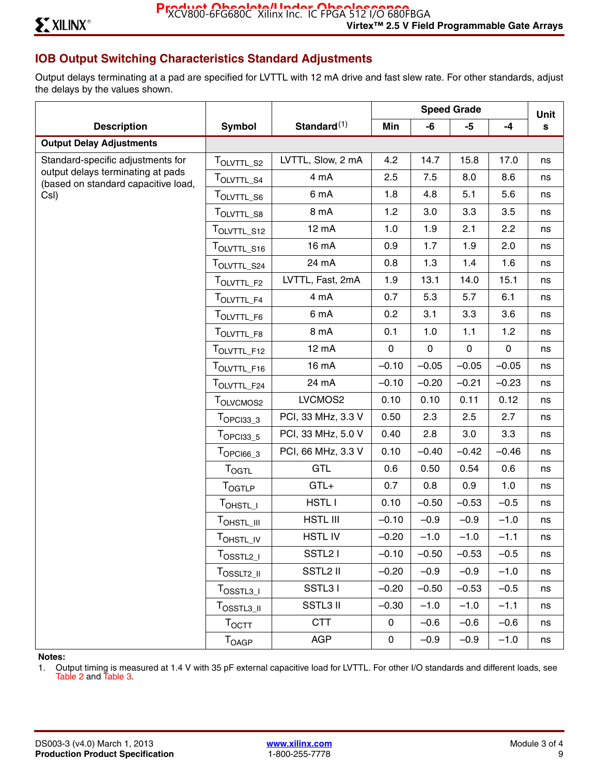## **IOB Output Switching Characteristics Standard Adjustments**

Output delays terminating at a pad are specified for LVTTL with 12 mA drive and fast slew rate. For other standards, adjust the delays by the values shown.

|                                                                          |                                                                                                  |                     | <b>Speed Grade</b> |              |              | Unit        |    |
|--------------------------------------------------------------------------|--------------------------------------------------------------------------------------------------|---------------------|--------------------|--------------|--------------|-------------|----|
| <b>Description</b>                                                       | <b>Symbol</b>                                                                                    | Standard $(1)$      | Min                | -6           | $-5$         | $-4$        | s  |
| <b>Output Delay Adjustments</b>                                          |                                                                                                  |                     |                    |              |              |             |    |
| Standard-specific adjustments for                                        | TOLVTTL S2                                                                                       | LVTTL, Slow, 2 mA   | 4.2                | 14.7         | 15.8         | 17.0        | ns |
| output delays terminating at pads<br>(based on standard capacitive load, | T <sub>OLVTTL_S4</sub>                                                                           | 4 mA                | 2.5                | 7.5          | 8.0          | 8.6         | ns |
| CsI)                                                                     | T <sub>OLVTTL_S6</sub>                                                                           | 6 mA                | 1.8                | 4.8          | 5.1          | 5.6         | ns |
|                                                                          | TOLVTTL_S8                                                                                       | 8 mA                | 1.2                | 3.0          | 3.3          | 3.5         | ns |
|                                                                          | TOLVTTL_S12                                                                                      | 12 mA               | 1.0                | 1.9          | 2.1          | 2.2         | ns |
|                                                                          | TOLVTTL_S16                                                                                      | 16 mA               | 0.9                | 1.7          | 1.9          | 2.0         | ns |
|                                                                          | TOLVTTL_S24                                                                                      | 24 mA               | 0.8                | 1.3          | 1.4          | 1.6         | ns |
|                                                                          | T <sub>OLVTTL_F2</sub>                                                                           | LVTTL, Fast, 2mA    | 1.9                | 13.1         | 14.0         | 15.1        | ns |
|                                                                          | $\mathsf{T}_{\mathsf{OLVTTL\_F4}}$                                                               | 4 mA                | 0.7                | 5.3          | 5.7          | 6.1         | ns |
|                                                                          | TOLVTTL_F6                                                                                       | 6 mA                | 0.2                | 3.1          | 3.3          | 3.6         | ns |
|                                                                          | TOLVTTL_F8                                                                                       | 8 mA                | 0.1                | 1.0          | 1.1          | 1.2         | ns |
|                                                                          | TOLVTTL_F12                                                                                      | 12 mA               | $\mathsf{O}$       | $\mathsf{O}$ | $\mathsf{O}$ | $\mathbf 0$ | ns |
|                                                                          | TOLVTTL_F16                                                                                      | 16 mA               | $-0.10$            | $-0.05$      | $-0.05$      | $-0.05$     | ns |
|                                                                          | TOLVTTL_F24                                                                                      | 24 mA               | $-0.10$            | $-0.20$      | $-0.21$      | $-0.23$     | ns |
|                                                                          | T <sub>OLVCMOS2</sub>                                                                            | LVCMOS2             | 0.10               | 0.10         | 0.11         | 0.12        | ns |
|                                                                          | $TOPCI33_3$                                                                                      | PCI, 33 MHz, 3.3 V  | 0.50               | 2.3          | 2.5          | 2.7         | ns |
|                                                                          | $T_{OPC133\_5}$                                                                                  | PCI, 33 MHz, 5.0 V  | 0.40               | 2.8          | 3.0          | 3.3         | ns |
|                                                                          | $T$ OPCI66_3                                                                                     | PCI, 66 MHz, 3.3 V  | 0.10               | $-0.40$      | $-0.42$      | $-0.46$     | ns |
|                                                                          | <b>TOGTL</b>                                                                                     | <b>GTL</b>          | 0.6                | 0.50         | 0.54         | 0.6         | ns |
|                                                                          | <b>TOGTLP</b>                                                                                    | $GTL+$              | 0.7                | 0.8          | 0.9          | 1.0         | ns |
|                                                                          | T <sub>OHSTL_I</sub>                                                                             | <b>HSTLI</b>        | 0.10               | $-0.50$      | $-0.53$      | $-0.5$      | ns |
|                                                                          | TOHSTL_III                                                                                       | HSTL III            | $-0.10$            | $-0.9$       | $-0.9$       | $-1.0$      | ns |
|                                                                          | TOHSTL_IV                                                                                        | <b>HSTLIV</b>       | $-0.20$            | $-1.0$       | $-1.0$       | $-1.1$      | ns |
|                                                                          | $T_{OSSTL2\_I}$                                                                                  | SSTL <sub>2</sub> I | $-0.10$            | $-0.50$      | $-0.53$      | $-0.5$      | ns |
|                                                                          | T <sub>OSSLT2_II</sub>                                                                           | SSTL2 II            | $-0.20$            | $-0.9$       | $-0.9$       | $-1.0$      | ns |
|                                                                          | $T_{\text{OSSTL3\_I}}$                                                                           | SSTL31              | $-0.20$            | $-0.50$      | $-0.53$      | $-0.5$      | ns |
|                                                                          | $\mathsf{T}_{\mathsf{O} {\mathsf{S}} {\mathsf{S}}\mathsf{T} {\mathsf{L}} 3 \_{{\mathsf{I}} 1} }$ | <b>SSTL3 II</b>     | $-0.30$            | $-1.0$       | $-1.0$       | $-1.1$      | ns |
|                                                                          | $\mathsf{T}_{\mathsf{OCTT}}$                                                                     | <b>CTT</b>          | 0                  | $-0.6$       | $-0.6$       | $-0.6$      | ns |
|                                                                          | T <sub>OAGP</sub>                                                                                | AGP                 | 0                  | $-0.9$       | $-0.9$       | $-1.0$      | ns |

**Notes:** 

1. Output timing is measured at 1.4 V with 35 pF external capacitive load for LVTTL. For other I/O standards and different loads, see Table 2 and Table 3.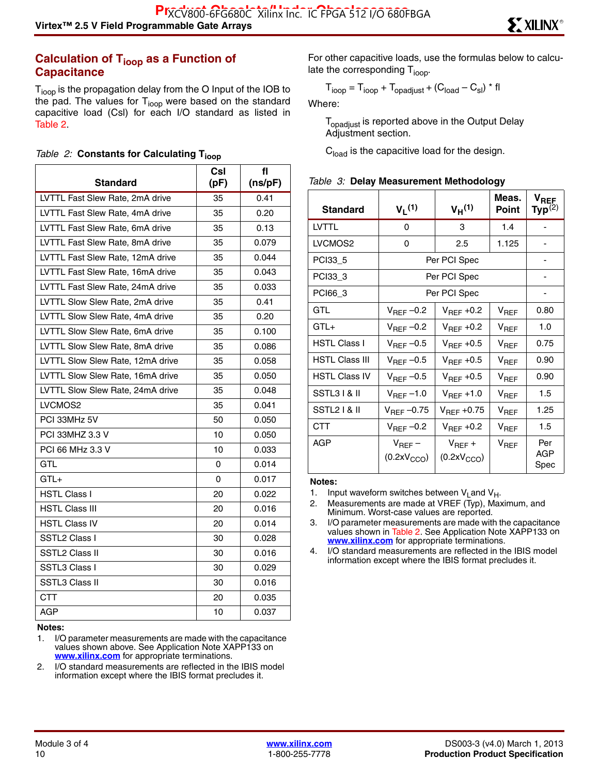#### **Calculation of T<sub>ioop</sub> as a Function of Capacitance**

T<sub>ioop</sub> is the propagation delay from the O Input of the IOB to the pad. The values for  $T_{\text{loop}}$  were based on the standard capacitive load (Csl) for each I/O standard as listed in Table 2.

|  |  |  |  | Table 2: Constants for Calculating T <sub>ioor</sub> |  |
|--|--|--|--|------------------------------------------------------|--|
|--|--|--|--|------------------------------------------------------|--|

|                                  | Csl  | fl      |
|----------------------------------|------|---------|
| <b>Standard</b>                  | (pF) | (ns/pF) |
| LVTTL Fast Slew Rate, 2mA drive  | 35   | 0.41    |
| LVTTL Fast Slew Rate, 4mA drive  | 35   | 0.20    |
| LVTTL Fast Slew Rate, 6mA drive  | 35   | 0.13    |
| LVTTL Fast Slew Rate, 8mA drive  | 35   | 0.079   |
| LVTTL Fast Slew Rate, 12mA drive | 35   | 0.044   |
| LVTTL Fast Slew Rate, 16mA drive | 35   | 0.043   |
| LVTTL Fast Slew Rate, 24mA drive | 35   | 0.033   |
| LVTTL Slow Slew Rate, 2mA drive  | 35   | 0.41    |
| LVTTL Slow Slew Rate, 4mA drive  | 35   | 0.20    |
| LVTTL Slow Slew Rate, 6mA drive  | 35   | 0.100   |
| LVTTL Slow Slew Rate, 8mA drive  | 35   | 0.086   |
| LVTTL Slow Slew Rate, 12mA drive | 35   | 0.058   |
| LVTTL Slow Slew Rate, 16mA drive | 35   | 0.050   |
| LVTTL Slow Slew Rate, 24mA drive | 35   | 0.048   |
| LVCMOS2                          | 35   | 0.041   |
| PCI 33MHz 5V                     | 50   | 0.050   |
| PCI 33MHZ 3.3 V                  | 10   | 0.050   |
| PCI 66 MHz 3.3 V                 | 10   | 0.033   |
| <b>GTL</b>                       | 0    | 0.014   |
| $GTL+$                           | 0    | 0.017   |
| HSTL Class I                     | 20   | 0.022   |
| <b>HSTL Class III</b>            | 20   | 0.016   |
| <b>HSTL Class IV</b>             | 20   | 0.014   |
| SSTL2 Class I                    | 30   | 0.028   |
| <b>SSTL2 Class II</b>            | 30   | 0.016   |
| SSTL3 Class I                    | 30   | 0.029   |
| <b>SSTL3 Class II</b>            | 30   | 0.016   |
| <b>CTT</b>                       | 20   | 0.035   |
| <b>AGP</b>                       | 10   | 0.037   |

**Notes:** 

2. I/O standard measurements are reflected in the IBIS model information except where the IBIS format precludes it.

For other capacitive loads, use the formulas below to calculate the corresponding  $T_{\text{ioop}}$ .

$$
T_{\text{ioop}} = T_{\text{ioop}} + T_{\text{opadjust}} + (C_{\text{load}} - C_{\text{sl}}) * \text{fl}
$$

Where:

T<sub>opadjust</sub> is reported above in the Output Delay Adjustment section.

**C**<sub>load</sub> is the capacitive load for the design.

| <b>Standard</b>       | V <sub>I</sub> (1)                     | V <sub>H</sub> (1)                     | Meas.<br><b>Point</b> | $\mathsf{v}_\mathsf{REF}$<br>Typ $^{(2)}$ |
|-----------------------|----------------------------------------|----------------------------------------|-----------------------|-------------------------------------------|
| <b>LVTTL</b>          | 0                                      | 3                                      | 1.4                   |                                           |
| LVCMOS2               | 0                                      | 2.5                                    | 1.125                 |                                           |
| PCI33 5               | Per PCI Spec                           |                                        |                       |                                           |
| PCI33_3               | Per PCI Spec                           |                                        |                       |                                           |
| PCI66_3               | Per PCI Spec                           |                                        |                       |                                           |
| GTL                   | $V_{\text{REF}}$ -0.2                  | $V_{\text{BFE}}$ +0.2                  | $V_{\sf{REF}}$        | 0.80                                      |
| $GTL+$                | $V_{REF}$ -0.2                         | $V_{REF}$ +0.2                         | $V_{REF}$             | 1.0                                       |
| <b>HSTL Class I</b>   | $V_{REF}$ -0.5                         | $V_{REF}$ +0.5                         | $V_{REF}$             | 0.75                                      |
| <b>HSTL Class III</b> | $V_{REF}$ -0.5                         | $V_{REF}$ +0.5                         | V <sub>REF</sub>      | 0.90                                      |
| <b>HSTL Class IV</b>  | $V_{REF}-0.5$                          | $V_{\text{REF}}$ +0.5                  | V <sub>REF</sub>      | 0.90                                      |
| SSTL3 I & II          | $V_{\text{REF}}$ –1.0                  | $V_{REF}$ +1.0                         | $V_{BFF}$             | 1.5                                       |
| SSTL2   & II          | $V_{REF}$ -0.75                        | $V_{REF}$ +0.75                        | $V_{REF}$             | 1.25                                      |
| CTT                   | $V_{REF}$ -0.2                         | $V_{\text{REF}}$ +0.2                  | $V_{REF}$             | 1.5                                       |
| AGP                   | $V_{REF}$ –<br>(0.2xV <sub>CCO</sub> ) | $V_{REF}$ +<br>(0.2xV <sub>CCO</sub> ) | $V_{REF}$             | Per<br>AGP<br>Spec                        |

#### **Notes:**

3. I/O parameter measurements are made with the capacitance values shown in Table 2. See Application Note XAPP133 on **[www.xilinx.com](http://www.xilinx.com)** for appropriate terminations.

4. I/O standard measurements are reflected in the IBIS model information except where the IBIS format precludes it.

<sup>1.</sup> I/O parameter measurements are made with the capacitance values shown above. See Application Note XAPP133 on **[www.xilinx.com](http://www.xilinx.com)** for appropriate terminations.

<sup>1.</sup> Input waveform switches between  $V_{L}$  and  $V_{H}$ .

<sup>2.</sup> Measurements are made at VREF (Typ), Maximum, and Minimum. Worst-case values are reported.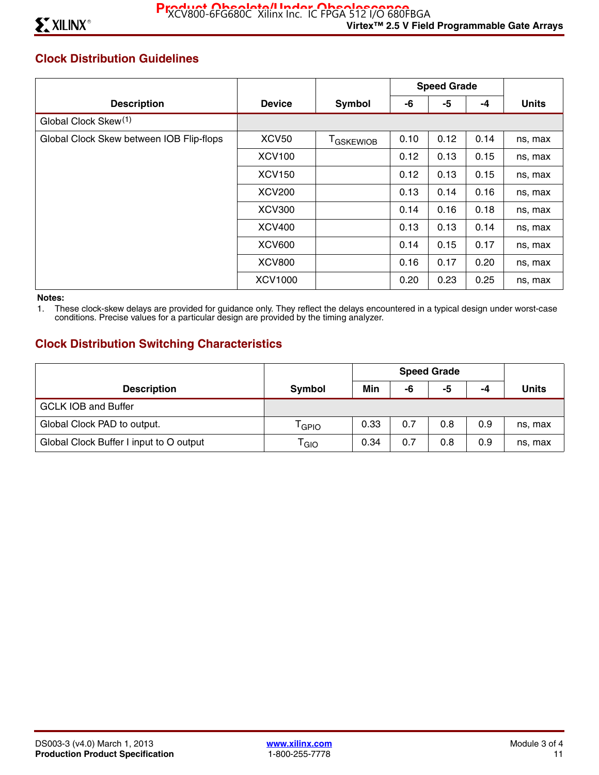## **Clock Distribution Guidelines**

|                                          |               |                   | <b>Speed Grade</b> |      |      |              |
|------------------------------------------|---------------|-------------------|--------------------|------|------|--------------|
| <b>Description</b>                       | <b>Device</b> | <b>Symbol</b>     | -6                 | -5   | -4   | <b>Units</b> |
| Global Clock Skew <sup>(1)</sup>         |               |                   |                    |      |      |              |
| Global Clock Skew between IOB Flip-flops | <b>XCV50</b>  | <b>T</b> GSKEWIOB | 0.10               | 0.12 | 0.14 | ns, max      |
|                                          | <b>XCV100</b> |                   | 0.12               | 0.13 | 0.15 | ns, max      |
|                                          | <b>XCV150</b> |                   | 0.12               | 0.13 | 0.15 | ns, max      |
|                                          | <b>XCV200</b> |                   | 0.13               | 0.14 | 0.16 | ns, max      |
|                                          | <b>XCV300</b> |                   | 0.14               | 0.16 | 0.18 | ns, max      |
|                                          | <b>XCV400</b> |                   | 0.13               | 0.13 | 0.14 | ns, max      |
|                                          | <b>XCV600</b> |                   | 0.14               | 0.15 | 0.17 | ns, max      |
|                                          | <b>XCV800</b> |                   | 0.16               | 0.17 | 0.20 | ns, max      |
|                                          | XCV1000       |                   | 0.20               | 0.23 | 0.25 | ns, max      |

**Notes:** 

1. These clock-skew delays are provided for guidance only. They reflect the delays encountered in a typical design under worst-case conditions. Precise values for a particular design are provided by the timing analyzer.

### **Clock Distribution Switching Characteristics**

|                                         |                             | <b>Speed Grade</b> |     |     |     |              |
|-----------------------------------------|-----------------------------|--------------------|-----|-----|-----|--------------|
| <b>Description</b>                      | Symbol                      | Min                | -6  | -5  | -4  | <b>Units</b> |
| <b>GCLK IOB and Buffer</b>              |                             |                    |     |     |     |              |
| Global Clock PAD to output.             | <sup>l</sup> GPIO           | 0.33               | 0.7 | 0.8 | 0.9 | ns, max      |
| Global Clock Buffer I input to O output | $\mathsf{T}_{\mathsf{GIO}}$ | 0.34               | 0.7 | 0.8 | 0.9 | ns, max      |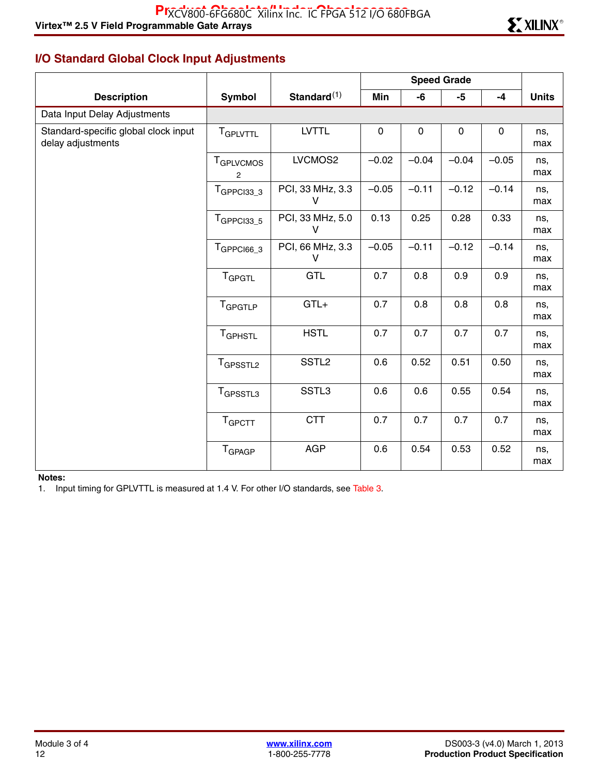# **I/O Standard Global Clock Input Adjustments**

|                                                           |                                     |                                  |             |           | <b>Speed Grade</b> |             |              |
|-----------------------------------------------------------|-------------------------------------|----------------------------------|-------------|-----------|--------------------|-------------|--------------|
| <b>Description</b>                                        | <b>Symbol</b>                       | Standard $(1)$                   | Min         | -6        | $-5$               | $-4$        | <b>Units</b> |
| Data Input Delay Adjustments                              |                                     |                                  |             |           |                    |             |              |
| Standard-specific global clock input<br>delay adjustments | <b>TGPLVTTL</b>                     | <b>LVTTL</b>                     | $\mathbf 0$ | $\pmb{0}$ | $\mathbf 0$        | $\mathbf 0$ | ns,<br>max   |
|                                                           | <b>T</b> GPLVCMOS<br>$\overline{2}$ | LVCMOS2                          | $-0.02$     | $-0.04$   | $-0.04$            | $-0.05$     | ns,<br>max   |
|                                                           | $TGPPCI33_3$                        | PCI, 33 MHz, 3.3<br>V            | $-0.05$     | $-0.11$   | $-0.12$            | $-0.14$     | ns,<br>max   |
|                                                           | $TGPPC133_5$                        | PCI, 33 MHz, 5.0<br>$\mathsf{V}$ | 0.13        | 0.25      | 0.28               | 0.33        | ns,<br>max   |
|                                                           | $TGPPCI66_3$                        | PCI, 66 MHz, 3.3<br>V            | $-0.05$     | $-0.11$   | $-0.12$            | $-0.14$     | ns,<br>max   |
|                                                           | <b>T</b> GPGTL                      | GTL                              | 0.7         | 0.8       | 0.9                | 0.9         | ns,<br>max   |
|                                                           | T <sub>GPGTLP</sub>                 | $GTL+$                           | 0.7         | 0.8       | 0.8                | 0.8         | ns,<br>max   |
|                                                           | TGPHSTL                             | <b>HSTL</b>                      | 0.7         | 0.7       | 0.7                | 0.7         | ns,<br>max   |
|                                                           | T <sub>GPSSTL2</sub>                | SSTL <sub>2</sub>                | 0.6         | 0.52      | 0.51               | 0.50        | ns,<br>max   |
|                                                           | T <sub>GPSSTL3</sub>                | SSTL3                            | 0.6         | 0.6       | 0.55               | 0.54        | ns,<br>max   |
|                                                           | T <sub>GPCTT</sub>                  | <b>CTT</b>                       | 0.7         | 0.7       | 0.7                | 0.7         | ns,<br>max   |
|                                                           | T <sub>GPAGP</sub>                  | <b>AGP</b>                       | 0.6         | 0.54      | 0.53               | 0.52        | ns,<br>max   |

#### **Notes:**

1. Input timing for GPLVTTL is measured at 1.4 V. For other I/O standards, see Table 3.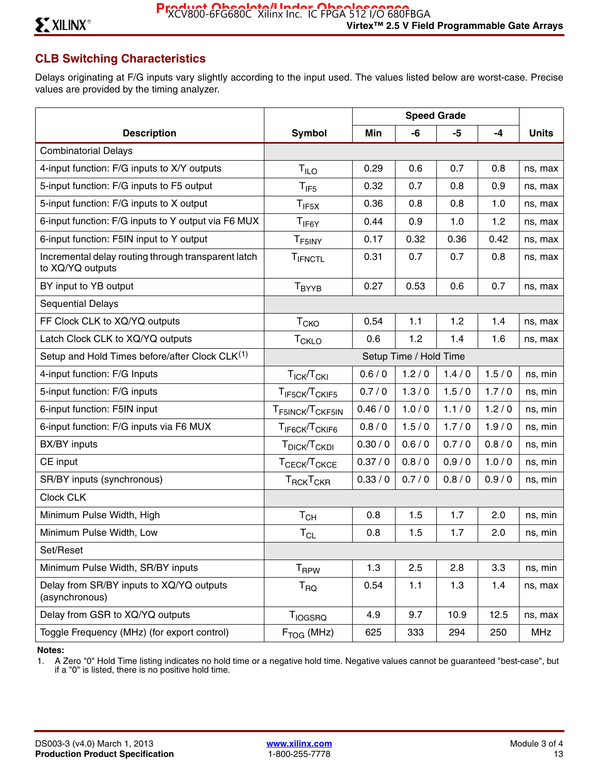# **CLB Switching Characteristics**

Delays originating at F/G inputs vary slightly according to the input used. The values listed below are worst-case. Precise values are provided by the timing analyzer.

|                                                                         |                                          |          | <b>Speed Grade</b>     |       |       |              |
|-------------------------------------------------------------------------|------------------------------------------|----------|------------------------|-------|-------|--------------|
| <b>Description</b>                                                      | Symbol                                   | Min      | -6                     | -5    | -4    | <b>Units</b> |
| <b>Combinatorial Delays</b>                                             |                                          |          |                        |       |       |              |
| 4-input function: F/G inputs to X/Y outputs                             | $T_{ILO}$                                | 0.29     | 0.6                    | 0.7   | 0.8   | ns, max      |
| 5-input function: F/G inputs to F5 output                               | $T_{IF5}$                                | 0.32     | 0.7                    | 0.8   | 0.9   | ns, max      |
| 5-input function: F/G inputs to X output                                | $T_{IF5X}$                               | 0.36     | 0.8                    | 0.8   | 1.0   | ns, max      |
| 6-input function: F/G inputs to Y output via F6 MUX                     | $T_{IF6Y}$                               | 0.44     | 0.9                    | 1.0   | 1.2   | ns, max      |
| 6-input function: F5IN input to Y output                                | T <sub>F5INY</sub>                       | 0.17     | 0.32                   | 0.36  | 0.42  | ns, max      |
| Incremental delay routing through transparent latch<br>to XQ/YQ outputs | TIFNCTL                                  | 0.31     | 0.7                    | 0.7   | 0.8   | ns, max      |
| BY input to YB output                                                   | T <sub>BYYB</sub>                        | 0.27     | 0.53                   | 0.6   | 0.7   | ns, max      |
| <b>Sequential Delays</b>                                                |                                          |          |                        |       |       |              |
| FF Clock CLK to XQ/YQ outputs                                           | T <sub>CKO</sub>                         | 0.54     | 1.1                    | 1.2   | 1.4   | ns, max      |
| Latch Clock CLK to XQ/YQ outputs                                        | <b>T<sub>CKLO</sub></b>                  | 0.6      | 1.2                    | 1.4   | 1.6   | ns, max      |
| Setup and Hold Times before/after Clock CLK <sup>(1)</sup>              |                                          |          | Setup Time / Hold Time |       |       |              |
| 4-input function: F/G Inputs                                            | $T_{\text{ICK}}/T_{\text{CKI}}$          | 0.6/0    | 1.2/0                  | 1.4/0 | 1.5/0 | ns, min      |
| 5-input function: F/G inputs                                            | T <sub>IF5CK</sub> /T <sub>CKIF5</sub>   | 0.7/0    | 1.3/0                  | 1.5/0 | 1.7/0 | ns, min      |
| 6-input function: F5IN input                                            | T <sub>F5INCK</sub> /T <sub>CKF5IN</sub> | 0.46/0   | 1.0/0                  | 1.1/0 | 1.2/0 | ns, min      |
| 6-input function: F/G inputs via F6 MUX                                 | T <sub>IF6CK</sub> /T <sub>CKIF6</sub>   | 0.8/0    | 1.5/0                  | 1.7/0 | 1.9/0 | ns, min      |
| BX/BY inputs                                                            | T <sub>DICK</sub> /T <sub>CKDI</sub>     | 0.30 / 0 | 0.6/0                  | 0.7/0 | 0.8/0 | ns, min      |
| CE input                                                                | T <sub>CECK</sub> /T <sub>CKCE</sub>     | 0.37/0   | 0.8/0                  | 0.9/0 | 1.0/0 | ns, min      |
| SR/BY inputs (synchronous)                                              | T <sub>RCK</sub> T <sub>CKR</sub>        | 0.33/0   | 0.7/0                  | 0.8/0 | 0.9/0 | ns, min      |
| Clock CLK                                                               |                                          |          |                        |       |       |              |
| Minimum Pulse Width, High                                               | $T_{CH}$                                 | 0.8      | 1.5                    | 1.7   | 2.0   | ns, min      |
| Minimum Pulse Width, Low                                                | $T_{CL}$                                 | 0.8      | 1.5                    | 1.7   | 2.0   | ns, min      |
| Set/Reset                                                               |                                          |          |                        |       |       |              |
| Minimum Pulse Width, SR/BY inputs                                       | <b>T</b> <sub>RPW</sub>                  | 1.3      | 2.5                    | 2.8   | 3.3   | ns, min      |
| Delay from SR/BY inputs to XQ/YQ outputs<br>(asynchronous)              | $T_{\sf RQ}$                             | 0.54     | 1.1                    | 1.3   | 1.4   | ns, max      |
| Delay from GSR to XQ/YQ outputs                                         | <b>T</b> <sub>IOGSRQ</sub>               | 4.9      | 9.7                    | 10.9  | 12.5  | ns, max      |
| Toggle Frequency (MHz) (for export control)                             | $F_{TOG}$ (MHz)                          | 625      | 333                    | 294   | 250   | <b>MHz</b>   |

#### **Notes:**

1. A Zero "0" Hold Time listing indicates no hold time or a negative hold time. Negative values cannot be guaranteed "best-case", but if a "0" is listed, there is no positive hold time.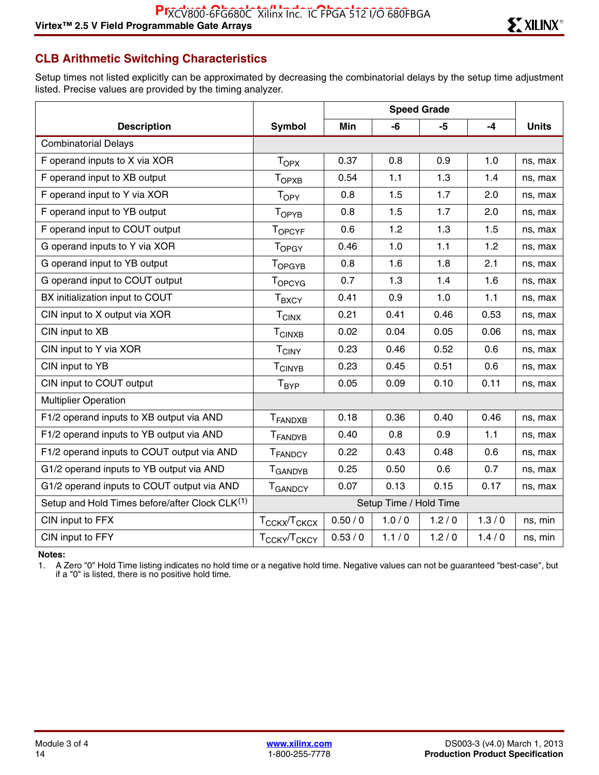## **CLB Arithmetic Switching Characteristics**

Setup times not listed explicitly can be approximated by decreasing the combinatorial delays by the setup time adjustment listed. Precise values are provided by the timing analyzer.

| <b>Description</b>                             | <b>Symbol</b>                        | Min    | -6    | -5    | $-4$  | <b>Units</b> |
|------------------------------------------------|--------------------------------------|--------|-------|-------|-------|--------------|
| <b>Combinatorial Delays</b>                    |                                      |        |       |       |       |              |
| F operand inputs to X via XOR                  | $T_{OPX}$                            | 0.37   | 0.8   | 0.9   | 1.0   | ns, max      |
| F operand input to XB output                   | T <sub>OPXB</sub>                    | 0.54   | 1.1   | 1.3   | 1.4   | ns, max      |
| F operand input to Y via XOR                   | T <sub>OPY</sub>                     | 0.8    | 1.5   | 1.7   | 2.0   | ns, max      |
| F operand input to YB output                   | T <sub>OPYB</sub>                    | 0.8    | 1.5   | 1.7   | 2.0   | ns, max      |
| F operand input to COUT output                 | <b>TOPCYF</b>                        | 0.6    | 1.2   | 1.3   | 1.5   | ns, max      |
| G operand inputs to Y via XOR                  | <b>TOPGY</b>                         | 0.46   | 1.0   | 1.1   | 1.2   | ns, max      |
| G operand input to YB output                   | T <sub>OPGYB</sub>                   | 0.8    | 1.6   | 1.8   | 2.1   | ns, max      |
| G operand input to COUT output                 | <b>TOPCYG</b>                        | 0.7    | 1.3   | 1.4   | 1.6   | ns, max      |
| BX initialization input to COUT                | $\mathsf{T}_{\mathsf{BXCY}}$         | 0.41   | 0.9   | 1.0   | 1.1   | ns, max      |
| CIN input to X output via XOR                  | $T_{CINX}$                           | 0.21   | 0.41  | 0.46  | 0.53  | ns, max      |
| CIN input to XB                                | <b>TCINXB</b>                        | 0.02   | 0.04  | 0.05  | 0.06  | ns, max      |
| CIN input to Y via XOR                         | $T_{CINY}$                           | 0.23   | 0.46  | 0.52  | 0.6   | ns, max      |
| CIN input to YB                                | T <sub>CINYB</sub>                   | 0.23   | 0.45  | 0.51  | 0.6   | ns, max      |
| CIN input to COUT output                       | $T_{BYP}$                            | 0.05   | 0.09  | 0.10  | 0.11  | ns, max      |
| <b>Multiplier Operation</b>                    |                                      |        |       |       |       |              |
| F1/2 operand inputs to XB output via AND       | T <sub>FANDXB</sub>                  | 0.18   | 0.36  | 0.40  | 0.46  | ns, max      |
| F1/2 operand inputs to YB output via AND       | <b>T</b> FANDYB                      | 0.40   | 0.8   | 0.9   | 1.1   | ns, max      |
| F1/2 operand inputs to COUT output via AND     | T <sub>FANDCY</sub>                  | 0.22   | 0.43  | 0.48  | 0.6   | ns, max      |
| G1/2 operand inputs to YB output via AND       | T <sub>GANDYB</sub>                  | 0.25   | 0.50  | 0.6   | 0.7   | ns, max      |
| G1/2 operand inputs to COUT output via AND     | <b>T</b> GANDCY                      | 0.07   | 0.13  | 0.15  | 0.17  | ns, max      |
| Setup and Hold Times before/after Clock CLK(1) | Setup Time / Hold Time               |        |       |       |       |              |
| CIN input to FFX                               | T <sub>CCKX</sub> /T <sub>CKCX</sub> | 0.50/0 | 1.0/0 | 1.2/0 | 1.3/0 | ns, min      |
| CIN input to FFY                               | T <sub>CCKY</sub> /T <sub>CKCY</sub> | 0.53/0 | 1.1/0 | 1.2/0 | 1.4/0 | ns, min      |

**Notes:** 

1. A Zero "0" Hold Time listing indicates no hold time or a negative hold time. Negative values can not be guaranteed "best-case", but if a "0" is listed, there is no positive hold time.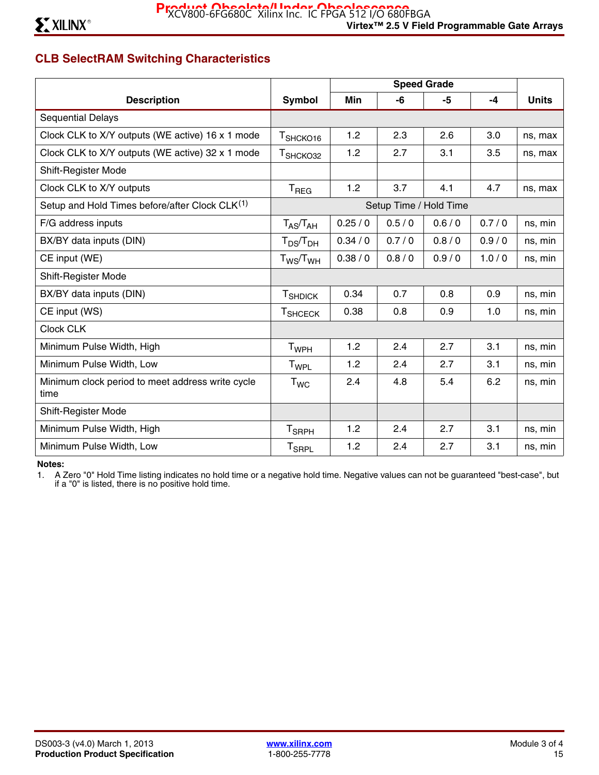# **CLB SelectRAM Switching Characteristics**

|                                                          |                         |          |       | <b>Speed Grade</b> |       |              |
|----------------------------------------------------------|-------------------------|----------|-------|--------------------|-------|--------------|
| <b>Description</b>                                       | Symbol                  | Min      | -6    | -5                 | $-4$  | <b>Units</b> |
| <b>Sequential Delays</b>                                 |                         |          |       |                    |       |              |
| Clock CLK to X/Y outputs (WE active) 16 x 1 mode         | T <sub>SHCKO16</sub>    | 1.2      | 2.3   | 2.6                | 3.0   | ns, max      |
| Clock CLK to X/Y outputs (WE active) 32 x 1 mode         | T <sub>SHCKO32</sub>    | 1.2      | 2.7   | 3.1                | 3.5   | ns, max      |
| Shift-Register Mode                                      |                         |          |       |                    |       |              |
| Clock CLK to X/Y outputs                                 | T <sub>REG</sub>        | 1.2      | 3.7   | 4.1                | 4.7   | ns, max      |
| Setup and Hold Times before/after Clock CLK(1)           | Setup Time / Hold Time  |          |       |                    |       |              |
| F/G address inputs                                       | $T_{AS}/T_{AH}$         | 0.25/0   | 0.5/0 | 0.6/0              | 0.7/0 | ns, min      |
| BX/BY data inputs (DIN)                                  | $T_{DS}/T_{DH}$         | 0.34 / 0 | 0.7/0 | 0.8/0              | 0.9/0 | ns, min      |
| CE input (WE)                                            | $T_{WS}/T_{WH}$         | 0.38 / 0 | 0.8/0 | 0.9/0              | 1.0/0 | ns, min      |
| Shift-Register Mode                                      |                         |          |       |                    |       |              |
| BX/BY data inputs (DIN)                                  | <b>T</b> SHDICK         | 0.34     | 0.7   | 0.8                | 0.9   | ns, min      |
| CE input (WS)                                            | <b>T</b> SHCECK         | 0.38     | 0.8   | 0.9                | 1.0   | ns, min      |
| Clock CLK                                                |                         |          |       |                    |       |              |
| Minimum Pulse Width, High                                | <b>T</b> <sub>WPH</sub> | 1.2      | 2.4   | 2.7                | 3.1   | ns, min      |
| Minimum Pulse Width, Low                                 | T <sub>WPL</sub>        | 1.2      | 2.4   | 2.7                | 3.1   | ns, min      |
| Minimum clock period to meet address write cycle<br>time | $T_{WC}$                | 2.4      | 4.8   | 5.4                | 6.2   | ns, min      |
| Shift-Register Mode                                      |                         |          |       |                    |       |              |
| Minimum Pulse Width, High                                | $T_{\sf SRPH}$          | 1.2      | 2.4   | 2.7                | 3.1   | ns, min      |
| Minimum Pulse Width, Low                                 | <b>T<sub>SRPL</sub></b> | 1.2      | 2.4   | 2.7                | 3.1   | ns, min      |

#### **Notes:**

1. A Zero "0" Hold Time listing indicates no hold time or a negative hold time. Negative values can not be guaranteed "best-case", but if a "0" is listed, there is no positive hold time.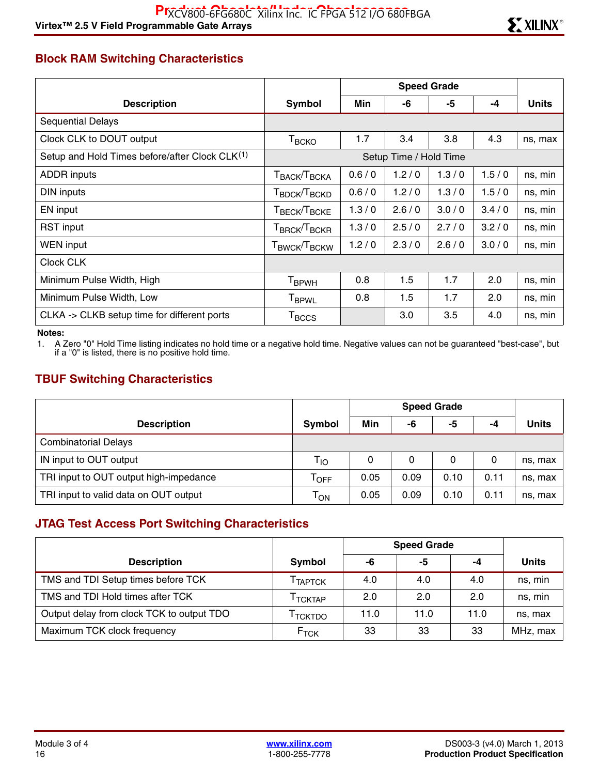# **Block RAM Switching Characteristics**

|                                                            |                                                             |       |       | <b>Speed Grade</b> |       |              |  |
|------------------------------------------------------------|-------------------------------------------------------------|-------|-------|--------------------|-------|--------------|--|
| <b>Description</b>                                         | Symbol                                                      | Min   | -6    | -5                 | $-4$  | <b>Units</b> |  |
| <b>Sequential Delays</b>                                   |                                                             |       |       |                    |       |              |  |
| Clock CLK to DOUT output                                   | $T_{\scriptstyle{\text{BCKO}}}$                             | 1.7   | 3.4   | 3.8                | 4.3   | ns, max      |  |
| Setup and Hold Times before/after Clock CLK <sup>(1)</sup> | Setup Time / Hold Time                                      |       |       |                    |       |              |  |
| <b>ADDR</b> inputs                                         | T <sub>BACK</sub> /T <sub>BCKA</sub>                        | 0.6/0 | 1.2/0 | 1.3/0              | 1.5/0 | ns, min      |  |
| DIN inputs                                                 | T <sub>BDCK</sub> /T <sub>BCKD</sub>                        | 0.6/0 | 1.2/0 | 1.3/0              | 1.5/0 | ns, min      |  |
| EN input                                                   | T <sub>BECK</sub> /T <sub>BCKE</sub>                        | 1.3/0 | 2.6/0 | 3.0/0              | 3.4/0 | ns, min      |  |
| RST input                                                  | $\mathsf{T}_{\mathsf{BRCK}}\!/\!\mathsf{T}_{\mathsf{BCKR}}$ | 1.3/0 | 2.5/0 | 2.7/0              | 3.2/0 | ns, min      |  |
| <b>WEN</b> input                                           | T <sub>BWCK</sub> /T <sub>BCKW</sub>                        | 1.2/0 | 2.3/0 | 2.6/0              | 3.0/0 | ns, min      |  |
| Clock CLK                                                  |                                                             |       |       |                    |       |              |  |
| Minimum Pulse Width, High                                  | <b>T</b> <sub>BPWH</sub>                                    | 0.8   | 1.5   | 1.7                | 2.0   | ns, min      |  |
| Minimum Pulse Width, Low                                   | <b>T</b> <sub>BPWL</sub>                                    | 0.8   | 1.5   | 1.7                | 2.0   | ns, min      |  |
| CLKA -> CLKB setup time for different ports                | $T_{\rm BCCS}$                                              |       | 3.0   | 3.5                | 4.0   | ns, min      |  |

#### **Notes:**

1. A Zero "0" Hold Time listing indicates no hold time or a negative hold time. Negative values can not be guaranteed "best-case", but if a "0" is listed, there is no positive hold time.

## **TBUF Switching Characteristics**

|                                        |                             | <b>Speed Grade</b> |      |      |      |              |
|----------------------------------------|-----------------------------|--------------------|------|------|------|--------------|
| <b>Description</b>                     | Symbol                      | Min                | -6   | -5   | -4   | <b>Units</b> |
| <b>Combinatorial Delays</b>            |                             |                    |      |      |      |              |
| IN input to OUT output                 | T <sub>IO</sub>             | 0                  | 0    | 0    | 0    | ns, max      |
| TRI input to OUT output high-impedance | $\mathsf{T}_{\mathsf{OFF}}$ | 0.05               | 0.09 | 0.10 | 0.11 | ns, max      |
| TRI input to valid data on OUT output  | $\mathsf{T}_{\mathsf{ON}}$  | 0.05               | 0.09 | 0.10 | 0.11 | ns, max      |

## **JTAG Test Access Port Switching Characteristics**

|                                           |                     |      | <b>Speed Grade</b> |      |              |
|-------------------------------------------|---------------------|------|--------------------|------|--------------|
| <b>Description</b>                        | Symbol              | -6   | -5                 | -4   | <b>Units</b> |
| TMS and TDI Setup times before TCK        | TAPTCK              | 4.0  | 4.0                | 4.0  | ns, min      |
| TMS and TDI Hold times after TCK          | <sup>I</sup> TCKTAP | 2.0  | 2.0                | 2.0  | ns, min      |
| Output delay from clock TCK to output TDO | <sup>I</sup> TCKTDO | 11.0 | 11.0               | 11.0 | ns, max      |
| Maximum TCK clock frequency               | $F_{\text{TCK}}$    | 33   | 33                 | 33   | MHz, max     |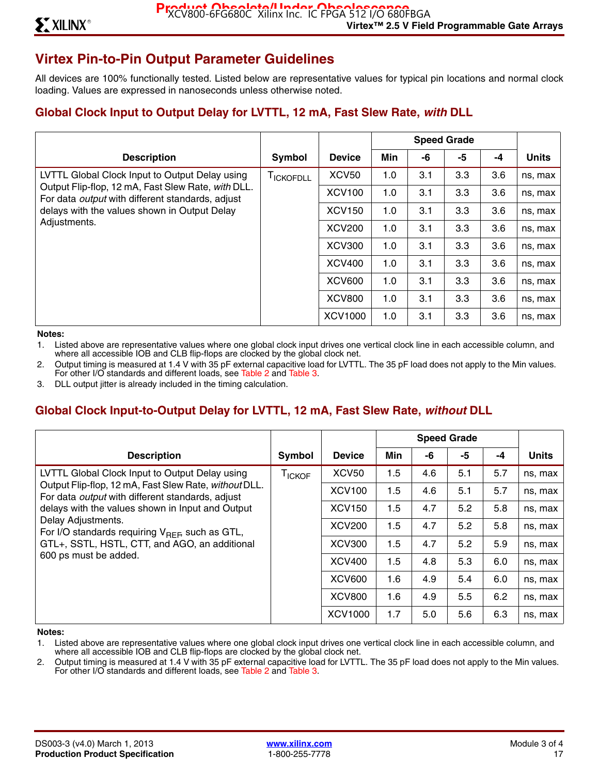# **Virtex Pin-to-Pin Output Parameter Guidelines**

All devices are 100% functionally tested. Listed below are representative values for typical pin locations and normal clock loading. Values are expressed in nanoseconds unless otherwise noted.

## **Global Clock Input to Output Delay for LVTTL, 12 mA, Fast Slew Rate,** *with* **DLL**

|                                                                                                                                                                                                                                 |            |               | <b>Speed Grade</b> |     |     |      |              |
|---------------------------------------------------------------------------------------------------------------------------------------------------------------------------------------------------------------------------------|------------|---------------|--------------------|-----|-----|------|--------------|
| <b>Description</b>                                                                                                                                                                                                              | Symbol     | <b>Device</b> | Min                | -6  | -5  | $-4$ | <b>Units</b> |
| LVTTL Global Clock Input to Output Delay using<br>Output Flip-flop, 12 mA, Fast Slew Rate, with DLL.<br>For data <i>output</i> with different standards, adjust<br>delays with the values shown in Output Delay<br>Adjustments. | I ICKOFDLL | <b>XCV50</b>  | 1.0                | 3.1 | 3.3 | 3.6  | ns, max      |
|                                                                                                                                                                                                                                 |            | <b>XCV100</b> | 1.0                | 3.1 | 3.3 | 3.6  | ns, max      |
|                                                                                                                                                                                                                                 |            | <b>XCV150</b> | 1.0                | 3.1 | 3.3 | 3.6  | ns, max      |
|                                                                                                                                                                                                                                 |            | <b>XCV200</b> | 1.0                | 3.1 | 3.3 | 3.6  | ns, max      |
|                                                                                                                                                                                                                                 |            | <b>XCV300</b> | 1.0                | 3.1 | 3.3 | 3.6  | ns, max      |
|                                                                                                                                                                                                                                 |            | <b>XCV400</b> | 1.0                | 3.1 | 3.3 | 3.6  | ns, max      |
|                                                                                                                                                                                                                                 |            | <b>XCV600</b> | 1.0                | 3.1 | 3.3 | 3.6  | ns, max      |
|                                                                                                                                                                                                                                 |            | <b>XCV800</b> | 1.0                | 3.1 | 3.3 | 3.6  | ns, max      |
|                                                                                                                                                                                                                                 |            | XCV1000       | 1.0                | 3.1 | 3.3 | 3.6  | ns, max      |

#### **Notes:**

1. Listed above are representative values where one global clock input drives one vertical clock line in each accessible column, and where all accessible IOB and CLB flip-flops are clocked by the global clock net.

2. Output timing is measured at 1.4 V with 35 pF external capacitive load for LVTTL. The 35 pF load does not apply to the Min values. For other I/O standards and different loads, see Table 2 and Table 3.

3. DLL output jitter is already included in the timing calculation.

## **Global Clock Input-to-Output Delay for LVTTL, 12 mA, Fast Slew Rate,** *without* **DLL**

|                                                                                                                                                                                                                                                                                                           |                    |                | <b>Speed Grade</b> |     |     |      |              |  |
|-----------------------------------------------------------------------------------------------------------------------------------------------------------------------------------------------------------------------------------------------------------------------------------------------------------|--------------------|----------------|--------------------|-----|-----|------|--------------|--|
| <b>Description</b>                                                                                                                                                                                                                                                                                        | Symbol             | <b>Device</b>  | Min                | -6  | -5  | $-4$ | <b>Units</b> |  |
| LVTTL Global Clock Input to Output Delay using<br>Output Flip-flop, 12 mA, Fast Slew Rate, without DLL.<br>For data <i>output</i> with different standards, adjust<br>delays with the values shown in Input and Output<br>Delay Adjustments.<br>For I/O standards requiring $V_{\text{RFE}}$ such as GTL, | T <sub>ICKOF</sub> | <b>XCV50</b>   | 1.5                | 4.6 | 5.1 | 5.7  | ns, max      |  |
|                                                                                                                                                                                                                                                                                                           |                    | <b>XCV100</b>  | 1.5                | 4.6 | 5.1 | 5.7  | ns, max      |  |
|                                                                                                                                                                                                                                                                                                           |                    | <b>XCV150</b>  | 1.5                | 4.7 | 5.2 | 5.8  | ns, max      |  |
|                                                                                                                                                                                                                                                                                                           |                    | <b>XCV200</b>  | 1.5                | 4.7 | 5.2 | 5.8  | ns, max      |  |
| GTL+, SSTL, HSTL, CTT, and AGO, an additional                                                                                                                                                                                                                                                             |                    | <b>XCV300</b>  | 1.5                | 4.7 | 5.2 | 5.9  | ns, max      |  |
| 600 ps must be added.                                                                                                                                                                                                                                                                                     |                    | <b>XCV400</b>  | 1.5                | 4.8 | 5.3 | 6.0  | ns, max      |  |
|                                                                                                                                                                                                                                                                                                           |                    | <b>XCV600</b>  | 1.6                | 4.9 | 5.4 | 6.0  | ns, max      |  |
|                                                                                                                                                                                                                                                                                                           |                    | <b>XCV800</b>  | 1.6                | 4.9 | 5.5 | 6.2  | ns, max      |  |
|                                                                                                                                                                                                                                                                                                           |                    | <b>XCV1000</b> | 1.7                | 5.0 | 5.6 | 6.3  | ns, max      |  |

#### **Notes:**

1. Listed above are representative values where one global clock input drives one vertical clock line in each accessible column, and where all accessible IOB and CLB flip-flops are clocked by the global clock net.

2. Output timing is measured at 1.4 V with 35 pF external capacitive load for LVTTL. The 35 pF load does not apply to the Min values. For other I/O standards and different loads, see Table 2 and Table 3.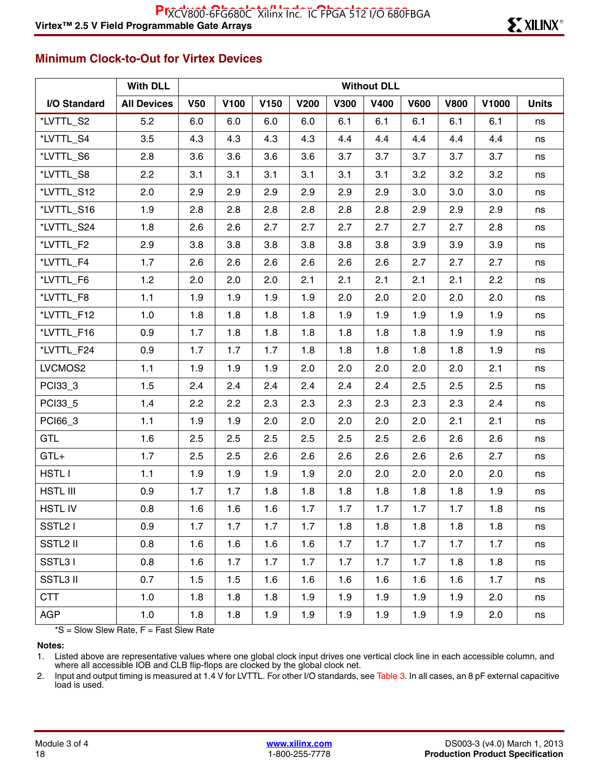### **Minimum Clock-to-Out for Virtex Devices**

|                      | <b>With DLL</b>    |            |      |      |             |             | <b>Without DLL</b> |             |             |       |              |
|----------------------|--------------------|------------|------|------|-------------|-------------|--------------------|-------------|-------------|-------|--------------|
| I/O Standard         | <b>All Devices</b> | <b>V50</b> | V100 | V150 | <b>V200</b> | <b>V300</b> | <b>V400</b>        | <b>V600</b> | <b>V800</b> | V1000 | <b>Units</b> |
| *LVTTL_S2            | 5.2                | 6.0        | 6.0  | 6.0  | 6.0         | 6.1         | 6.1                | 6.1         | 6.1         | 6.1   | ns           |
| *LVTTL_S4            | 3.5                | 4.3        | 4.3  | 4.3  | 4.3         | 4.4         | 4.4                | 4.4         | 4.4         | 4.4   | ns           |
| *LVTTL_S6            | 2.8                | 3.6        | 3.6  | 3.6  | 3.6         | 3.7         | 3.7                | 3.7         | 3.7         | 3.7   | ns           |
| *LVTTL_S8            | 2.2                | 3.1        | 3.1  | 3.1  | 3.1         | 3.1         | 3.1                | 3.2         | 3.2         | 3.2   | ns           |
| *LVTTL_S12           | 2.0                | 2.9        | 2.9  | 2.9  | 2.9         | 2.9         | 2.9                | 3.0         | 3.0         | 3.0   | ns           |
| *LVTTL_S16           | 1.9                | 2.8        | 2.8  | 2.8  | 2.8         | 2.8         | 2.8                | 2.9         | 2.9         | 2.9   | ns           |
| *LVTTL_S24           | 1.8                | 2.6        | 2.6  | 2.7  | 2.7         | 2.7         | 2.7                | 2.7         | 2.7         | 2.8   | ns           |
| *LVTTL_F2            | 2.9                | 3.8        | 3.8  | 3.8  | 3.8         | 3.8         | 3.8                | 3.9         | 3.9         | 3.9   | ns           |
| *LVTTL_F4            | 1.7                | 2.6        | 2.6  | 2.6  | 2.6         | 2.6         | 2.6                | 2.7         | 2.7         | 2.7   | ns           |
| *LVTTL_F6            | 1.2                | 2.0        | 2.0  | 2.0  | 2.1         | 2.1         | 2.1                | 2.1         | 2.1         | 2.2   | ns           |
| *LVTTL_F8            | $1.1$              | 1.9        | 1.9  | 1.9  | 1.9         | 2.0         | 2.0                | 2.0         | 2.0         | 2.0   | ns           |
| *LVTTL_F12           | 1.0                | 1.8        | 1.8  | 1.8  | 1.8         | 1.9         | 1.9                | 1.9         | 1.9         | 1.9   | ns           |
| *LVTTL_F16           | 0.9                | 1.7        | 1.8  | 1.8  | 1.8         | 1.8         | 1.8                | 1.8         | 1.9         | 1.9   | ns           |
| *LVTTL_F24           | 0.9                | 1.7        | 1.7  | 1.7  | 1.8         | 1.8         | 1.8                | 1.8         | 1.8         | 1.9   | ns           |
| LVCMOS2              | $1.1$              | 1.9        | 1.9  | 1.9  | 2.0         | 2.0         | 2.0                | 2.0         | 2.0         | 2.1   | ns           |
| PCI33_3              | 1.5                | 2.4        | 2.4  | 2.4  | 2.4         | 2.4         | 2.4                | 2.5         | 2.5         | 2.5   | ns           |
| PCI33_5              | 1.4                | 2.2        | 2.2  | 2.3  | 2.3         | 2.3         | 2.3                | 2.3         | 2.3         | 2.4   | ns           |
| PCI66_3              | $1.1$              | 1.9        | 1.9  | 2.0  | 2.0         | 2.0         | 2.0                | 2.0         | 2.1         | 2.1   | ns           |
| GTL                  | 1.6                | 2.5        | 2.5  | 2.5  | 2.5         | 2.5         | 2.5                | 2.6         | 2.6         | 2.6   | ns           |
| $GTL+$               | 1.7                | 2.5        | 2.5  | 2.6  | 2.6         | 2.6         | 2.6                | 2.6         | 2.6         | 2.7   | ns           |
| <b>HSTLI</b>         | $1.1$              | 1.9        | 1.9  | 1.9  | 1.9         | 2.0         | 2.0                | 2.0         | 2.0         | 2.0   | ns           |
| HSTL III             | 0.9                | 1.7        | 1.7  | 1.8  | 1.8         | 1.8         | 1.8                | 1.8         | 1.8         | 1.9   | ns           |
| <b>HSTLIV</b>        | 0.8                | 1.6        | 1.6  | 1.6  | 1.7         | 1.7         | 1.7                | 1.7         | 1.7         | 1.8   | ns           |
| SSTL <sub>2</sub> I  | 0.9                | 1.7        | 1.7  | 1.7  | 1.7         | 1.8         | 1.8                | 1.8         | 1.8         | 1.8   | ns           |
| SSTL <sub>2</sub> II | 0.8                | 1.6        | 1.6  | 1.6  | 1.6         | 1.7         | 1.7                | 1.7         | 1.7         | 1.7   | ns           |
| SSTL31               | 0.8                | 1.6        | 1.7  | 1.7  | 1.7         | 1.7         | 1.7                | 1.7         | 1.8         | 1.8   | ns           |
| <b>SSTL3 II</b>      | 0.7                | 1.5        | 1.5  | 1.6  | 1.6         | 1.6         | 1.6                | 1.6         | 1.6         | 1.7   | ns           |
| <b>CTT</b>           | 1.0                | 1.8        | 1.8  | 1.8  | 1.9         | 1.9         | 1.9                | 1.9         | 1.9         | 2.0   | ns           |
| <b>AGP</b>           | 1.0                | 1.8        | 1.8  | 1.9  | 1.9         | 1.9         | 1.9                | 1.9         | 1.9         | 2.0   | ns           |

 $*S =$  Slow Slew Rate,  $F =$  Fast Slew Rate

**Notes:** 

1. Listed above are representative values where one global clock input drives one vertical clock line in each accessible column, and where all accessible IOB and CLB flip-flops are clocked by the global clock net.

2. Input and output timing is measured at 1.4 V for LVTTL. For other I/O standards, see Table 3. In all cases, an 8 pF external capacitive load is used.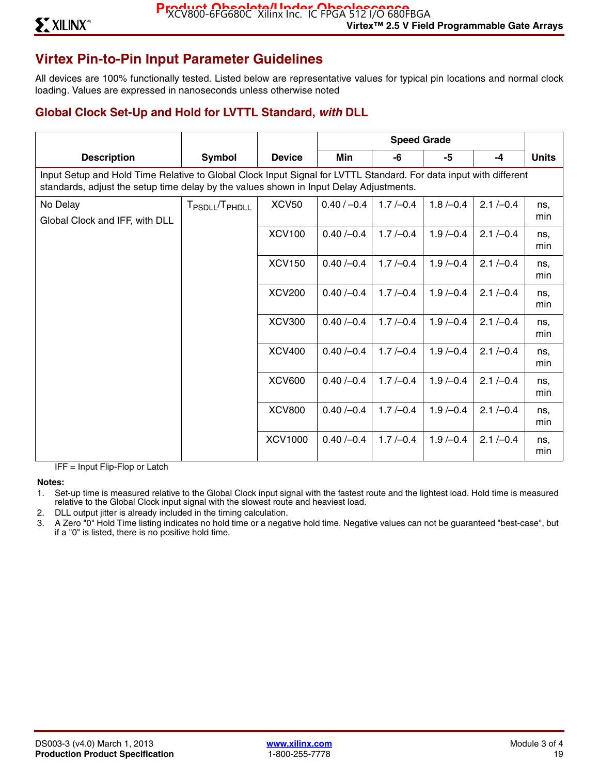# **Virtex Pin-to-Pin Input Parameter Guidelines**

All devices are 100% functionally tested. Listed below are representative values for typical pin locations and normal clock loading. Values are expressed in nanoseconds unless otherwise noted

## **Global Clock Set-Up and Hold for LVTTL Standard,** *with* **DLL**

|                                                                                                                                                                                                             |                                        |                |               | <b>Speed Grade</b> |            |              |              |  |  |  |  |
|-------------------------------------------------------------------------------------------------------------------------------------------------------------------------------------------------------------|----------------------------------------|----------------|---------------|--------------------|------------|--------------|--------------|--|--|--|--|
| <b>Description</b>                                                                                                                                                                                          | <b>Symbol</b>                          | <b>Device</b>  | Min           | -6                 | -5         | $-4$         | <b>Units</b> |  |  |  |  |
| Input Setup and Hold Time Relative to Global Clock Input Signal for LVTTL Standard. For data input with different<br>standards, adjust the setup time delay by the values shown in Input Delay Adjustments. |                                        |                |               |                    |            |              |              |  |  |  |  |
| No Delay<br>Global Clock and IFF, with DLL                                                                                                                                                                  | T <sub>PSDLL</sub> /T <sub>PHDLL</sub> | <b>XCV50</b>   | $0.40 / -0.4$ | $1.7/-0.4$         | $1.8/-0.4$ | $2.1 / -0.4$ | ns.<br>min   |  |  |  |  |
|                                                                                                                                                                                                             |                                        | <b>XCV100</b>  | $0.40/-0.4$   | $1.7/-0.4$         | $1.9/-0.4$ | $2.1 / -0.4$ | ns.<br>min   |  |  |  |  |
|                                                                                                                                                                                                             |                                        | <b>XCV150</b>  | $0.40/-0.4$   | $1.7/-0.4$         | $1.9/-0.4$ | $2.1 / -0.4$ | ns.<br>min   |  |  |  |  |
|                                                                                                                                                                                                             |                                        | <b>XCV200</b>  | $0.40/-0.4$   | $1.7/-0.4$         | $1.9/-0.4$ | $2.1 / -0.4$ | ns,<br>min   |  |  |  |  |
|                                                                                                                                                                                                             |                                        | <b>XCV300</b>  | $0.40/-0.4$   | $1.7/-0.4$         | $1.9/-0.4$ | $2.1 / -0.4$ | ns.<br>min   |  |  |  |  |
|                                                                                                                                                                                                             |                                        | <b>XCV400</b>  | $0.40/-0.4$   | $1.7/-0.4$         | $1.9/-0.4$ | $2.1 / -0.4$ | ns.<br>min   |  |  |  |  |
|                                                                                                                                                                                                             |                                        | <b>XCV600</b>  | $0.40/-0.4$   | $1.7/-0.4$         | $1.9/-0.4$ | $2.1 / -0.4$ | ns.<br>min   |  |  |  |  |
|                                                                                                                                                                                                             |                                        | <b>XCV800</b>  | $0.40/-0.4$   | $1.7/-0.4$         | $1.9/-0.4$ | $2.1 / -0.4$ | ns.<br>min   |  |  |  |  |
|                                                                                                                                                                                                             |                                        | <b>XCV1000</b> | $0.40/-0.4$   | $1.7/-0.4$         | $1.9/-0.4$ | $2.1 / -0.4$ | ns,<br>min   |  |  |  |  |

IFF = Input Flip-Flop or Latch

**Notes:** 

- 1. Set-up time is measured relative to the Global Clock input signal with the fastest route and the lightest load. Hold time is measured relative to the Global Clock input signal with the slowest route and heaviest load.
- 2. DLL output jitter is already included in the timing calculation.
- 3. A Zero "0" Hold Time listing indicates no hold time or a negative hold time. Negative values can not be guaranteed "best-case", but if a "0" is listed, there is no positive hold time.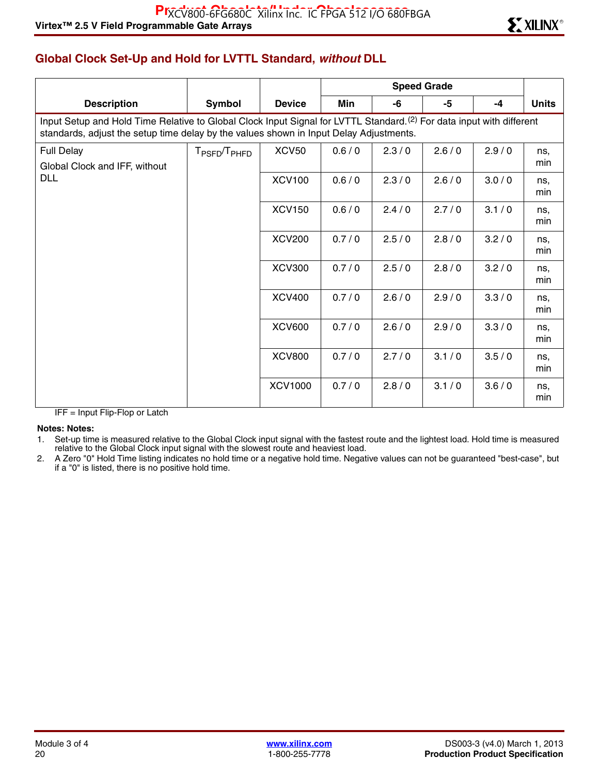# **Global Clock Set-Up and Hold for LVTTL Standard,** *without* **DLL**

| <b>Description</b>                                                                                                                                                                                                         | Symbol                               | <b>Device</b>  | Min   | -6    | -5    | $-4$  | <b>Units</b> |  |  |  |  |
|----------------------------------------------------------------------------------------------------------------------------------------------------------------------------------------------------------------------------|--------------------------------------|----------------|-------|-------|-------|-------|--------------|--|--|--|--|
| Input Setup and Hold Time Relative to Global Clock Input Signal for LVTTL Standard. <sup>(2)</sup> For data input with different<br>standards, adjust the setup time delay by the values shown in Input Delay Adjustments. |                                      |                |       |       |       |       |              |  |  |  |  |
| <b>Full Delay</b><br>Global Clock and IFF, without                                                                                                                                                                         | T <sub>PSFD</sub> /T <sub>PHFD</sub> | <b>XCV50</b>   | 0.6/0 | 2.3/0 | 2.6/0 | 2.9/0 | ns.<br>min   |  |  |  |  |
| <b>DLL</b>                                                                                                                                                                                                                 |                                      | <b>XCV100</b>  | 0.6/0 | 2.3/0 | 2.6/0 | 3.0/0 | ns,<br>min   |  |  |  |  |
|                                                                                                                                                                                                                            |                                      | <b>XCV150</b>  | 0.6/0 | 2.4/0 | 2.7/0 | 3.1/0 | ns.<br>min   |  |  |  |  |
|                                                                                                                                                                                                                            |                                      | <b>XCV200</b>  | 0.7/0 | 2.5/0 | 2.8/0 | 3.2/0 | ns,<br>min   |  |  |  |  |
|                                                                                                                                                                                                                            |                                      | <b>XCV300</b>  | 0.7/0 | 2.5/0 | 2.8/0 | 3.2/0 | ns.<br>min   |  |  |  |  |
|                                                                                                                                                                                                                            |                                      | <b>XCV400</b>  | 0.7/0 | 2.6/0 | 2.9/0 | 3.3/0 | ns,<br>min   |  |  |  |  |
|                                                                                                                                                                                                                            |                                      | <b>XCV600</b>  | 0.7/0 | 2.6/0 | 2.9/0 | 3.3/0 | ns,<br>min   |  |  |  |  |
|                                                                                                                                                                                                                            |                                      | <b>XCV800</b>  | 0.7/0 | 2.7/0 | 3.1/0 | 3.5/0 | ns.<br>min   |  |  |  |  |
|                                                                                                                                                                                                                            |                                      | <b>XCV1000</b> | 0.7/0 | 2.8/0 | 3.1/0 | 3.6/0 | ns,<br>min   |  |  |  |  |

IFF = Input Flip-Flop or Latch

#### **Notes: Notes:**

1. Set-up time is measured relative to the Global Clock input signal with the fastest route and the lightest load. Hold time is measured relative to the Global Clock input signal with the slowest route and heaviest load.

2. A Zero "0" Hold Time listing indicates no hold time or a negative hold time. Negative values can not be guaranteed "best-case", but if a "0" is listed, there is no positive hold time.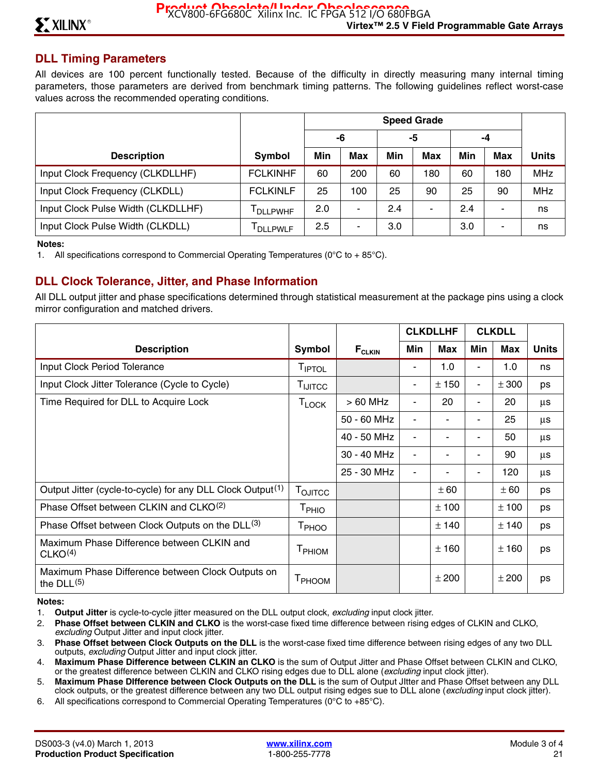### **DLL Timing Parameters**

All devices are 100 percent functionally tested. Because of the difficulty in directly measuring many internal timing parameters, those parameters are derived from benchmark timing patterns. The following guidelines reflect worst-case values across the recommended operating conditions.

|                                    |                  | <b>Speed Grade</b> |            |     |            |     |            |              |
|------------------------------------|------------------|--------------------|------------|-----|------------|-----|------------|--------------|
|                                    |                  |                    | -6         |     | -5         |     | -4         |              |
| <b>Description</b>                 | Symbol           | Min                | <b>Max</b> | Min | <b>Max</b> | Min | <b>Max</b> | <b>Units</b> |
| Input Clock Frequency (CLKDLLHF)   | <b>FCLKINHF</b>  | 60                 | 200        | 60  | 180        | 60  | 180        | <b>MHz</b>   |
| Input Clock Frequency (CLKDLL)     | <b>FCLKINLF</b>  | 25                 | 100        | 25  | 90         | 25  | 90         | <b>MHz</b>   |
| Input Clock Pulse Width (CLKDLLHF) | <b>DLLPWHF</b>   | 2.0                | ۰          | 2.4 |            | 2.4 |            | ns           |
| Input Clock Pulse Width (CLKDLL)   | <b>I</b> DLLPWLF | 2.5                | -          | 3.0 |            | 3.0 |            | ns           |

#### **Notes:**

1. All specifications correspond to Commercial Operating Temperatures ( $0^{\circ}$ C to + 85 $^{\circ}$ C).

### **DLL Clock Tolerance, Jitter, and Phase Information**

All DLL output jitter and phase specifications determined through statistical measurement at the package pins using a clock mirror configuration and matched drivers.

|                                                                        |                     |                               | <b>CLKDLLHF</b>          |       | <b>CLKDLL</b>            |           |              |
|------------------------------------------------------------------------|---------------------|-------------------------------|--------------------------|-------|--------------------------|-----------|--------------|
| <b>Description</b>                                                     | Symbol              | $\mathsf{F}_{\texttt{CLKIN}}$ | Min                      | Max   | Min                      | Max       | <b>Units</b> |
| <b>Input Clock Period Tolerance</b>                                    | TIPTOL              |                               |                          | 1.0   |                          | 1.0       | ns           |
| Input Clock Jitter Tolerance (Cycle to Cycle)                          | T <sub>IJITCC</sub> |                               | ٠                        | ± 150 |                          | ± 300     | ps           |
| Time Required for DLL to Acquire Lock                                  | $T_{\mathsf{LOCK}}$ | $>60$ MHz                     | $\blacksquare$           | 20    | $\overline{\phantom{a}}$ | 20        | μs           |
|                                                                        |                     | 50 - 60 MHz                   | $\blacksquare$           | ٠     |                          | 25        | μs           |
|                                                                        |                     | 40 - 50 MHz                   | $\blacksquare$           |       |                          | 50        | μs           |
|                                                                        |                     | 30 - 40 MHz                   | $\blacksquare$           | ۰     |                          | 90        | μs           |
|                                                                        |                     | 25 - 30 MHz                   | $\overline{\phantom{a}}$ |       |                          | 120       | μs           |
| Output Jitter (cycle-to-cycle) for any DLL Clock Output <sup>(1)</sup> | T <sub>OJITCC</sub> |                               |                          | ± 60  |                          | ± 60      | ps           |
| Phase Offset between CLKIN and CLKO <sup>(2)</sup>                     | T <sub>PHIO</sub>   |                               |                          | ± 100 |                          | ± 100     | ps           |
| Phase Offset between Clock Outputs on the DLL <sup>(3)</sup>           | T <sub>PHOO</sub>   |                               |                          | ± 140 |                          | $\pm$ 140 | ps           |
| Maximum Phase Difference between CLKIN and<br>CLKO <sup>(4)</sup>      | T <sub>PHIOM</sub>  |                               |                          | ±160  |                          | ±160      | ps           |
| Maximum Phase Difference between Clock Outputs on<br>the $DLL(5)$      | T <sub>PHOOM</sub>  |                               |                          | ± 200 |                          | ± 200     | ps           |

#### **Notes:**

- 1. **Output Jitter** is cycle-to-cycle jitter measured on the DLL output clock, *excluding* input clock jitter.
- 2. **Phase Offset between CLKIN and CLKO** is the worst-case fixed time difference between rising edges of CLKIN and CLKO, *excluding* Output Jitter and input clock jitter.
- 3. **Phase Offset between Clock Outputs on the DLL** is the worst-case fixed time difference between rising edges of any two DLL outputs, *excluding* Output Jitter and input clock jitter.
- 4. **Maximum Phase Difference between CLKIN an CLKO** is the sum of Output Jitter and Phase Offset between CLKIN and CLKO, or the greatest difference between CLKIN and CLKO rising edges due to DLL alone (*excluding* input clock jitter).
- 5. **Maximum Phase DIfference between Clock Outputs on the DLL** is the sum of Output JItter and Phase Offset between any DLL clock outputs, or the greatest difference between any two DLL output rising edges sue to DLL alone (*excluding* input clock jitter).
- 6. All specifications correspond to Commercial Operating Temperatures (0°C to +85°C).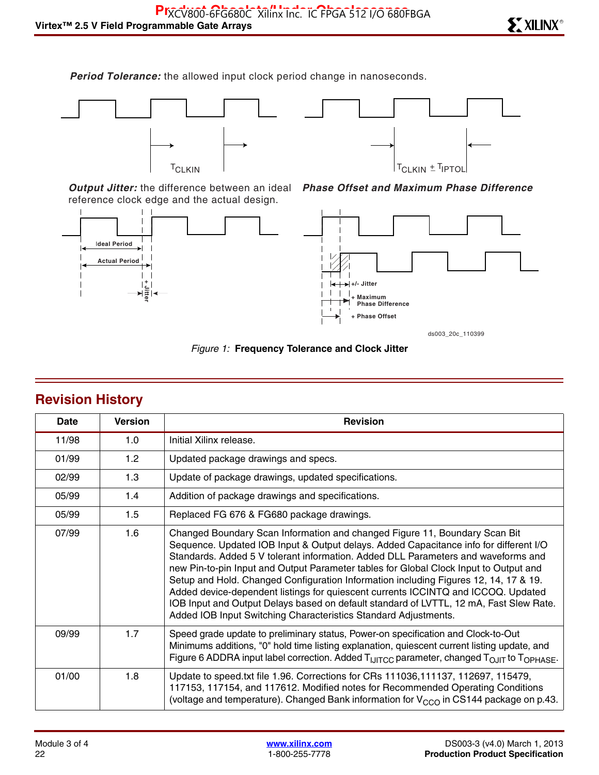*Period Tolerance:* the allowed input clock period change in nanoseconds.





*Output Jitter:* the difference between an ideal reference clock edge and the actual design.





*Phase Offset and Maximum Phase Difference*

*Figure 1:* **Frequency Tolerance and Clock Jitter**

| Date  | <b>Version</b> | <b>Revision</b>                                                                                                                                                                                                                                                                                                                                                                                                                                                                                                                                                                                                                                                                             |
|-------|----------------|---------------------------------------------------------------------------------------------------------------------------------------------------------------------------------------------------------------------------------------------------------------------------------------------------------------------------------------------------------------------------------------------------------------------------------------------------------------------------------------------------------------------------------------------------------------------------------------------------------------------------------------------------------------------------------------------|
| 11/98 | 1.0            | Initial Xilinx release.                                                                                                                                                                                                                                                                                                                                                                                                                                                                                                                                                                                                                                                                     |
| 01/99 | 1.2            | Updated package drawings and specs.                                                                                                                                                                                                                                                                                                                                                                                                                                                                                                                                                                                                                                                         |
| 02/99 | 1.3            | Update of package drawings, updated specifications.                                                                                                                                                                                                                                                                                                                                                                                                                                                                                                                                                                                                                                         |
| 05/99 | 1.4            | Addition of package drawings and specifications.                                                                                                                                                                                                                                                                                                                                                                                                                                                                                                                                                                                                                                            |
| 05/99 | 1.5            | Replaced FG 676 & FG680 package drawings.                                                                                                                                                                                                                                                                                                                                                                                                                                                                                                                                                                                                                                                   |
| 07/99 | 1.6            | Changed Boundary Scan Information and changed Figure 11, Boundary Scan Bit<br>Sequence. Updated IOB Input & Output delays. Added Capacitance info for different I/O<br>Standards. Added 5 V tolerant information. Added DLL Parameters and waveforms and<br>new Pin-to-pin Input and Output Parameter tables for Global Clock Input to Output and<br>Setup and Hold. Changed Configuration Information including Figures 12, 14, 17 & 19.<br>Added device-dependent listings for quiescent currents ICCINTQ and ICCOQ. Updated<br>IOB Input and Output Delays based on default standard of LVTTL, 12 mA, Fast Slew Rate.<br>Added IOB Input Switching Characteristics Standard Adjustments. |
| 09/99 | 1.7            | Speed grade update to preliminary status, Power-on specification and Clock-to-Out<br>Minimums additions, "0" hold time listing explanation, quiescent current listing update, and<br>Figure 6 ADDRA input label correction. Added T <sub>IJITCC</sub> parameter, changed T <sub>OJIT</sub> to T <sub>OPHASE</sub> .                                                                                                                                                                                                                                                                                                                                                                         |
| 01/00 | 1.8            | Update to speed.txt file 1.96. Corrections for CRs 111036, 111137, 112697, 115479,<br>117153, 117154, and 117612. Modified notes for Recommended Operating Conditions<br>(voltage and temperature). Changed Bank information for $V_{CCO}$ in CS144 package on p.43.                                                                                                                                                                                                                                                                                                                                                                                                                        |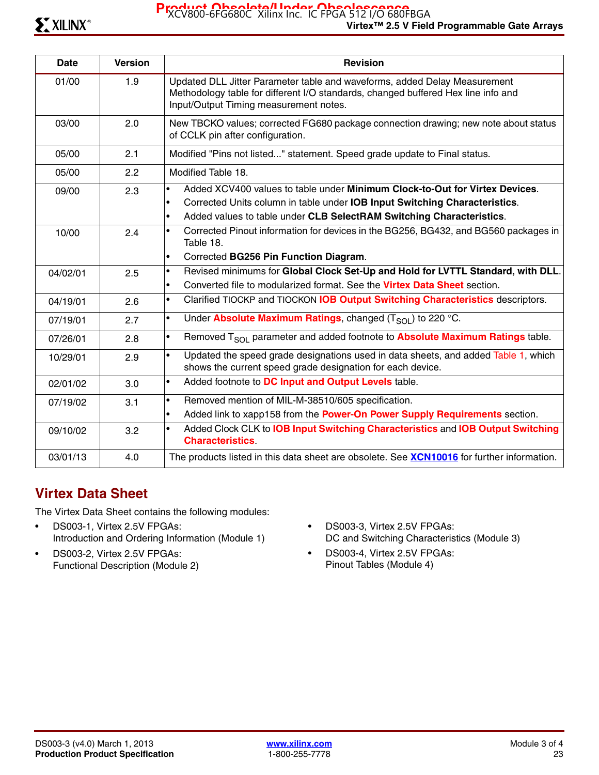Product Obsolete/Under Obsolescence<br>XCV800-6FG680C Xilinx Inc. IC FPGA 512 I/O 680FBGA

| <b>Date</b> | <b>Version</b> | <b>Revision</b>                                                                                                                                                                                                                                             |
|-------------|----------------|-------------------------------------------------------------------------------------------------------------------------------------------------------------------------------------------------------------------------------------------------------------|
| 01/00       | 1.9            | Updated DLL Jitter Parameter table and waveforms, added Delay Measurement<br>Methodology table for different I/O standards, changed buffered Hex line info and<br>Input/Output Timing measurement notes.                                                    |
| 03/00       | 2.0            | New TBCKO values; corrected FG680 package connection drawing; new note about status<br>of CCLK pin after configuration.                                                                                                                                     |
| 05/00       | 2.1            | Modified "Pins not listed" statement. Speed grade update to Final status.                                                                                                                                                                                   |
| 05/00       | 2.2            | Modified Table 18.                                                                                                                                                                                                                                          |
| 09/00       | 2.3            | Added XCV400 values to table under Minimum Clock-to-Out for Virtex Devices.<br>$\bullet$<br>Corrected Units column in table under IOB Input Switching Characteristics.<br>Added values to table under CLB SelectRAM Switching Characteristics.<br>$\bullet$ |
| 10/00       | 2.4            | Corrected Pinout information for devices in the BG256, BG432, and BG560 packages in<br>$\bullet$<br>Table 18.<br>Corrected BG256 Pin Function Diagram.<br>$\bullet$                                                                                         |
| 04/02/01    | 2.5            | Revised minimums for Global Clock Set-Up and Hold for LVTTL Standard, with DLL.<br>$\bullet$<br>Converted file to modularized format. See the Virtex Data Sheet section.<br>$\bullet$                                                                       |
| 04/19/01    | 2.6            | Clarified TIOCKP and TIOCKON IOB Output Switching Characteristics descriptors.<br>$\bullet$                                                                                                                                                                 |
| 07/19/01    | 2.7            | Under Absolute Maximum Ratings, changed $(TSO1)$ to 220 °C.<br>$\bullet$                                                                                                                                                                                    |
| 07/26/01    | 2.8            | Removed T <sub>SOL</sub> parameter and added footnote to <b>Absolute Maximum Ratings</b> table.<br>$\bullet$                                                                                                                                                |
| 10/29/01    | 2.9            | Updated the speed grade designations used in data sheets, and added Table 1, which<br>$\bullet$<br>shows the current speed grade designation for each device.                                                                                               |
| 02/01/02    | 3.0            | Added footnote to DC Input and Output Levels table.<br>$\bullet$                                                                                                                                                                                            |
| 07/19/02    | 3.1            | Removed mention of MIL-M-38510/605 specification.<br>$\bullet$<br>Added link to xapp158 from the Power-On Power Supply Requirements section.<br>$\bullet$                                                                                                   |
| 09/10/02    | 3.2            | Added Clock CLK to <b>IOB Input Switching Characteristics</b> and <b>IOB Output Switching</b><br>$\bullet$<br><b>Characteristics</b>                                                                                                                        |
| 03/01/13    | 4.0            | The products listed in this data sheet are obsolete. See <b>XCN10016</b> for further information.                                                                                                                                                           |

# **Virtex Data Sheet**

The Virtex Data Sheet contains the following modules:

- DS003-1, Virtex 2.5V FPGAs: Introduction and Ordering Information (Module 1)
- DS003-2, Virtex 2.5V FPGAs: Functional Description (Module 2)
- DS003-3, Virtex 2.5V FPGAs: DC and Switching Characteristics (Module 3)
- DS003-4, Virtex 2.5V FPGAs: Pinout Tables (Module 4)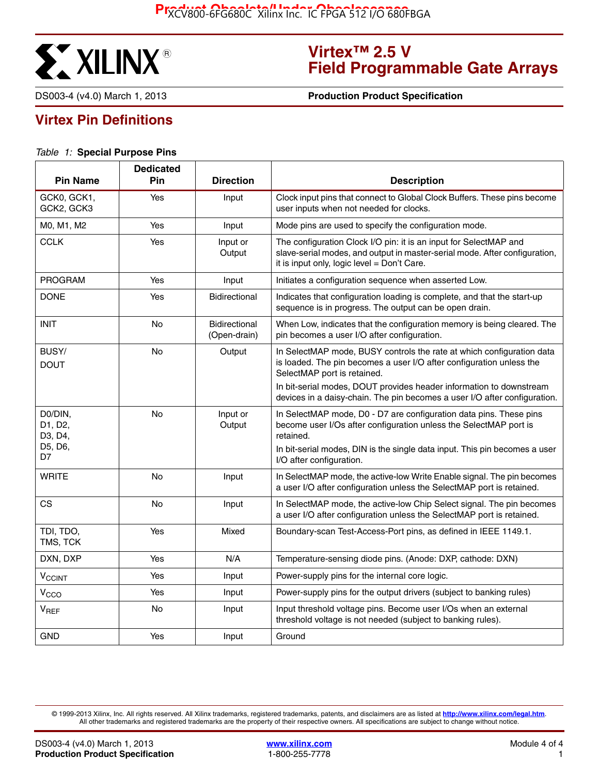

# **Virtex™ 2.5 V Field Programmable Gate Arrays**

DS003-4 (v4.0) March 1, 2013 **0 000 1000 1000 1000 Production Product Specification** 

# **Virtex Pin Definitions**

#### *Table 1:* **Special Purpose Pins**

| <b>Pin Name</b>               | <b>Dedicated</b><br><b>Pin</b> | <b>Direction</b>                     | <b>Description</b>                                                                                                                                                                             |
|-------------------------------|--------------------------------|--------------------------------------|------------------------------------------------------------------------------------------------------------------------------------------------------------------------------------------------|
| GCK0, GCK1,<br>GCK2, GCK3     | Yes                            | Input                                | Clock input pins that connect to Global Clock Buffers. These pins become<br>user inputs when not needed for clocks.                                                                            |
| M0, M1, M2                    | Yes                            | Input                                | Mode pins are used to specify the configuration mode.                                                                                                                                          |
| <b>CCLK</b>                   | Yes                            | Input or<br>Output                   | The configuration Clock I/O pin: it is an input for SelectMAP and<br>slave-serial modes, and output in master-serial mode. After configuration,<br>it is input only, logic level = Don't Care. |
| <b>PROGRAM</b>                | Yes                            | Input                                | Initiates a configuration sequence when asserted Low.                                                                                                                                          |
| <b>DONE</b>                   | Yes                            | <b>Bidirectional</b>                 | Indicates that configuration loading is complete, and that the start-up<br>sequence is in progress. The output can be open drain.                                                              |
| <b>INIT</b>                   | No                             | <b>Bidirectional</b><br>(Open-drain) | When Low, indicates that the configuration memory is being cleared. The<br>pin becomes a user I/O after configuration.                                                                         |
| BUSY/<br><b>DOUT</b>          | No                             | Output                               | In SelectMAP mode, BUSY controls the rate at which configuration data<br>is loaded. The pin becomes a user I/O after configuration unless the<br>SelectMAP port is retained.                   |
|                               |                                |                                      | In bit-serial modes, DOUT provides header information to downstream<br>devices in a daisy-chain. The pin becomes a user I/O after configuration.                                               |
| D0/DIN,<br>D1, D2,<br>D3, D4, | <b>No</b>                      | Input or<br>Output                   | In SelectMAP mode, D0 - D7 are configuration data pins. These pins<br>become user I/Os after configuration unless the SelectMAP port is<br>retained.                                           |
| D5, D6,<br>D7                 |                                |                                      | In bit-serial modes, DIN is the single data input. This pin becomes a user<br>I/O after configuration.                                                                                         |
| WRITE                         | No                             | Input                                | In SelectMAP mode, the active-low Write Enable signal. The pin becomes<br>a user I/O after configuration unless the SelectMAP port is retained.                                                |
| <b>CS</b>                     | No                             | Input                                | In SelectMAP mode, the active-low Chip Select signal. The pin becomes<br>a user I/O after configuration unless the SelectMAP port is retained.                                                 |
| TDI, TDO,<br>TMS, TCK         | Yes                            | Mixed                                | Boundary-scan Test-Access-Port pins, as defined in IEEE 1149.1.                                                                                                                                |
| DXN, DXP                      | Yes                            | N/A                                  | Temperature-sensing diode pins. (Anode: DXP, cathode: DXN)                                                                                                                                     |
| <b>V<sub>CCINT</sub></b>      | Yes                            | Input                                | Power-supply pins for the internal core logic.                                                                                                                                                 |
| V <sub>CCO</sub>              | Yes                            | Input                                | Power-supply pins for the output drivers (subject to banking rules)                                                                                                                            |
| $V_{REF}$                     | No                             | Input                                | Input threshold voltage pins. Become user I/Os when an external<br>threshold voltage is not needed (subject to banking rules).                                                                 |
| <b>GND</b>                    | Yes                            | Input                                | Ground                                                                                                                                                                                         |

© 1999-2013 Xilinx, Inc. All rights reserved. All Xilinx trademarks, registered trademarks, patents, and disclaimers are as listed at **<http://www.xilinx.com/legal.htm>**. All other trademarks and registered trademarks are the property of their respective owners. All specifications are subject to change without notice.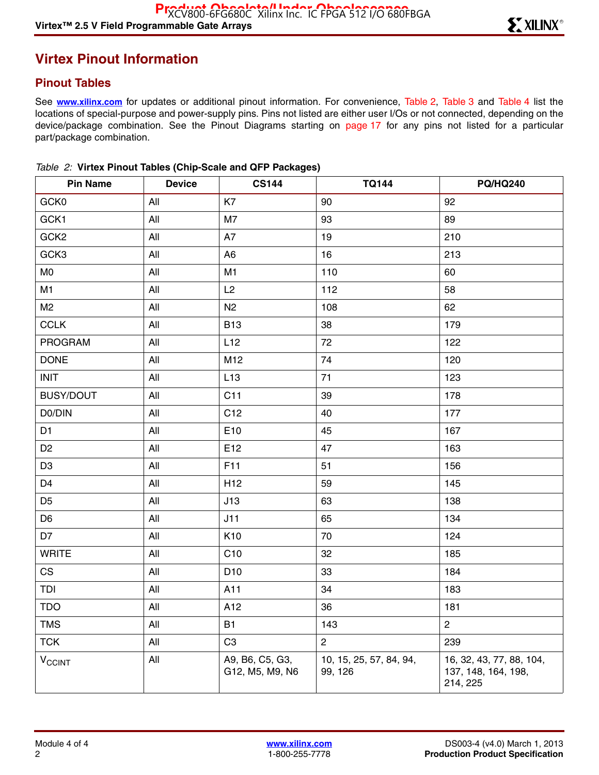# **Virtex Pinout Information**

## **Pinout Tables**

See **[www.xilinx.com](http://www.xilinx.com)** for updates or additional pinout information. For convenience, Table 2, Table 3 and Table 4 list the locations of special-purpose and power-supply pins. Pins not listed are either user I/Os or not connected, depending on the device/package combination. See the Pinout Diagrams starting on page 17 for any pins not listed for a particular part/package combination.

| <b>Pin Name</b>          | <b>Device</b> | <b>CS144</b>                       | <b>TQ144</b>                       | <b>PQ/HQ240</b>                                             |
|--------------------------|---------------|------------------------------------|------------------------------------|-------------------------------------------------------------|
| GCK0                     | All           | K7                                 | 90                                 | 92                                                          |
| GCK1                     | All           | M <sub>7</sub>                     | 93                                 | 89                                                          |
| GCK <sub>2</sub>         | All           | A7                                 | 19                                 | 210                                                         |
| GCK3                     | All           | A <sub>6</sub>                     | 16                                 | 213                                                         |
| M <sub>0</sub>           | All           | M <sub>1</sub>                     | 110                                | 60                                                          |
| M <sub>1</sub>           | All           | L2                                 | 112                                | 58                                                          |
| M <sub>2</sub>           | All           | N <sub>2</sub>                     | 108                                | 62                                                          |
| <b>CCLK</b>              | All           | <b>B13</b>                         | 38                                 | 179                                                         |
| PROGRAM                  | All           | L12                                | 72                                 | 122                                                         |
| <b>DONE</b>              | All           | M12                                | 74                                 | 120                                                         |
| <b>INIT</b>              | All           | L13                                | 71                                 | 123                                                         |
| <b>BUSY/DOUT</b>         | All           | C11                                | 39                                 | 178                                                         |
| D0/DIN                   | All           | C <sub>12</sub>                    | 40                                 | 177                                                         |
| D <sub>1</sub>           | All           | E10                                | 45                                 | 167                                                         |
| D <sub>2</sub>           | All           | E12                                | 47                                 | 163                                                         |
| D <sub>3</sub>           | All           | F11                                | 51                                 | 156                                                         |
| D <sub>4</sub>           | All           | H <sub>12</sub>                    | 59                                 | 145                                                         |
| D <sub>5</sub>           | All           | J13                                | 63                                 | 138                                                         |
| D <sub>6</sub>           | All           | J11                                | 65                                 | 134                                                         |
| D7                       | All           | K10                                | 70                                 | 124                                                         |
| <b>WRITE</b>             | All           | C10                                | 32                                 | 185                                                         |
| CS                       | All           | D <sub>10</sub>                    | 33                                 | 184                                                         |
| TDI                      | All           | A11                                | 34                                 | 183                                                         |
| <b>TDO</b>               | All           | A12                                | 36                                 | 181                                                         |
| <b>TMS</b>               | All           | <b>B1</b>                          | 143                                | $\overline{c}$                                              |
| <b>TCK</b>               | All           | C <sub>3</sub>                     | $\overline{c}$                     | 239                                                         |
| <b>V<sub>CCINT</sub></b> | All           | A9, B6, C5, G3,<br>G12, M5, M9, N6 | 10, 15, 25, 57, 84, 94,<br>99, 126 | 16, 32, 43, 77, 88, 104,<br>137, 148, 164, 198,<br>214, 225 |

|  |  |  |  | Table 2: Virtex Pinout Tables (Chip-Scale and QFP Packages) |  |  |
|--|--|--|--|-------------------------------------------------------------|--|--|
|--|--|--|--|-------------------------------------------------------------|--|--|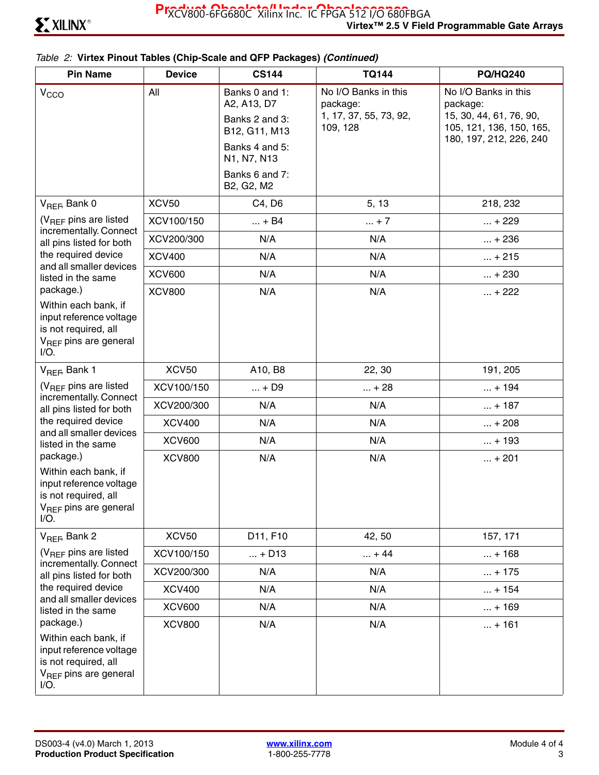### *Table 2:* **Virtex Pinout Tables (Chip-Scale and QFP Packages)** *(Continued)*

| <b>Pin Name</b>                                                                                                                      | <b>Device</b> | <b>CS144</b>                                                     | <b>TQ144</b>                                                           | <b>PQ/HQ240</b>                                                                                                    |
|--------------------------------------------------------------------------------------------------------------------------------------|---------------|------------------------------------------------------------------|------------------------------------------------------------------------|--------------------------------------------------------------------------------------------------------------------|
| V <sub>CCO</sub>                                                                                                                     | All           | Banks 0 and 1:<br>A2, A13, D7<br>Banks 2 and 3:<br>B12, G11, M13 | No I/O Banks in this<br>package:<br>1, 17, 37, 55, 73, 92,<br>109, 128 | No I/O Banks in this<br>package:<br>15, 30, 44, 61, 76, 90,<br>105, 121, 136, 150, 165,<br>180, 197, 212, 226, 240 |
|                                                                                                                                      |               | Banks 4 and 5:<br>N1, N7, N13                                    |                                                                        |                                                                                                                    |
|                                                                                                                                      |               | Banks 6 and 7:<br>B2, G2, M2                                     |                                                                        |                                                                                                                    |
| V <sub>REF</sub> , Bank 0                                                                                                            | <b>XCV50</b>  | C4, D6                                                           | 5, 13                                                                  | 218, 232                                                                                                           |
| $(V_{BFF}$ pins are listed<br>incrementally. Connect                                                                                 | XCV100/150    | $ + B4$                                                          | $ + 7$                                                                 | $ + 229$                                                                                                           |
| all pins listed for both                                                                                                             | XCV200/300    | N/A                                                              | N/A                                                                    | $ + 236$                                                                                                           |
| the required device<br>and all smaller devices                                                                                       | <b>XCV400</b> | N/A                                                              | N/A                                                                    | $ + 215$                                                                                                           |
| listed in the same                                                                                                                   | <b>XCV600</b> | N/A                                                              | N/A                                                                    | $ + 230$                                                                                                           |
| package.)<br>Within each bank, if<br>input reference voltage<br>is not required, all<br>V <sub>REF</sub> pins are general<br>$I/O$ . | <b>XCV800</b> | N/A                                                              | N/A                                                                    | $ + 222$                                                                                                           |
| V <sub>REF</sub> , Bank 1                                                                                                            | <b>XCV50</b>  | A10, B8                                                          | 22, 30                                                                 | 191, 205                                                                                                           |
| $(V_{RFF}$ pins are listed                                                                                                           | XCV100/150    | $ + D9$                                                          | $ + 28$                                                                | $ + 194$                                                                                                           |
| incrementally. Connect<br>all pins listed for both                                                                                   | XCV200/300    | N/A                                                              | N/A                                                                    | $ + 187$                                                                                                           |
| the required device                                                                                                                  | <b>XCV400</b> | N/A                                                              | N/A                                                                    | $ + 208$                                                                                                           |
| and all smaller devices<br>listed in the same                                                                                        | <b>XCV600</b> | N/A                                                              | N/A                                                                    | $ + 193$                                                                                                           |
| package.)<br>Within each bank, if<br>input reference voltage<br>is not required, all<br>V <sub>REF</sub> pins are general<br>$I/O$ . | <b>XCV800</b> | N/A                                                              | N/A                                                                    | $ + 201$                                                                                                           |
| V <sub>REF</sub> , Bank 2                                                                                                            | <b>XCV50</b>  | D11, F10                                                         | 42, 50                                                                 | 157, 171                                                                                                           |
| (V <sub>REF</sub> pins are listed<br>incrementally. Connect                                                                          | XCV100/150    | $ + D13$                                                         | $ + 44$                                                                | $ + 168$                                                                                                           |
| all pins listed for both                                                                                                             | XCV200/300    | N/A                                                              | N/A                                                                    | $ + 175$                                                                                                           |
| the required device<br>and all smaller devices                                                                                       | <b>XCV400</b> | N/A                                                              | N/A                                                                    | $ + 154$                                                                                                           |
| listed in the same                                                                                                                   | <b>XCV600</b> | N/A                                                              | N/A                                                                    | $ + 169$                                                                                                           |
| package.)<br>Within each bank, if<br>input reference voltage<br>is not required, all<br>V <sub>REF</sub> pins are general<br>$I/O$ . | <b>XCV800</b> | N/A                                                              | N/A                                                                    | $ + 161$                                                                                                           |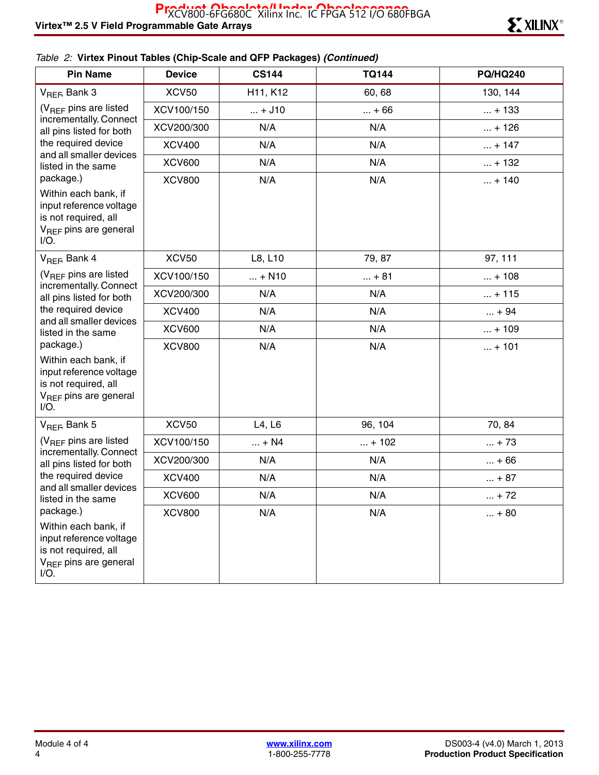### *Table 2:* **Virtex Pinout Tables (Chip-Scale and QFP Packages)** *(Continued)*

| <b>Pin Name</b>                                                                                                                      | <b>Device</b> | <b>CS144</b>                      | <b>TQ144</b> | <b>PQ/HQ240</b> |
|--------------------------------------------------------------------------------------------------------------------------------------|---------------|-----------------------------------|--------------|-----------------|
| V <sub>REF</sub> , Bank 3                                                                                                            | XCV50         | H <sub>11</sub> , K <sub>12</sub> | 60, 68       | 130, 144        |
| (V <sub>REF</sub> pins are listed<br>incrementally. Connect<br>all pins listed for both                                              | XCV100/150    | $ + J10$                          | $ + 66$      | $ + 133$        |
|                                                                                                                                      | XCV200/300    | N/A                               | N/A          | $ + 126$        |
| the required device                                                                                                                  | <b>XCV400</b> | N/A                               | N/A          | $ + 147$        |
| and all smaller devices<br>listed in the same                                                                                        | <b>XCV600</b> | N/A                               | N/A          | $ + 132$        |
| package.)                                                                                                                            | <b>XCV800</b> | N/A                               | N/A          | $ + 140$        |
| Within each bank, if<br>input reference voltage<br>is not required, all<br>V <sub>REF</sub> pins are general<br>$I/O$ .              |               |                                   |              |                 |
| $V_{BFE}$ Bank 4                                                                                                                     | <b>XCV50</b>  | L8, L10                           | 79, 87       | 97, 111         |
| (V <sub>RFF</sub> pins are listed                                                                                                    | XCV100/150    | $ + N10$                          | $ + 81$      | $ + 108$        |
| incrementally. Connect<br>all pins listed for both                                                                                   | XCV200/300    | N/A                               | N/A          | $ + 115$        |
| the required device<br>and all smaller devices                                                                                       | <b>XCV400</b> | N/A                               | N/A          | $ + 94$         |
| listed in the same                                                                                                                   | <b>XCV600</b> | N/A                               | N/A          | $ + 109$        |
| package.)<br>Within each bank, if<br>input reference voltage<br>is not required, all<br>V <sub>REF</sub> pins are general<br>$I/O$ . | <b>XCV800</b> | N/A                               | N/A          | $ + 101$        |
| $V_{REF}$ Bank 5                                                                                                                     | <b>XCV50</b>  | L4, L6                            | 96, 104      | 70, 84          |
| (V <sub>REF</sub> pins are listed                                                                                                    | XCV100/150    | $ + N4$                           | $ + 102$     | $ + 73$         |
| incrementally. Connect<br>all pins listed for both                                                                                   | XCV200/300    | N/A                               | N/A          | $ + 66$         |
| the required device                                                                                                                  | <b>XCV400</b> | N/A                               | N/A          | $ + 87$         |
| and all smaller devices<br>listed in the same                                                                                        | <b>XCV600</b> | N/A                               | N/A          | $ + 72$         |
| package.)                                                                                                                            | <b>XCV800</b> | N/A                               | N/A          | $ + 80$         |
| Within each bank, if<br>input reference voltage<br>is not required, all<br>V <sub>REF</sub> pins are general<br>$I/O$ .              |               |                                   |              |                 |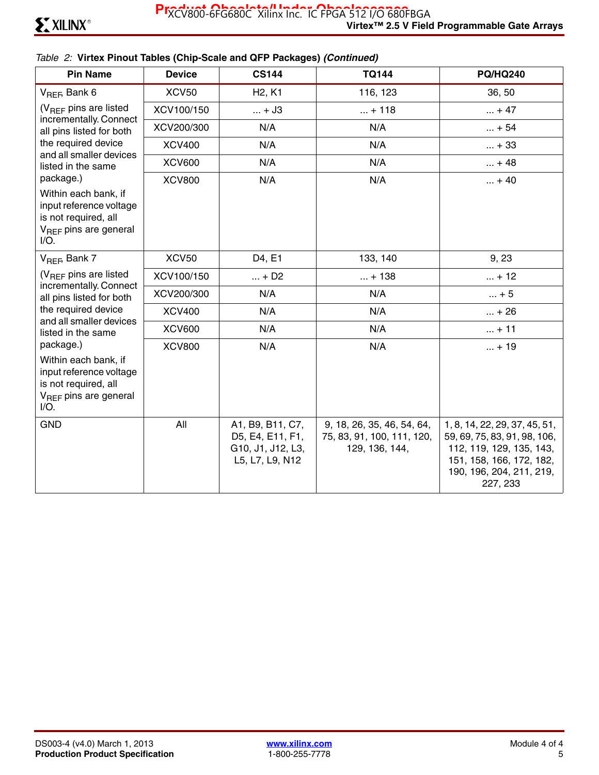### *Table 2:* **Virtex Pinout Tables (Chip-Scale and QFP Packages)** *(Continued)*

| <b>Pin Name</b>                                                                                                         | <b>Device</b> | <b>CS144</b>                                                                 | <b>TQ144</b>                                                               | <b>PQ/HQ240</b>                                                                                                                                               |
|-------------------------------------------------------------------------------------------------------------------------|---------------|------------------------------------------------------------------------------|----------------------------------------------------------------------------|---------------------------------------------------------------------------------------------------------------------------------------------------------------|
| $V_{REF}$ Bank 6                                                                                                        | <b>XCV50</b>  | H <sub>2</sub> , K <sub>1</sub>                                              | 116, 123                                                                   | 36, 50                                                                                                                                                        |
| $(V_{RFF}$ pins are listed<br>incrementally. Connect<br>all pins listed for both                                        | XCV100/150    | $ + J3$                                                                      | $ + 118$                                                                   | $ + 47$                                                                                                                                                       |
|                                                                                                                         | XCV200/300    | N/A                                                                          | N/A                                                                        | $ + 54$                                                                                                                                                       |
| the required device                                                                                                     | <b>XCV400</b> | N/A                                                                          | N/A                                                                        | $ + 33$                                                                                                                                                       |
| and all smaller devices<br>listed in the same                                                                           | <b>XCV600</b> | N/A                                                                          | N/A                                                                        | $ + 48$                                                                                                                                                       |
| package.)                                                                                                               | <b>XCV800</b> | N/A                                                                          | N/A                                                                        | $ + 40$                                                                                                                                                       |
| Within each bank, if<br>input reference voltage<br>is not required, all<br>$V_{\text{BFF}}$ pins are general<br>$I/O$ . |               |                                                                              |                                                                            |                                                                                                                                                               |
| $V_{REF}$ Bank 7                                                                                                        | <b>XCV50</b>  | D4, E1                                                                       | 133, 140                                                                   | 9, 23                                                                                                                                                         |
| $(V_{REF}$ pins are listed                                                                                              | XCV100/150    | $ + D2$                                                                      | $ + 138$                                                                   | $ + 12$                                                                                                                                                       |
| incrementally. Connect<br>all pins listed for both                                                                      | XCV200/300    | N/A                                                                          | N/A                                                                        | $ + 5$                                                                                                                                                        |
| the required device                                                                                                     | <b>XCV400</b> | N/A                                                                          | N/A                                                                        | $ + 26$                                                                                                                                                       |
| and all smaller devices<br>listed in the same                                                                           | <b>XCV600</b> | N/A                                                                          | N/A                                                                        | $ + 11$                                                                                                                                                       |
| package.)                                                                                                               | <b>XCV800</b> | N/A                                                                          | N/A                                                                        | $ + 19$                                                                                                                                                       |
| Within each bank, if<br>input reference voltage<br>is not required, all<br>V <sub>REF</sub> pins are general<br>$I/O$ . |               |                                                                              |                                                                            |                                                                                                                                                               |
| <b>GND</b>                                                                                                              | All           | A1, B9, B11, C7,<br>D5, E4, E11, F1,<br>G10, J1, J12, L3,<br>L5, L7, L9, N12 | 9, 18, 26, 35, 46, 54, 64,<br>75, 83, 91, 100, 111, 120,<br>129, 136, 144, | 1, 8, 14, 22, 29, 37, 45, 51,<br>59, 69, 75, 83, 91, 98, 106,<br>112, 119, 129, 135, 143,<br>151, 158, 166, 172, 182,<br>190, 196, 204, 211, 219,<br>227, 233 |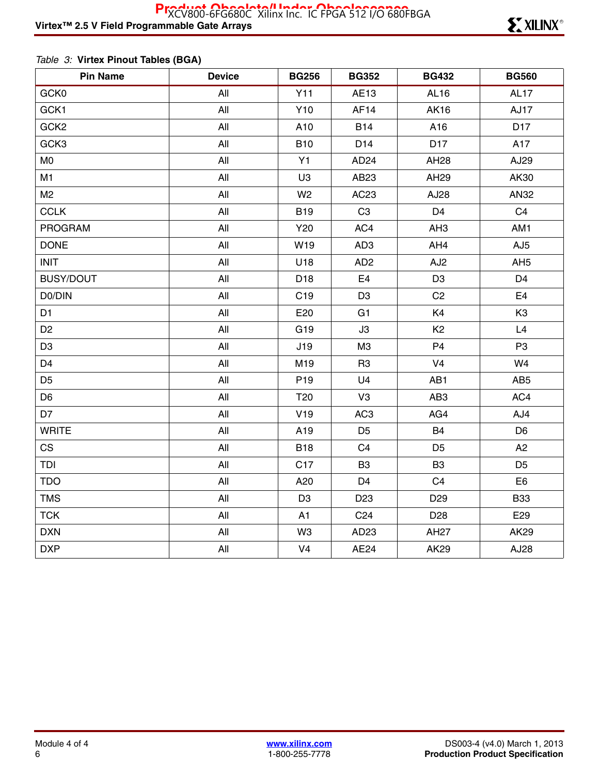### *Table 3:* **Virtex Pinout Tables (BGA)**

| <b>Pin Name</b>  | <b>Device</b> | <b>BG256</b>    | <b>BG352</b>     | <b>BG432</b>    | <b>BG560</b>     |
|------------------|---------------|-----------------|------------------|-----------------|------------------|
| GCK0             | All           | Y11             | AE13             | AL16            | AL <sub>17</sub> |
| GCK1             | All           | Y <sub>10</sub> | AF14             | <b>AK16</b>     | <b>AJ17</b>      |
| GCK <sub>2</sub> | All           | A10             | <b>B14</b>       | A16             | D <sub>17</sub>  |
| GCK3             | All           | <b>B10</b>      | D <sub>14</sub>  | D <sub>17</sub> | A17              |
| M <sub>0</sub>   | All           | Y1              | AD <sub>24</sub> | AH28            | AJ29             |
| M1               | All           | U <sub>3</sub>  | AB23             | AH29            | AK30             |
| M <sub>2</sub>   | All           | W <sub>2</sub>  | AC23             | AJ28            | AN32             |
| <b>CCLK</b>      | All           | <b>B19</b>      | C <sub>3</sub>   | D <sub>4</sub>  | C <sub>4</sub>   |
| <b>PROGRAM</b>   | All           | Y20             | AC4              | AH <sub>3</sub> | AM1              |
| <b>DONE</b>      | All           | W19             | AD <sub>3</sub>  | AH4             | AJ <sub>5</sub>  |
| <b>INIT</b>      | All           | U18             | AD <sub>2</sub>  | AJ <sub>2</sub> | AH <sub>5</sub>  |
| <b>BUSY/DOUT</b> | All           | D <sub>18</sub> | E4               | D <sub>3</sub>  | D <sub>4</sub>   |
| D0/DIN           | All           | C <sub>19</sub> | D <sub>3</sub>   | C <sub>2</sub>  | E <sub>4</sub>   |
| D <sub>1</sub>   | All           | E20             | G <sub>1</sub>   | K4              | K <sub>3</sub>   |
| D <sub>2</sub>   | All           | G19             | J3               | K <sub>2</sub>  | L4               |
| D <sub>3</sub>   | All           | J19             | M <sub>3</sub>   | P <sub>4</sub>  | P <sub>3</sub>   |
| D <sub>4</sub>   | All           | M19             | R <sub>3</sub>   | V <sub>4</sub>  | W4               |
| D <sub>5</sub>   | All           | P <sub>19</sub> | U <sub>4</sub>   | AB1             | AB <sub>5</sub>  |
| D <sub>6</sub>   | All           | T <sub>20</sub> | V <sub>3</sub>   | AB <sub>3</sub> | AC4              |
| D7               | All           | V19             | AC <sub>3</sub>  | AG4             | AJ4              |
| <b>WRITE</b>     | All           | A19             | D <sub>5</sub>   | <b>B4</b>       | D <sub>6</sub>   |
| <b>CS</b>        | All           | <b>B18</b>      | C <sub>4</sub>   | D <sub>5</sub>  | A2               |
| TDI              | All           | C <sub>17</sub> | B <sub>3</sub>   | B <sub>3</sub>  | D <sub>5</sub>   |
| <b>TDO</b>       | All           | A20             | D <sub>4</sub>   | C <sub>4</sub>  | E <sub>6</sub>   |
| <b>TMS</b>       | All           | D <sub>3</sub>  | D <sub>23</sub>  | D <sub>29</sub> | <b>B33</b>       |
| <b>TCK</b>       | All           | A1              | C <sub>24</sub>  | D <sub>28</sub> | E29              |
| <b>DXN</b>       | All           | W <sub>3</sub>  | AD <sub>23</sub> | <b>AH27</b>     | AK29             |
| <b>DXP</b>       | All           | V <sub>4</sub>  | AE24             | <b>AK29</b>     | AJ28             |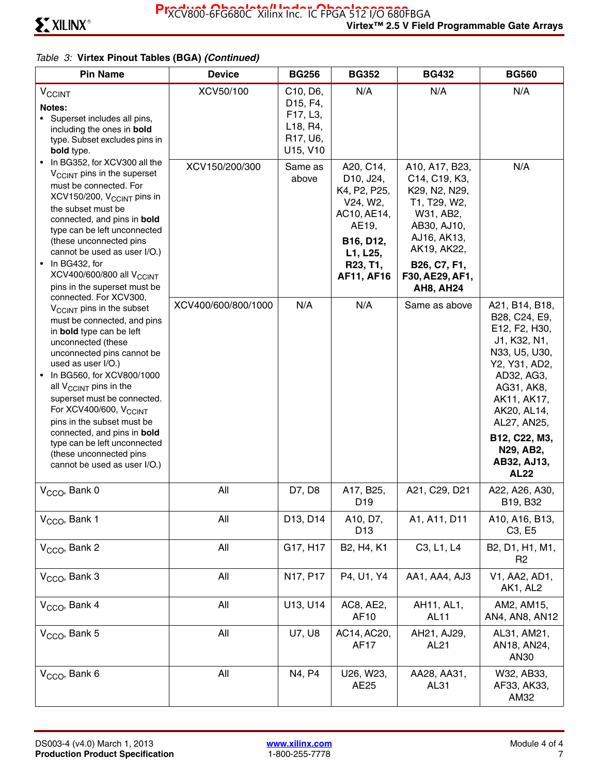| <b>Pin Name</b>                                                                                                                                                                                                                                                                                                                                                                                                                                                                                      | <b>Device</b>       | <b>BG256</b>                                                                                                                                       | <b>BG352</b>                                                                                                                         | <b>BG432</b>                                                                                                                                                                      | <b>BG560</b>                                                                                                                                                                                                                            |
|------------------------------------------------------------------------------------------------------------------------------------------------------------------------------------------------------------------------------------------------------------------------------------------------------------------------------------------------------------------------------------------------------------------------------------------------------------------------------------------------------|---------------------|----------------------------------------------------------------------------------------------------------------------------------------------------|--------------------------------------------------------------------------------------------------------------------------------------|-----------------------------------------------------------------------------------------------------------------------------------------------------------------------------------|-----------------------------------------------------------------------------------------------------------------------------------------------------------------------------------------------------------------------------------------|
| $V_{CClNT}$<br>Notes:<br>• Superset includes all pins,<br>including the ones in <b>bold</b><br>type. Subset excludes pins in<br>bold type.                                                                                                                                                                                                                                                                                                                                                           | XCV50/100           | C <sub>10</sub> , D <sub>6</sub> ,<br>D <sub>15</sub> , F <sub>4</sub> ,<br>F17, L3,<br>L <sub>18</sub> , R <sub>4</sub> ,<br>R17, U6,<br>U15, V10 | N/A                                                                                                                                  | N/A                                                                                                                                                                               | N/A                                                                                                                                                                                                                                     |
| • In BG352, for XCV300 all the<br>V <sub>CCINT</sub> pins in the superset<br>must be connected. For<br>XCV150/200, V <sub>CCINT</sub> pins in<br>the subset must be<br>connected, and pins in bold<br>type can be left unconnected<br>(these unconnected pins<br>cannot be used as user I/O.)<br>In BG432, for<br>XCV400/600/800 all V <sub>CCINT</sub><br>pins in the superset must be                                                                                                              | XCV150/200/300      | Same as<br>above                                                                                                                                   | A20, C14,<br>D10, J24,<br>K4, P2, P25,<br>V24, W2,<br>AC10, AE14,<br>AE19,<br>B16, D12,<br>L1, L25,<br>R23, T1,<br><b>AF11, AF16</b> | A10, A17, B23,<br>C14, C19, K3,<br>K29, N2, N29,<br>T1, T29, W2,<br>W31, AB2,<br>AB30, AJ10,<br>AJ16, AK13,<br>AK19, AK22,<br>B26, C7, F1,<br>F30, AE29, AF1,<br><b>AH8, AH24</b> | N/A                                                                                                                                                                                                                                     |
| connected. For XCV300,<br>V <sub>CCINT</sub> pins in the subset<br>must be connected, and pins<br>in bold type can be left<br>unconnected (these<br>unconnected pins cannot be<br>used as user I/O.)<br>In BG560, for XCV800/1000<br>all $V_{\text{CCINT}}$ pins in the<br>superset must be connected.<br>For XCV400/600, V <sub>CCINT</sub><br>pins in the subset must be<br>connected, and pins in bold<br>type can be left unconnected<br>(these unconnected pins<br>cannot be used as user I/O.) | XCV400/600/800/1000 | N/A                                                                                                                                                | N/A                                                                                                                                  | Same as above                                                                                                                                                                     | A21, B14, B18,<br>B28, C24, E9,<br>E12, F2, H30,<br>J1, K32, N1,<br>N33, U5, U30,<br>Y2, Y31, AD2,<br>AD32, AG3,<br>AG31, AK8,<br>AK11, AK17,<br>AK20, AL14,<br>AL27, AN25,<br>B12, C22, M3,<br>N29, AB2,<br>AB32, AJ13,<br><b>AL22</b> |
| V <sub>CCO</sub> , Bank 0                                                                                                                                                                                                                                                                                                                                                                                                                                                                            | All                 | D7, D8                                                                                                                                             | A17, B25,<br>D <sub>19</sub>                                                                                                         | A21, C29, D21                                                                                                                                                                     | A22, A26, A30,<br>B19, B32                                                                                                                                                                                                              |
| V <sub>CCO</sub> , Bank 1                                                                                                                                                                                                                                                                                                                                                                                                                                                                            | All                 | D13, D14                                                                                                                                           | A10, D7,<br>D <sub>13</sub>                                                                                                          | A1, A11, D11                                                                                                                                                                      | A10, A16, B13,<br>C <sub>3</sub> , E <sub>5</sub>                                                                                                                                                                                       |
| V <sub>CCO</sub> , Bank 2                                                                                                                                                                                                                                                                                                                                                                                                                                                                            | All                 | G17, H17                                                                                                                                           | B2, H4, K1                                                                                                                           | C3, L1, L4                                                                                                                                                                        | B2, D1, H1, M1,<br>R <sub>2</sub>                                                                                                                                                                                                       |
| V <sub>CCO</sub> , Bank 3                                                                                                                                                                                                                                                                                                                                                                                                                                                                            | All                 | N <sub>17</sub> , P <sub>17</sub>                                                                                                                  | P4, U1, Y4                                                                                                                           | AA1, AA4, AJ3                                                                                                                                                                     | V1, AA2, AD1,<br>AK1, AL2                                                                                                                                                                                                               |
| V <sub>CCO</sub> , Bank 4                                                                                                                                                                                                                                                                                                                                                                                                                                                                            | All                 | U13, U14                                                                                                                                           | AC8, AE2,<br>AF10                                                                                                                    | AH11, AL1,<br><b>AL11</b>                                                                                                                                                         | AM2, AM15,<br>AN4, AN8, AN12                                                                                                                                                                                                            |
| V <sub>CCO</sub> , Bank 5                                                                                                                                                                                                                                                                                                                                                                                                                                                                            | All                 | <b>U7, U8</b>                                                                                                                                      | AC14, AC20,<br><b>AF17</b>                                                                                                           | AH21, AJ29,<br>AL <sub>21</sub>                                                                                                                                                   | AL31, AM21,<br>AN18, AN24,<br>AN30                                                                                                                                                                                                      |
| V <sub>CCO</sub> , Bank 6                                                                                                                                                                                                                                                                                                                                                                                                                                                                            | All                 | N4, P4                                                                                                                                             | U26, W23,<br>AE25                                                                                                                    | AA28, AA31,<br>AL31                                                                                                                                                               | W32, AB33,<br>AF33, AK33,<br>AM32                                                                                                                                                                                                       |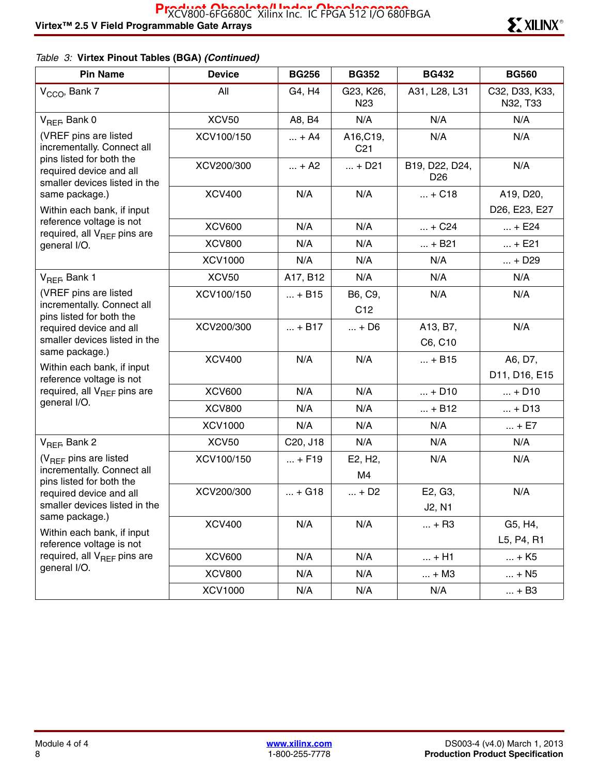| <b>Pin Name</b>                                                                      | <b>Device</b>  | <b>BG256</b> | <b>BG352</b>                 | <b>BG432</b>                      | <b>BG560</b>               |
|--------------------------------------------------------------------------------------|----------------|--------------|------------------------------|-----------------------------------|----------------------------|
| V <sub>CCO</sub> , Bank 7                                                            | All            | G4, H4       | G23, K26,<br>N <sub>23</sub> | A31, L28, L31                     | C32, D33, K33,<br>N32, T33 |
| $V_{REF}$ Bank 0                                                                     | <b>XCV50</b>   | A8, B4       | N/A                          | N/A                               | N/A                        |
| (VREF pins are listed<br>incrementally. Connect all                                  | XCV100/150     | $ + A4$      | A16, C19,<br>C <sub>21</sub> | N/A                               | N/A                        |
| pins listed for both the<br>required device and all<br>smaller devices listed in the | XCV200/300     | $ + A2$      | $ + D21$                     | B19, D22, D24,<br>D <sub>26</sub> | N/A                        |
| same package.)                                                                       | <b>XCV400</b>  | N/A          | N/A                          | $ + C18$                          | A19, D20,                  |
| Within each bank, if input                                                           |                |              |                              |                                   | D26, E23, E27              |
| reference voltage is not<br>required, all V <sub>REF</sub> pins are                  | <b>XCV600</b>  | N/A          | N/A                          | $ + C24$                          | $ + E24$                   |
| general I/O.                                                                         | <b>XCV800</b>  | N/A          | N/A                          | $ + B21$                          | $ + E21$                   |
|                                                                                      | <b>XCV1000</b> | N/A          | N/A                          | N/A                               | $ + D29$                   |
| V <sub>REF</sub> , Bank 1                                                            | <b>XCV50</b>   | A17, B12     | N/A                          | N/A                               | N/A                        |
| (VREF pins are listed                                                                | XCV100/150     | $ + B15$     | B6, C9,                      | N/A                               | N/A                        |
| incrementally. Connect all<br>pins listed for both the                               |                |              | C <sub>12</sub>              |                                   |                            |
| required device and all                                                              | XCV200/300     | $ + B17$     | $ + D6$                      | A13, B7,                          | N/A                        |
| smaller devices listed in the                                                        |                |              |                              | C6, C10                           |                            |
| same package.)<br>Within each bank, if input                                         | <b>XCV400</b>  | N/A          | N/A                          | $ + B15$                          | A6, D7,                    |
| reference voltage is not                                                             |                |              |                              |                                   | D11, D16, E15              |
| required, all $V_{BFF}$ pins are                                                     | <b>XCV600</b>  | N/A          | N/A                          | $ + D10$                          | $ + D10$                   |
| general I/O.                                                                         | <b>XCV800</b>  | N/A          | N/A                          | $ + B12$                          | $ + D13$                   |
|                                                                                      | <b>XCV1000</b> | N/A          | N/A                          | N/A                               | $ + E7$                    |
| $V_{REF}$ Bank 2                                                                     | <b>XCV50</b>   | C20, J18     | N/A                          | N/A                               | N/A                        |
| (V <sub>REF</sub> pins are listed                                                    | XCV100/150     | $ + F19$     | E2, H <sub>2</sub> ,         | N/A                               | N/A                        |
| incrementally. Connect all<br>pins listed for both the                               |                |              | M4                           |                                   |                            |
| required device and all                                                              | XCV200/300     | $ + G18$     | $ + D2$                      | E2, G3,                           | N/A                        |
| smaller devices listed in the                                                        |                |              |                              | J2, N1                            |                            |
| same package.)                                                                       | <b>XCV400</b>  | N/A          | N/A                          | $ + R3$                           | G5, H4,                    |
| Within each bank, if input<br>reference voltage is not                               |                |              |                              |                                   | L5, P4, R1                 |
| required, all V <sub>REF</sub> pins are                                              | <b>XCV600</b>  | N/A          | N/A                          | $ + H1$                           | $ + K5$                    |
| general I/O.                                                                         | <b>XCV800</b>  | N/A          | N/A                          | $\ldots$ + M3                     | $ + N5$                    |
|                                                                                      | <b>XCV1000</b> | N/A          | N/A                          | N/A                               | $ + B3$                    |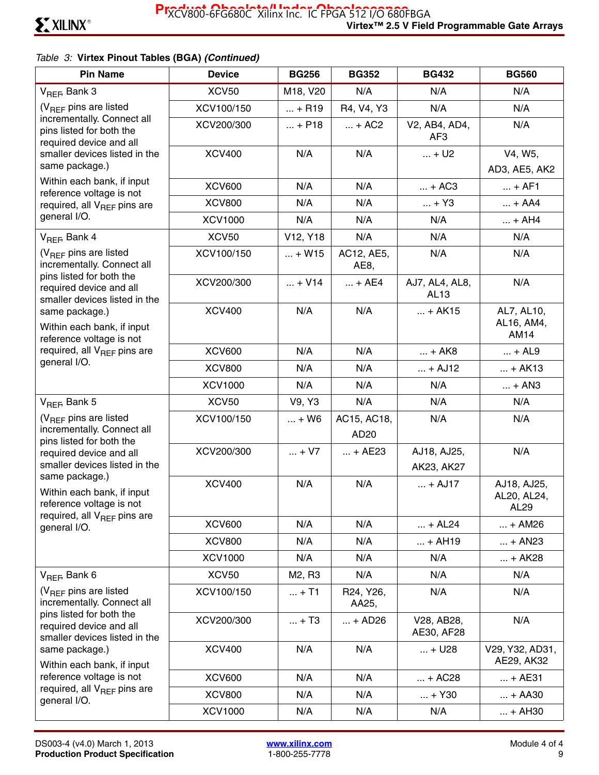| <b>Pin Name</b>                                                                      | <b>Device</b>  | <b>BG256</b>                      | <b>BG352</b>                                 | <b>BG432</b>              | <b>BG560</b>                       |
|--------------------------------------------------------------------------------------|----------------|-----------------------------------|----------------------------------------------|---------------------------|------------------------------------|
| V <sub>REF</sub> , Bank 3                                                            | <b>XCV50</b>   | M18, V20                          | N/A                                          | N/A                       | N/A                                |
| (V <sub>RFF</sub> pins are listed                                                    | XCV100/150     | $ + R19$                          | R4, V4, Y3                                   | N/A                       | N/A                                |
| incrementally. Connect all<br>pins listed for both the<br>required device and all    | XCV200/300     | $ + P18$                          | $ + AC2$                                     | V2, AB4, AD4,<br>AF3      | N/A                                |
| smaller devices listed in the                                                        | <b>XCV400</b>  | N/A                               | N/A                                          | $ + U2$                   | V4, W5,                            |
| same package.)                                                                       |                |                                   |                                              |                           | AD3, AE5, AK2                      |
| Within each bank, if input<br>reference voltage is not                               | <b>XCV600</b>  | N/A                               | N/A                                          | $ + AC3$                  | $ + AF1$                           |
| required, all V <sub>REF</sub> pins are                                              | <b>XCV800</b>  | N/A                               | N/A                                          | $ + Y3$                   | $ + AA4$                           |
| general I/O.                                                                         | <b>XCV1000</b> | N/A                               | N/A                                          | N/A                       | $ + AH4$                           |
| $V_{RFF}$ , Bank 4                                                                   | <b>XCV50</b>   | V <sub>12</sub> , Y <sub>18</sub> | N/A                                          | N/A                       | N/A                                |
| $(V_{BFF}$ pins are listed<br>incrementally. Connect all                             | XCV100/150     | $ + W15$                          | AC12, AE5,<br>AE <sub>8</sub>                | N/A                       | N/A                                |
| pins listed for both the<br>required device and all<br>smaller devices listed in the | XCV200/300     | $ + V14$                          | $ + AE4$                                     | AJ7, AL4, AL8,<br>AL13    | N/A                                |
| same package.)<br>Within each bank, if input<br>reference voltage is not             | <b>XCV400</b>  | N/A                               | N/A                                          | $ + AK15$                 | AL7, AL10,<br>AL16, AM4,<br>AM14   |
| required, all $V_{BFE}$ pins are                                                     | <b>XCV600</b>  | N/A                               | N/A                                          | $ + AK8$                  | $ + AL9$                           |
| general I/O.                                                                         | <b>XCV800</b>  | N/A                               | N/A                                          | $ + AJ12$                 | $ + AK13$                          |
|                                                                                      | <b>XCV1000</b> | N/A                               | N/A                                          | N/A                       | $ + AN3$                           |
| V <sub>REF</sub> , Bank 5                                                            | <b>XCV50</b>   | V9, Y3                            | N/A                                          | N/A                       | N/A                                |
| $(V_{BFF}$ pins are listed<br>incrementally. Connect all<br>pins listed for both the | XCV100/150     | $ + W6$                           | AC15, AC18,<br>AD20                          | N/A                       | N/A                                |
| required device and all<br>smaller devices listed in the                             | XCV200/300     | $ + V7$                           | $ + AE23$                                    | AJ18, AJ25,<br>AK23, AK27 | N/A                                |
| same package.)<br>Within each bank, if input<br>reference voltage is not             | <b>XCV400</b>  | N/A                               | N/A                                          | $ + AJ17$                 | AJ18, AJ25,<br>AL20, AL24,<br>AL29 |
| required, all V <sub>REF</sub> pins are<br>general I/O.                              | <b>XCV600</b>  | N/A                               | N/A                                          | $ + AL24$                 | $ + AM26$                          |
|                                                                                      | <b>XCV800</b>  | N/A                               | N/A                                          | $ + AH19$                 | $ + AN23$                          |
|                                                                                      | <b>XCV1000</b> | N/A                               | N/A                                          | N/A                       | $ + AK28$                          |
| $V_{REF}$ Bank 6                                                                     | <b>XCV50</b>   | M <sub>2</sub> , R <sub>3</sub>   | N/A                                          | N/A                       | N/A                                |
| $(V_{RFF}$ pins are listed<br>incrementally. Connect all                             | XCV100/150     | $ + T1$                           | R <sub>24</sub> , Y <sub>26</sub> ,<br>AA25, | N/A                       | N/A                                |
| pins listed for both the<br>required device and all<br>smaller devices listed in the | XCV200/300     | $ + T3$                           | $ + AD26$                                    | V28, AB28,<br>AE30, AF28  | N/A                                |
| same package.)<br>Within each bank, if input                                         | <b>XCV400</b>  | N/A                               | N/A                                          | $ + U28$                  | V29, Y32, AD31,<br>AE29, AK32      |
| reference voltage is not                                                             | <b>XCV600</b>  | N/A                               | N/A                                          | $ + AC28$                 | $ + AE31$                          |
| required, all V <sub>REF</sub> pins are<br>general I/O.                              | <b>XCV800</b>  | N/A                               | N/A                                          | $ + Y30$                  | $ + AA30$                          |
|                                                                                      | <b>XCV1000</b> | N/A                               | N/A                                          | N/A                       | $ + AH30$                          |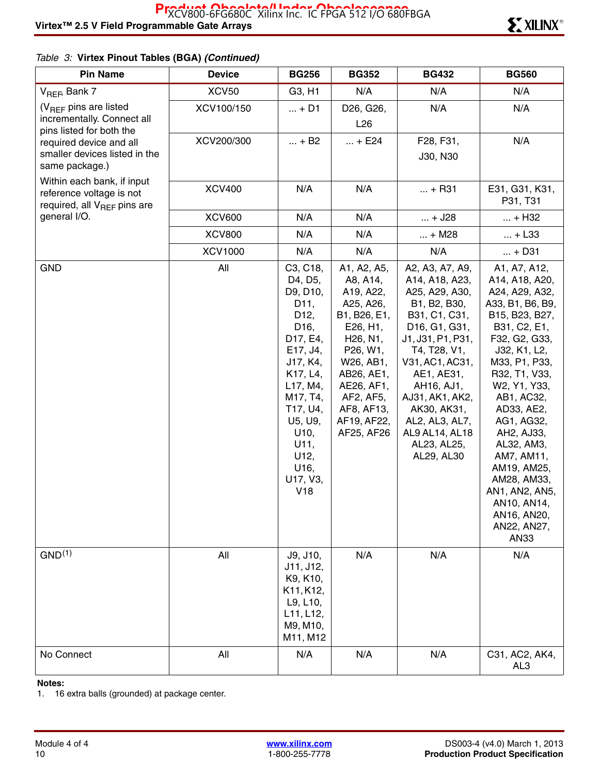| <b>Pin Name</b>                                                                                   | <b>Device</b>  | <b>BG256</b>                                                                                                                                                                                                                                     | <b>BG352</b>                                                                                                                                                                                                                     | <b>BG432</b>                                                                                                                                                                                                                                                                                                                        | <b>BG560</b>                                                                                                                                                                                                                                                                                                                                                                              |
|---------------------------------------------------------------------------------------------------|----------------|--------------------------------------------------------------------------------------------------------------------------------------------------------------------------------------------------------------------------------------------------|----------------------------------------------------------------------------------------------------------------------------------------------------------------------------------------------------------------------------------|-------------------------------------------------------------------------------------------------------------------------------------------------------------------------------------------------------------------------------------------------------------------------------------------------------------------------------------|-------------------------------------------------------------------------------------------------------------------------------------------------------------------------------------------------------------------------------------------------------------------------------------------------------------------------------------------------------------------------------------------|
| V <sub>REF</sub> , Bank 7                                                                         | XCV50          | G3, H1                                                                                                                                                                                                                                           | N/A                                                                                                                                                                                                                              | N/A                                                                                                                                                                                                                                                                                                                                 | N/A                                                                                                                                                                                                                                                                                                                                                                                       |
| $(V_{BFF}$ pins are listed                                                                        | XCV100/150     | $ + D1$                                                                                                                                                                                                                                          | D26, G26,                                                                                                                                                                                                                        | N/A                                                                                                                                                                                                                                                                                                                                 | N/A                                                                                                                                                                                                                                                                                                                                                                                       |
| incrementally. Connect all<br>pins listed for both the                                            |                |                                                                                                                                                                                                                                                  | L26                                                                                                                                                                                                                              |                                                                                                                                                                                                                                                                                                                                     |                                                                                                                                                                                                                                                                                                                                                                                           |
| required device and all                                                                           | XCV200/300     | $ + B2$                                                                                                                                                                                                                                          | $ + E24$                                                                                                                                                                                                                         | F28, F31,                                                                                                                                                                                                                                                                                                                           | N/A                                                                                                                                                                                                                                                                                                                                                                                       |
| smaller devices listed in the<br>same package.)                                                   |                |                                                                                                                                                                                                                                                  |                                                                                                                                                                                                                                  | J30, N30                                                                                                                                                                                                                                                                                                                            |                                                                                                                                                                                                                                                                                                                                                                                           |
| Within each bank, if input<br>reference voltage is not<br>required, all V <sub>REF</sub> pins are | <b>XCV400</b>  | N/A                                                                                                                                                                                                                                              | N/A                                                                                                                                                                                                                              | $ + R31$                                                                                                                                                                                                                                                                                                                            | E31, G31, K31,<br>P31, T31                                                                                                                                                                                                                                                                                                                                                                |
| general I/O.                                                                                      | <b>XCV600</b>  | N/A                                                                                                                                                                                                                                              | N/A                                                                                                                                                                                                                              | $ + J28$                                                                                                                                                                                                                                                                                                                            | $ + H32$                                                                                                                                                                                                                                                                                                                                                                                  |
|                                                                                                   | <b>XCV800</b>  | N/A                                                                                                                                                                                                                                              | N/A                                                                                                                                                                                                                              | $ + M28$                                                                                                                                                                                                                                                                                                                            | $ + L33$                                                                                                                                                                                                                                                                                                                                                                                  |
|                                                                                                   | <b>XCV1000</b> | N/A                                                                                                                                                                                                                                              | N/A                                                                                                                                                                                                                              | N/A                                                                                                                                                                                                                                                                                                                                 | $ + D31$                                                                                                                                                                                                                                                                                                                                                                                  |
| <b>GND</b>                                                                                        | All            | C3, C18,<br>D4, D5,<br>D9, D10,<br>D <sub>11</sub> ,<br>D <sub>12</sub> ,<br>D <sub>16</sub> ,<br>D17, E4,<br>E17, J4,<br>J17, K4,<br>K17, L4,<br>L17, M4,<br>M17, T4,<br>T17, U4,<br>U5, U9,<br>U10,<br>U11,<br>U12,<br>U16,<br>U17, V3,<br>V18 | A1, A2, A5,<br>A8, A14,<br>A19, A22,<br>A25, A26,<br>B1, B26, E1,<br>E26, H1,<br>H <sub>26</sub> , N <sub>1</sub> ,<br>P26, W1,<br>W26, AB1,<br>AB26, AE1,<br>AE26, AF1,<br>AF2, AF5,<br>AF8, AF13,<br>AF19, AF22,<br>AF25, AF26 | A2, A3, A7, A9,<br>A14, A18, A23,<br>A25, A29, A30,<br>B1, B2, B30,<br>B31, C1, C31,<br>D <sub>16</sub> , G <sub>1</sub> , G <sub>31</sub> ,<br>J1, J31, P1, P31,<br>T4, T28, V1,<br>V31, AC1, AC31,<br>AE1, AE31,<br>AH16, AJ1,<br>AJ31, AK1, AK2,<br>AK30, AK31,<br>AL2, AL3, AL7,<br>AL9 AL14, AL18<br>AL23, AL25,<br>AL29, AL30 | A1, A7, A12,<br>A14, A18, A20,<br>A24, A29, A32,<br>A33, B1, B6, B9,<br>B15, B23, B27,<br>B31, C2, E1,<br>F32, G2, G33,<br>J32, K1, L2,<br>M33, P1, P33,<br>R32, T1, V33,<br>W2, Y1, Y33,<br>AB1, AC32,<br>AD33, AE2,<br>AG1, AG32,<br>AH2, AJ33,<br>AL32, AM3,<br>AM7, AM11,<br>AM19, AM25,<br>AM28, AM33,<br>AN1, AN2, AN5,<br>AN10, AN14,<br>AN16, AN20,<br>AN22, AN27,<br><b>AN33</b> |
| GND <sup>(1)</sup>                                                                                | All            | J9, J10,<br>J11, J12,<br>K9, K10,<br>K11, K12,<br>L9, L10,<br>L11, L12,<br>M9, M10,<br>M11, M12                                                                                                                                                  | N/A                                                                                                                                                                                                                              | N/A                                                                                                                                                                                                                                                                                                                                 | N/A                                                                                                                                                                                                                                                                                                                                                                                       |
| No Connect                                                                                        | All            | N/A                                                                                                                                                                                                                                              | N/A                                                                                                                                                                                                                              | N/A                                                                                                                                                                                                                                                                                                                                 | C31, AC2, AK4,<br>AL3                                                                                                                                                                                                                                                                                                                                                                     |

#### **Notes:**

1. 16 extra balls (grounded) at package center.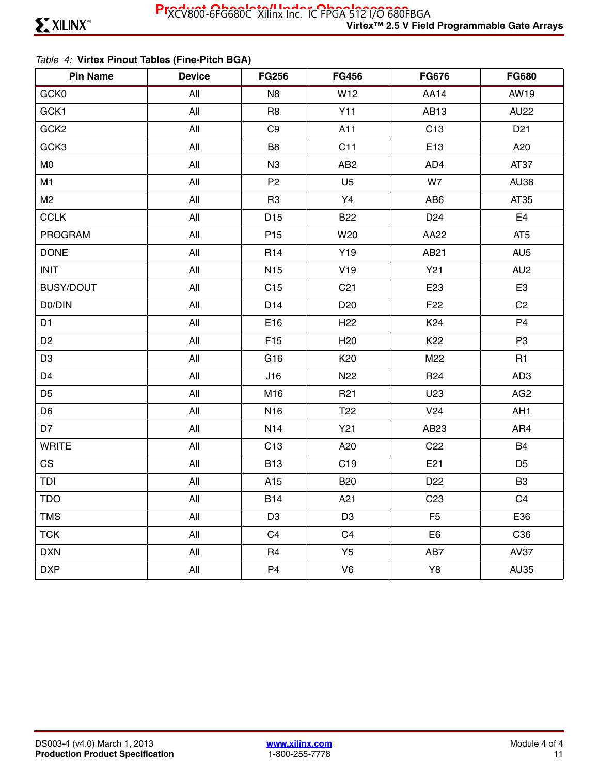### *Table 4:* **Virtex Pinout Tables (Fine-Pitch BGA)**

| <b>Pin Name</b>  | <b>Device</b> | <b>FG256</b>    | <b>FG456</b>    | <b>FG676</b>    | <b>FG680</b>    |
|------------------|---------------|-----------------|-----------------|-----------------|-----------------|
| GCK0             | All           | N <sub>8</sub>  | W12             | <b>AA14</b>     | AW19            |
| GCK1             | All           | R <sub>8</sub>  | Y11             | AB13            | <b>AU22</b>     |
| GCK <sub>2</sub> | All           | C <sub>9</sub>  | A11             | C <sub>13</sub> | D <sub>21</sub> |
| GCK3             | All           | B <sub>8</sub>  | C11             | E13             | A20             |
| M <sub>0</sub>   | All           | N <sub>3</sub>  | AB <sub>2</sub> | AD4             | AT37            |
| M1               | All           | P <sub>2</sub>  | U <sub>5</sub>  | W7              | <b>AU38</b>     |
| M <sub>2</sub>   | All           | R <sub>3</sub>  | Y4              | AB <sub>6</sub> | AT35            |
| <b>CCLK</b>      | All           | D <sub>15</sub> | <b>B22</b>      | D <sub>24</sub> | E <sub>4</sub>  |
| <b>PROGRAM</b>   | All           | P <sub>15</sub> | W20             | AA22            | AT <sub>5</sub> |
| <b>DONE</b>      | All           | R <sub>14</sub> | Y19             | AB21            | AU <sub>5</sub> |
| <b>INIT</b>      | All           | N <sub>15</sub> | V19             | Y21             | AU <sub>2</sub> |
| <b>BUSY/DOUT</b> | All           | C <sub>15</sub> | C <sub>21</sub> | E23             | E <sub>3</sub>  |
| D0/DIN           | All           | D14             | D <sub>20</sub> | F <sub>22</sub> | C <sub>2</sub>  |
| D <sub>1</sub>   | All           | E16             | H <sub>22</sub> | K <sub>24</sub> | P <sub>4</sub>  |
| D <sub>2</sub>   | All           | F <sub>15</sub> | H <sub>20</sub> | K <sub>22</sub> | P <sub>3</sub>  |
| D <sub>3</sub>   | All           | G16             | K20             | M22             | R1              |
| D <sub>4</sub>   | All           | J16             | N <sub>22</sub> | R <sub>24</sub> | AD <sub>3</sub> |
| D <sub>5</sub>   | All           | M16             | R <sub>21</sub> | U23             | AG <sub>2</sub> |
| D <sub>6</sub>   | All           | N <sub>16</sub> | T <sub>22</sub> | V24             | AH <sub>1</sub> |
| D7               | All           | N <sub>14</sub> | Y21             | AB23            | AR4             |
| <b>WRITE</b>     | All           | C13             | A20             | C <sub>22</sub> | <b>B4</b>       |
| <b>CS</b>        | All           | <b>B13</b>      | C <sub>19</sub> | E21             | D <sub>5</sub>  |
| TDI              | All           | A15             | <b>B20</b>      | D <sub>22</sub> | B <sub>3</sub>  |
| <b>TDO</b>       | All           | <b>B14</b>      | A21             | C <sub>23</sub> | C <sub>4</sub>  |
| <b>TMS</b>       | All           | D <sub>3</sub>  | D <sub>3</sub>  | F <sub>5</sub>  | E36             |
| <b>TCK</b>       | All           | C <sub>4</sub>  | C <sub>4</sub>  | E <sub>6</sub>  | C36             |
| <b>DXN</b>       | All           | R <sub>4</sub>  | Y <sub>5</sub>  | AB7             | <b>AV37</b>     |
| <b>DXP</b>       | All           | P <sub>4</sub>  | V <sub>6</sub>  | Y8              | <b>AU35</b>     |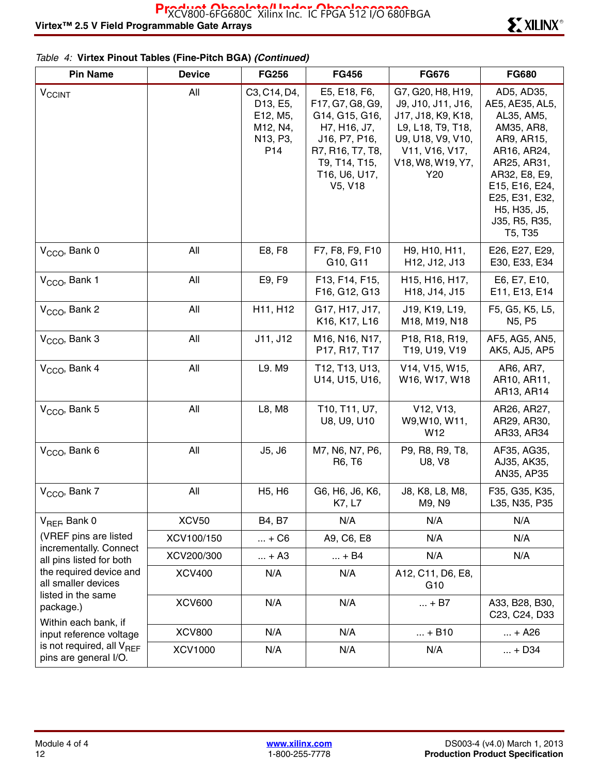| <b>Pin Name</b>                                                      | <b>Device</b>  | <b>FG256</b>                                                                                  | <b>FG456</b>                                                                                                                                         | <b>FG676</b>                                                                                                                                          | <b>FG680</b>                                                                                                                                                                                                                                  |
|----------------------------------------------------------------------|----------------|-----------------------------------------------------------------------------------------------|------------------------------------------------------------------------------------------------------------------------------------------------------|-------------------------------------------------------------------------------------------------------------------------------------------------------|-----------------------------------------------------------------------------------------------------------------------------------------------------------------------------------------------------------------------------------------------|
| <b>V<sub>CCINT</sub></b>                                             | All            | C3, C14, D4,<br>D <sub>13</sub> , E <sub>5</sub> ,<br>E12, M5,<br>M12, N4,<br>N13, P3,<br>P14 | E5, E18, F6,<br>F17, G7, G8, G9,<br>G14, G15, G16,<br>H7, H16, J7,<br>J16, P7, P16,<br>R7, R16, T7, T8,<br>T9, T14, T15,<br>T16, U6, U17,<br>V5, V18 | G7, G20, H8, H19,<br>J9, J10, J11, J16,<br>J17, J18, K9, K18,<br>L9, L18, T9, T18,<br>U9, U18, V9, V10,<br>V11, V16, V17,<br>V18, W8, W19, Y7,<br>Y20 | AD5, AD35,<br>AE5, AE35, AL5,<br>AL35, AM5,<br>AM35, AR8,<br>AR9, AR15,<br>AR16, AR24,<br>AR25, AR31,<br>AR32, E8, E9,<br>E15, E16, E24,<br>E25, E31, E32,<br>H <sub>5</sub> , H <sub>35</sub> , J <sub>5</sub> ,<br>J35, R5, R35,<br>T5, T35 |
| $VCCO$ , Bank 0                                                      | All            | E8, F8                                                                                        | F7, F8, F9, F10<br>G10, G11                                                                                                                          | H9, H10, H11,<br>H12, J12, J13                                                                                                                        | E26, E27, E29,<br>E30, E33, E34                                                                                                                                                                                                               |
| V <sub>CCO</sub> , Bank 1                                            | All            | E9, F9                                                                                        | F13, F14, F15,<br>F16, G12, G13                                                                                                                      | H15, H16, H17,<br>H18, J14, J15                                                                                                                       | E6, E7, E10,<br>E11, E13, E14                                                                                                                                                                                                                 |
| $VCCO$ , Bank 2                                                      | All            | H11, H12                                                                                      | G17, H17, J17,<br>K16, K17, L16                                                                                                                      | J19, K19, L19,<br>M18, M19, N18                                                                                                                       | F5, G5, K5, L5,<br>N <sub>5</sub> , P <sub>5</sub>                                                                                                                                                                                            |
| $VCCO$ , Bank 3                                                      | All            | J11, J12                                                                                      | M16, N16, N17,<br>P17, R17, T17                                                                                                                      | P18, R18, R19,<br>T19, U19, V19                                                                                                                       | AF5, AG5, AN5,<br>AK5, AJ5, AP5                                                                                                                                                                                                               |
| $VCCO$ , Bank 4                                                      | All            | L9. M9                                                                                        | T12, T13, U13,<br>U14, U15, U16,                                                                                                                     | V14, V15, W15,<br>W16, W17, W18                                                                                                                       | AR6, AR7,<br>AR10, AR11,<br>AR13, AR14                                                                                                                                                                                                        |
| V <sub>CCO</sub> , Bank 5                                            | All            | L8, M8                                                                                        | T10, T11, U7,<br>U8, U9, U10                                                                                                                         | V <sub>12</sub> , V <sub>13</sub> ,<br>W9, W10, W11,<br>W12                                                                                           | AR26, AR27,<br>AR29, AR30,<br>AR33, AR34                                                                                                                                                                                                      |
| V <sub>CCO</sub> , Bank 6                                            | All            | J5, J6                                                                                        | M7, N6, N7, P6,<br>R6, T6                                                                                                                            | P9, R8, R9, T8,<br>U8, V8                                                                                                                             | AF35, AG35,<br>AJ35, AK35,<br>AN35, AP35                                                                                                                                                                                                      |
| V <sub>CCO</sub> , Bank 7                                            | All            | H <sub>5</sub> , H <sub>6</sub>                                                               | G6, H6, J6, K6,<br>K7, L7                                                                                                                            | J8, K8, L8, M8,<br>M9, N9                                                                                                                             | F35, G35, K35,<br>L35, N35, P35                                                                                                                                                                                                               |
| $V_{REF}$ Bank 0                                                     | <b>XCV50</b>   | B4, B7                                                                                        | N/A                                                                                                                                                  | N/A                                                                                                                                                   | N/A                                                                                                                                                                                                                                           |
| (VREF pins are listed<br>incrementally. Connect                      | XCV100/150     | $ + C6$                                                                                       | A9, C6, E8                                                                                                                                           | N/A                                                                                                                                                   | N/A                                                                                                                                                                                                                                           |
| all pins listed for both                                             | XCV200/300     | $ + A3$                                                                                       | $ + B4$                                                                                                                                              | N/A                                                                                                                                                   | N/A                                                                                                                                                                                                                                           |
| the required device and<br>all smaller devices<br>listed in the same | <b>XCV400</b>  | N/A                                                                                           | N/A                                                                                                                                                  | A12, C11, D6, E8,<br>G <sub>10</sub>                                                                                                                  |                                                                                                                                                                                                                                               |
| package.)<br>Within each bank, if                                    | <b>XCV600</b>  | N/A                                                                                           | N/A                                                                                                                                                  | $ + B7$                                                                                                                                               | A33, B28, B30,<br>C23, C24, D33                                                                                                                                                                                                               |
| input reference voltage                                              | <b>XCV800</b>  | N/A                                                                                           | N/A                                                                                                                                                  | $ + B10$                                                                                                                                              | $ + A26$                                                                                                                                                                                                                                      |
| is not required, all V <sub>REF</sub><br>pins are general I/O.       | <b>XCV1000</b> | N/A                                                                                           | N/A                                                                                                                                                  | N/A                                                                                                                                                   | $ + D34$                                                                                                                                                                                                                                      |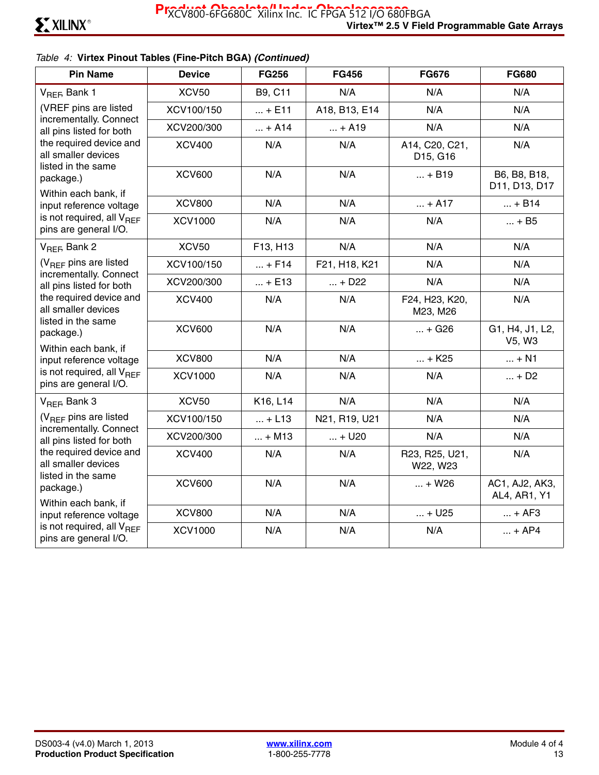| <b>Pin Name</b>                                                                                      | <b>Device</b>  | <b>FG256</b> | <b>FG456</b>  | <b>FG676</b>                                        | <b>FG680</b>                   |
|------------------------------------------------------------------------------------------------------|----------------|--------------|---------------|-----------------------------------------------------|--------------------------------|
| V <sub>REF</sub> , Bank 1                                                                            | <b>XCV50</b>   | B9, C11      | N/A           | N/A                                                 | N/A                            |
| (VREF pins are listed                                                                                | XCV100/150     | $ + E11$     | A18, B13, E14 | N/A                                                 | N/A                            |
| incrementally. Connect<br>all pins listed for both                                                   | XCV200/300     | $ + A14$     | $ + A19$      | N/A                                                 | N/A                            |
| the required device and<br>all smaller devices<br>listed in the same                                 | <b>XCV400</b>  | N/A          | N/A           | A14, C20, C21,<br>D <sub>15</sub> , G <sub>16</sub> | N/A                            |
| package.)<br>Within each bank, if                                                                    | <b>XCV600</b>  | N/A          | N/A           | $ + B19$                                            | B6, B8, B18,<br>D11, D13, D17  |
| input reference voltage                                                                              | <b>XCV800</b>  | N/A          | N/A           | $ + A17$                                            | $ + B14$                       |
| is not required, all $V_{BFF}$<br>pins are general I/O.                                              | <b>XCV1000</b> | N/A          | N/A           | N/A                                                 | $ + B5$                        |
| V <sub>REF</sub> , Bank 2                                                                            | <b>XCV50</b>   | F13, H13     | N/A           | N/A                                                 | N/A                            |
| $(V_{RFF}$ pins are listed                                                                           | XCV100/150     | $ + F14$     | F21, H18, K21 | N/A                                                 | N/A                            |
| incrementally. Connect<br>all pins listed for both                                                   | XCV200/300     | $ + E13$     | $ + D22$      | N/A                                                 | N/A                            |
| the required device and<br>all smaller devices                                                       | <b>XCV400</b>  | N/A          | N/A           | F24, H23, K20,<br>M23, M26                          | N/A                            |
| listed in the same<br>package.)<br>Within each bank, if                                              | <b>XCV600</b>  | N/A          | N/A           | $ + G26$                                            | G1, H4, J1, L2,<br>V5, W3      |
| input reference voltage                                                                              | <b>XCV800</b>  | N/A          | N/A           | $ + K25$                                            | $ + N1$                        |
| is not required, all $V_{BFF}$<br>pins are general I/O.                                              | <b>XCV1000</b> | N/A          | N/A           | N/A                                                 | $ + D2$                        |
| V <sub>REF</sub> , Bank 3                                                                            | <b>XCV50</b>   | K16, L14     | N/A           | N/A                                                 | N/A                            |
| (V <sub>REF</sub> pins are listed                                                                    | XCV100/150     | $ + L13$     | N21, R19, U21 | N/A                                                 | N/A                            |
| incrementally. Connect<br>all pins listed for both<br>the required device and<br>all smaller devices | XCV200/300     | $ + M13$     | $ + U20$      | N/A                                                 | N/A                            |
|                                                                                                      | <b>XCV400</b>  | N/A          | N/A           | R23, R25, U21,<br>W22, W23                          | N/A                            |
| listed in the same<br>package.)<br>Within each bank, if                                              | <b>XCV600</b>  | N/A          | N/A           | $ + W26$                                            | AC1, AJ2, AK3,<br>AL4, AR1, Y1 |
| input reference voltage                                                                              | <b>XCV800</b>  | N/A          | N/A           | $ + U25$                                            | $ + AF3$                       |
| is not required, all $V_{BFF}$<br>pins are general I/O.                                              | <b>XCV1000</b> | N/A          | N/A           | N/A                                                 | $ + AP4$                       |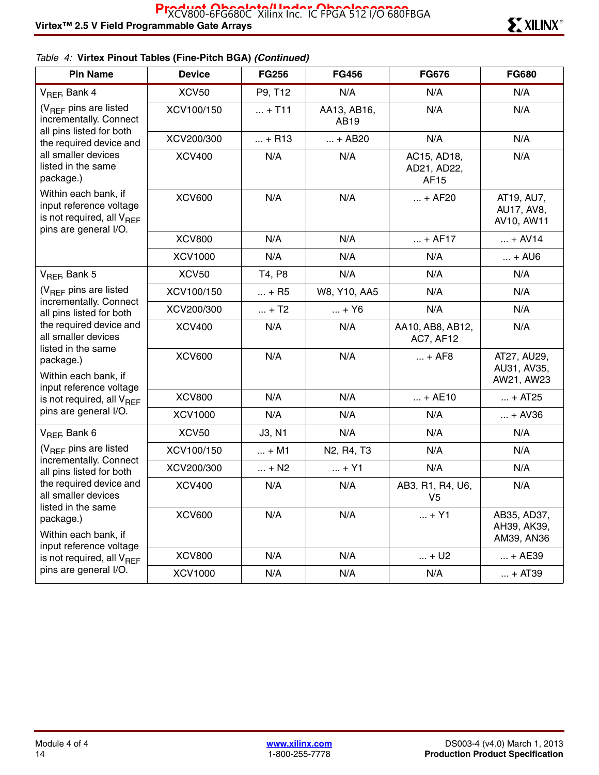| <b>Pin Name</b>                                                                                                   | <b>Device</b>  | <b>FG256</b> | <b>FG456</b>                                     | <b>FG676</b>                       | <b>FG680</b>                             |
|-------------------------------------------------------------------------------------------------------------------|----------------|--------------|--------------------------------------------------|------------------------------------|------------------------------------------|
| V <sub>REF</sub> , Bank 4                                                                                         | <b>XCV50</b>   | P9, T12      | N/A                                              | N/A                                | N/A                                      |
| $(V_{REF}$ pins are listed<br>incrementally. Connect                                                              | XCV100/150     | $ + T11$     | AA13, AB16,<br>AB19                              | N/A                                | N/A                                      |
| all pins listed for both<br>the required device and                                                               | XCV200/300     | $ + R13$     | $ + AB20$                                        | N/A                                | N/A                                      |
| all smaller devices<br>listed in the same<br>package.)                                                            | <b>XCV400</b>  | N/A          | N/A                                              | AC15, AD18,<br>AD21, AD22,<br>AF15 | N/A                                      |
| Within each bank, if<br>input reference voltage<br>is not required, all V <sub>REF</sub><br>pins are general I/O. | <b>XCV600</b>  | N/A          | N/A                                              | $ + AF20$                          | AT19, AU7,<br>AU17, AV8,<br>AV10, AW11   |
|                                                                                                                   | <b>XCV800</b>  | N/A          | N/A                                              | $ + AF17$                          | $ + AV14$                                |
|                                                                                                                   | <b>XCV1000</b> | N/A          | N/A                                              | N/A                                | $ +$ AU6                                 |
| V <sub>REF</sub> , Bank 5                                                                                         | <b>XCV50</b>   | T4, P8       | N/A                                              | N/A                                | N/A                                      |
| $(V_{REF}$ pins are listed                                                                                        | XCV100/150     | $ + R5$      | W8, Y10, AA5                                     | N/A                                | N/A                                      |
| incrementally. Connect<br>all pins listed for both                                                                | XCV200/300     | $ + T2$      | $ + Y6$                                          | N/A                                | N/A                                      |
| the required device and<br>all smaller devices                                                                    | <b>XCV400</b>  | N/A          | N/A                                              | AA10, AB8, AB12,<br>AC7, AF12      | N/A                                      |
| listed in the same<br>package.)<br>Within each bank, if                                                           | <b>XCV600</b>  | N/A          | N/A                                              | $ + AFB$                           | AT27, AU29,<br>AU31, AV35,<br>AW21, AW23 |
| input reference voltage<br>is not required, all V <sub>REF</sub>                                                  | <b>XCV800</b>  | N/A          | N/A                                              | $ + AE10$                          | $ + AT25$                                |
| pins are general I/O.                                                                                             | <b>XCV1000</b> | N/A          | N/A                                              | N/A                                | $ + AV36$                                |
| $V_{REF}$ Bank 6                                                                                                  | <b>XCV50</b>   | J3, N1       | N/A                                              | N/A                                | N/A                                      |
| $(V_{REF}$ pins are listed                                                                                        | XCV100/150     | $ + M1$      | N <sub>2</sub> , R <sub>4</sub> , T <sub>3</sub> | N/A                                | N/A                                      |
| incrementally. Connect<br>all pins listed for both                                                                | XCV200/300     | $ + N2$      | $ + Y1$                                          | N/A                                | N/A                                      |
| the required device and<br>all smaller devices                                                                    | <b>XCV400</b>  | N/A          | N/A                                              | AB3, R1, R4, U6,<br>V <sub>5</sub> | N/A                                      |
| listed in the same<br>package.)<br>Within each bank, if                                                           | <b>XCV600</b>  | N/A          | N/A                                              | $\ldots$ + Y1                      | AB35, AD37,<br>AH39, AK39,<br>AM39, AN36 |
| input reference voltage<br>is not required, all V <sub>REF</sub>                                                  | <b>XCV800</b>  | N/A          | N/A                                              | $ + U2$                            | $ + AE39$                                |
| pins are general I/O.                                                                                             | <b>XCV1000</b> | N/A          | N/A                                              | N/A                                | $ + AT39$                                |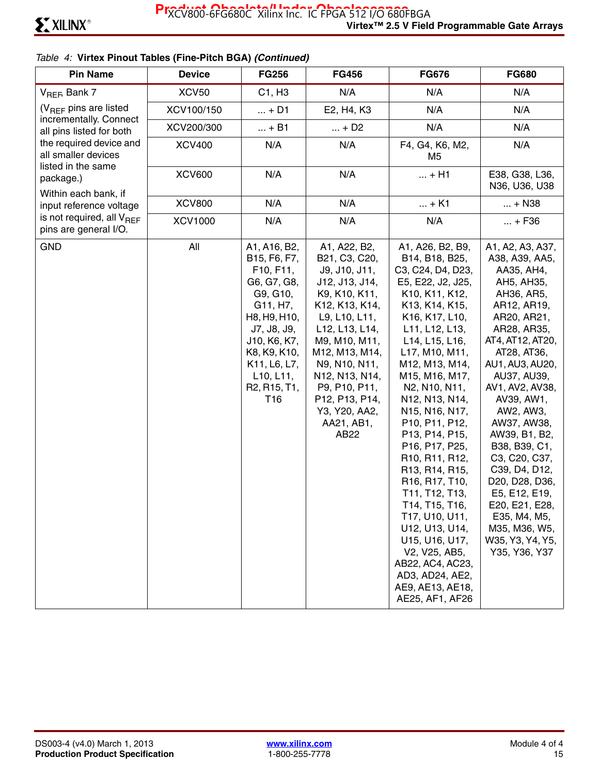| <b>Pin Name</b>                                                      | <b>Device</b>  | <b>FG256</b>                                                                                                                                                                                                                                           | <b>FG456</b>                                                                                                                                                                                                                                                                           | <b>FG676</b>                                                                                                                                                                                                                                                                                                                                                                                                                                                                                                                                                                           | <b>FG680</b>                                                                                                                                                                                                                                                                                                                                                                                                                                               |
|----------------------------------------------------------------------|----------------|--------------------------------------------------------------------------------------------------------------------------------------------------------------------------------------------------------------------------------------------------------|----------------------------------------------------------------------------------------------------------------------------------------------------------------------------------------------------------------------------------------------------------------------------------------|----------------------------------------------------------------------------------------------------------------------------------------------------------------------------------------------------------------------------------------------------------------------------------------------------------------------------------------------------------------------------------------------------------------------------------------------------------------------------------------------------------------------------------------------------------------------------------------|------------------------------------------------------------------------------------------------------------------------------------------------------------------------------------------------------------------------------------------------------------------------------------------------------------------------------------------------------------------------------------------------------------------------------------------------------------|
| $V_{REF}$ Bank 7                                                     | <b>XCV50</b>   | C1, H3                                                                                                                                                                                                                                                 | N/A                                                                                                                                                                                                                                                                                    | N/A                                                                                                                                                                                                                                                                                                                                                                                                                                                                                                                                                                                    | N/A                                                                                                                                                                                                                                                                                                                                                                                                                                                        |
| $(V_{BFF}$ pins are listed                                           | XCV100/150     | $ + D1$                                                                                                                                                                                                                                                | E2, H4, K3                                                                                                                                                                                                                                                                             | N/A                                                                                                                                                                                                                                                                                                                                                                                                                                                                                                                                                                                    | N/A                                                                                                                                                                                                                                                                                                                                                                                                                                                        |
| incrementally. Connect<br>all pins listed for both                   | XCV200/300     | + B1                                                                                                                                                                                                                                                   | $ + D2$                                                                                                                                                                                                                                                                                | N/A                                                                                                                                                                                                                                                                                                                                                                                                                                                                                                                                                                                    | N/A                                                                                                                                                                                                                                                                                                                                                                                                                                                        |
| the required device and<br>all smaller devices<br>listed in the same | <b>XCV400</b>  | N/A                                                                                                                                                                                                                                                    | N/A                                                                                                                                                                                                                                                                                    | F4, G4, K6, M2,<br>M5                                                                                                                                                                                                                                                                                                                                                                                                                                                                                                                                                                  | N/A                                                                                                                                                                                                                                                                                                                                                                                                                                                        |
| package.)                                                            | <b>XCV600</b>  | N/A                                                                                                                                                                                                                                                    | N/A                                                                                                                                                                                                                                                                                    | $ + H1$                                                                                                                                                                                                                                                                                                                                                                                                                                                                                                                                                                                | E38, G38, L36,<br>N36, U36, U38                                                                                                                                                                                                                                                                                                                                                                                                                            |
| Within each bank, if<br>input reference voltage                      | <b>XCV800</b>  | N/A                                                                                                                                                                                                                                                    | N/A                                                                                                                                                                                                                                                                                    | $ + K1$                                                                                                                                                                                                                                                                                                                                                                                                                                                                                                                                                                                | $ + N38$                                                                                                                                                                                                                                                                                                                                                                                                                                                   |
| is not required, all $V_{\text{BFF}}$<br>pins are general I/O.       | <b>XCV1000</b> | N/A                                                                                                                                                                                                                                                    | N/A                                                                                                                                                                                                                                                                                    | N/A                                                                                                                                                                                                                                                                                                                                                                                                                                                                                                                                                                                    | $ + F36$                                                                                                                                                                                                                                                                                                                                                                                                                                                   |
| <b>GND</b>                                                           | All            | A1, A16, B2,<br>B15, F6, F7,<br>F10, F11,<br>G6, G7, G8,<br>G9, G10,<br>G11, H7,<br>H8, H9, H10,<br>J7, J8, J9,<br>J10, K6, K7,<br>K8, K9, K10,<br>K11, L6, L7,<br>L10, L11,<br>R <sub>2</sub> , R <sub>15</sub> , T <sub>1</sub> ,<br>T <sub>16</sub> | A1, A22, B2,<br>B21, C3, C20,<br>J9, J10, J11,<br>J12, J13, J14,<br>K9, K10, K11,<br>K12, K13, K14,<br>L9, L10, L11,<br>L12, L13, L14,<br>M9, M10, M11,<br>M12, M13, M14,<br>N9, N10, N11,<br>N12, N13, N14,<br>P9, P10, P11,<br>P12, P13, P14,<br>Y3, Y20, AA2,<br>AA21, AB1,<br>AB22 | A1, A26, B2, B9,<br>B14, B18, B25,<br>C3, C24, D4, D23,<br>E5, E22, J2, J25,<br>K10, K11, K12,<br>K13, K14, K15,<br>K16, K17, L10,<br>L11, L12, L13,<br>L14, L15, L16,<br>L17, M10, M11,<br>M12, M13, M14,<br>M15, M16, M17,<br>N2, N10, N11,<br>N12, N13, N14,<br>N15, N16, N17,<br>P10, P11, P12,<br>P13, P14, P15,<br>P16, P17, P25,<br>R10, R11, R12,<br>R13, R14, R15,<br>R16, R17, T10,<br>T11, T12, T13,<br>T14, T15, T16,<br>T17, U10, U11,<br>U12, U13, U14,<br>U15, U16, U17,<br>V2, V25, AB5,<br>AB22, AC4, AC23,<br>AD3, AD24, AE2,<br>AE9, AE13, AE18,<br>AE25, AF1, AF26 | A1, A2, A3, A37,<br>A38, A39, AA5,<br>AA35, AH4,<br>AH5, AH35,<br>AH36, AR5,<br>AR12, AR19,<br>AR20, AR21,<br>AR28, AR35,<br>AT4, AT12, AT20,<br>AT28, AT36,<br>AU1, AU3, AU20,<br>AU37, AU39,<br>AV1, AV2, AV38,<br>AV39, AW1,<br>AW2, AW3,<br>AW37, AW38,<br>AW39, B1, B2,<br>B38, B39, C1,<br>C3, C20, C37,<br>C39, D4, D12,<br>D20, D28, D36,<br>E5, E12, E19,<br>E20, E21, E28,<br>E35, M4, M5,<br>M35, M36, W5,<br>W35, Y3, Y4, Y5,<br>Y35, Y36, Y37 |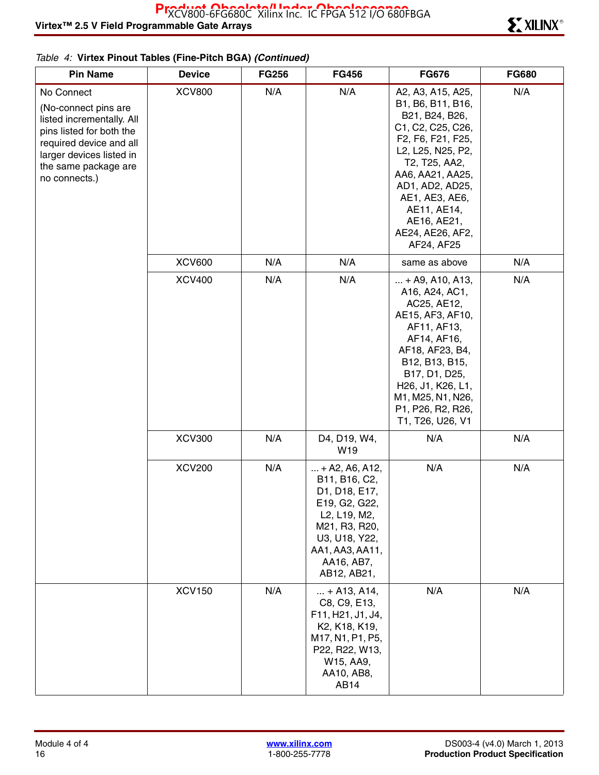| <b>Pin Name</b>                                                                                                                                                                             | <b>Device</b> | <b>FG256</b> | <b>FG456</b>                                                                                                                                                           | <b>FG676</b>                                                                                                                                                                                                                                                                                       | <b>FG680</b> |
|---------------------------------------------------------------------------------------------------------------------------------------------------------------------------------------------|---------------|--------------|------------------------------------------------------------------------------------------------------------------------------------------------------------------------|----------------------------------------------------------------------------------------------------------------------------------------------------------------------------------------------------------------------------------------------------------------------------------------------------|--------------|
| No Connect<br>(No-connect pins are<br>listed incrementally. All<br>pins listed for both the<br>required device and all<br>larger devices listed in<br>the same package are<br>no connects.) | <b>XCV800</b> | N/A          | N/A                                                                                                                                                                    | A2, A3, A15, A25,<br>B1, B6, B11, B16,<br>B21, B24, B26,<br>C1, C2, C25, C26,<br>F2, F6, F21, F25,<br>L2, L25, N25, P2,<br>T2, T25, AA2,<br>AA6, AA21, AA25,<br>AD1, AD2, AD25,<br>AE1, AE3, AE6,<br>AE11, AE14,<br>AE16, AE21,<br>AE24, AE26, AF2,<br>AF24, AF25                                  | N/A          |
|                                                                                                                                                                                             | <b>XCV600</b> | N/A          | N/A                                                                                                                                                                    | same as above                                                                                                                                                                                                                                                                                      | N/A          |
|                                                                                                                                                                                             | <b>XCV400</b> | N/A          | N/A                                                                                                                                                                    | $ + A9, A10, A13,$<br>A16, A24, AC1,<br>AC25, AE12,<br>AE15, AF3, AF10,<br>AF11, AF13,<br>AF14, AF16,<br>AF18, AF23, B4,<br>B12, B13, B15,<br>B17, D1, D25,<br>H <sub>26</sub> , J <sub>1</sub> , K <sub>26</sub> , L <sub>1</sub> ,<br>M1, M25, N1, N26,<br>P1, P26, R2, R26,<br>T1, T26, U26, V1 | N/A          |
|                                                                                                                                                                                             | <b>XCV300</b> | N/A          | D4, D19, W4,<br>W19                                                                                                                                                    | N/A                                                                                                                                                                                                                                                                                                | N/A          |
|                                                                                                                                                                                             | <b>XCV200</b> | N/A          | $ + A2, A6, A12,$<br>B11, B16, C2,<br>D1, D18, E17,<br>E19, G2, G22,<br>L2, L19, M2,<br>M21, R3, R20,<br>U3, U18, Y22,<br>AA1, AA3, AA11,<br>AA16, AB7,<br>AB12, AB21, | N/A                                                                                                                                                                                                                                                                                                | N/A          |
|                                                                                                                                                                                             | <b>XCV150</b> | N/A          | $ + A13, A14,$<br>C8, C9, E13,<br>F11, H21, J1, J4,<br>K2, K18, K19,<br>M17, N1, P1, P5,<br>P22, R22, W13,<br>W15, AA9,<br>AA10, AB8,<br>AB14                          | N/A                                                                                                                                                                                                                                                                                                | N/A          |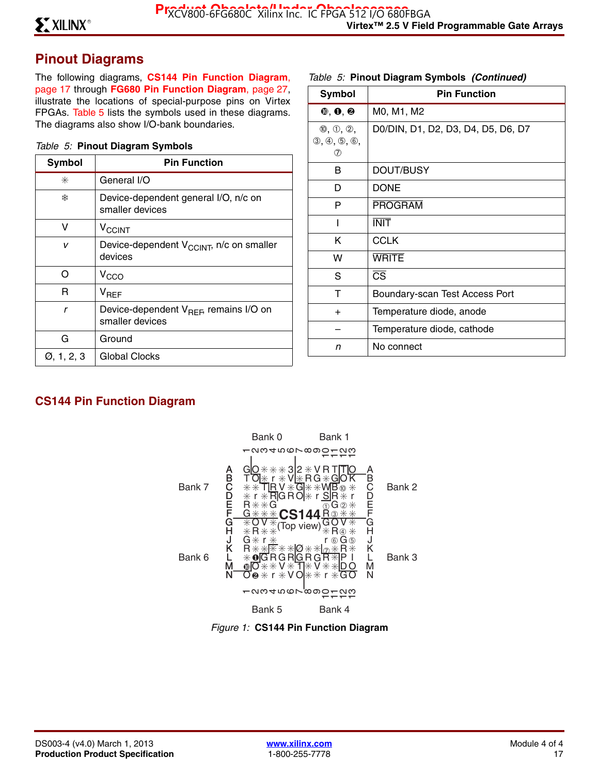# **Pinout Diagrams**

The following diagrams, **CS144 Pin Function Diagram**, page 17 through **FG680 Pin Function Diagram**, page 27, illustrate the locations of special-purpose pins on Virtex FPGAs. Table 5 lists the symbols used in these diagrams. The diagrams also show I/O-bank boundaries.

#### *Table 5:* **Pinout Diagram Symbols**

| Symbol                  | <b>Pin Function</b>                                                   |
|-------------------------|-----------------------------------------------------------------------|
| ⋇                       | General I/O                                                           |
| ₩                       | Device-dependent general I/O, n/c on<br>smaller devices               |
| v                       | <b>V<sub>CCINT</sub></b>                                              |
| v                       | Device-dependent V <sub>CCINT</sub> , n/c on smaller<br>devices       |
| ∩                       | V <sub>CCO</sub>                                                      |
| R                       | $\mathsf{V}_{\mathsf{RFF}}$                                           |
| r                       | Device-dependent V <sub>REF</sub> , remains I/O on<br>smaller devices |
| G                       | Ground                                                                |
| $\varnothing$ , 1, 2, 3 | Global Clocks                                                         |

#### *Table 5:* **Pinout Diagram Symbols** *(Continued)*

| <b>Symbol</b>                                                   | <b>Pin Function</b>                |
|-----------------------------------------------------------------|------------------------------------|
| $①$ , $④$ , $②$                                                 | M0, M1, M2                         |
| $\mathbb{0}, \mathbb{0}, \mathbb{2},$<br>(3, 4, 5, 6, 6)<br>(7) | D0/DIN, D1, D2, D3, D4, D5, D6, D7 |
| В                                                               | DOUT/BUSY                          |
| D                                                               | <b>DONE</b>                        |
| P                                                               | <b>PROGRAM</b>                     |
| I                                                               | <b>INIT</b>                        |
| Κ                                                               | <b>CCLK</b>                        |
| w                                                               | <b>WRITE</b>                       |
| S                                                               | $\overline{\text{CS}}$             |
| т                                                               | Boundary-scan Test Access Port     |
| $\ddot{}$                                                       | Temperature diode, anode           |
|                                                                 | Temperature diode, cathode         |
| n                                                               | No connect                         |

# **CS144 Pin Function Diagram**



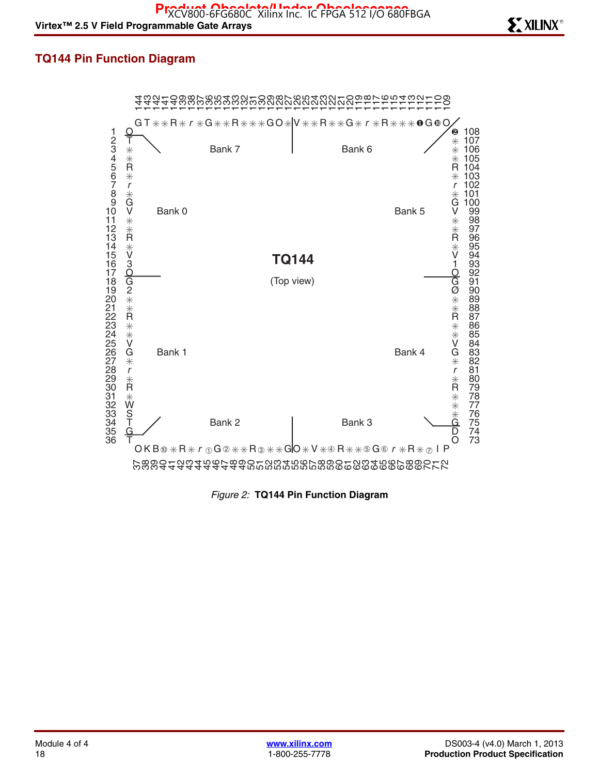### **TQ144 Pin Function Diagram**



*Figure 2:* **TQ144 Pin Function Diagram**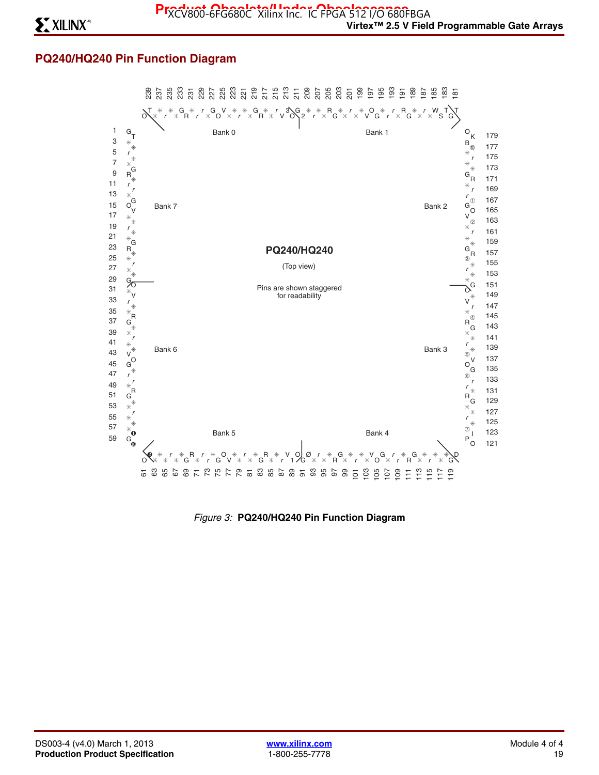## **PQ240/HQ240 Pin Function Diagram**



*Figure 3:* **PQ240/HQ240 Pin Function Diagram**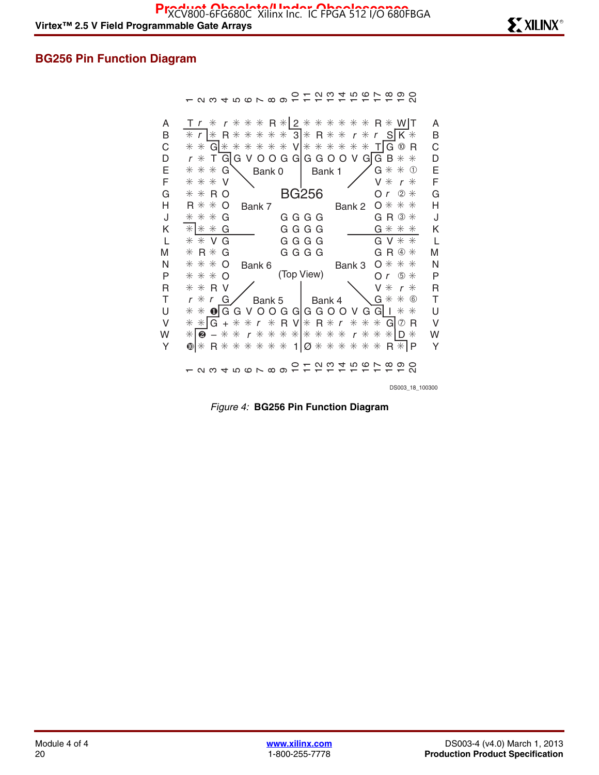## **BG256 Pin Function Diagram**

- 2345678901セ12 4567890

| A                | $T r * r * * * R *   2 * * * * * * * R * W   T$<br>* $r$  * R * * * * * 3 * R * * r * r S K * | A                |
|------------------|-----------------------------------------------------------------------------------------------|------------------|
| B<br>$\mathsf C$ | * * G * * * * * * V * * * * * * T G @ R                                                       | B<br>$\mathsf C$ |
| D                | $r * T G$ G V O O G G G G O O V G G B $* *$                                                   | D                |
| Ε                | $G$ $*$ $*$ $\circledcirc$<br>$* * * G$<br>Bank 1<br>Bank0                                    | Ε                |
| F                | * * * V<br>$V * r *$                                                                          | F                |
| G                | BG256<br>Or $2$ $*$<br>$* * R$ O                                                              | G                |
| Η                | $0$ $*$ $*$ $*$<br>$R$ $*$ $*$ O<br>Bank 7<br>Bank 2                                          | Η                |
| J                | $G R \circledast$<br>$* * * G$<br>G G G G                                                     | J                |
| K                | $*$ $*$ $*$ G<br>$G$ $*$ $*$ $*$<br>G G G G                                                   | Κ                |
| L                | G G G G<br>$G V * *$<br>$*$ $*$ $\vee$ $\vee$                                                 | L                |
| M                | $G R @ *$<br>GGGG<br>$* R * G$                                                                | M                |
| N                | $0$ $*$ $*$ $*$<br>$* * * o$<br>Bank 6<br>Bank 3                                              | N                |
| P                | (Top View)<br>$Or$ $\circ$ $*$<br>$***$ O                                                     | $\mathsf{P}$     |
| R                | $* * R V$<br>$V * r *$                                                                        | $\overline{R}$   |
| Τ                | <b>\G</b> * * ©<br>$r * r$ G<br>Bank 5   Bank 4                                               | $\top$           |
| U                | $*$ $*$ $\bullet$ $\circ$ G G V O O G G G G O O V G G I $*$ $*$                               | $\cup$           |
| $\vee$           | * * G + * * r * R V * R * r * * * G @ R                                                       | $\vee$           |
| W                | * <b>@</b> - * * r * * * * * * * * r * * *  D *                                               | W                |
| Y                | $\text{O}$ * R * * * * * * 1 $\varnothing$ * * * * * * R * P                                  | Y                |
|                  | 12345678912 12 12 12 12 12 12 13 13                                                           |                  |
|                  | DS003 18 100300                                                                               |                  |

*Figure 4:* **BG256 Pin Function Diagram**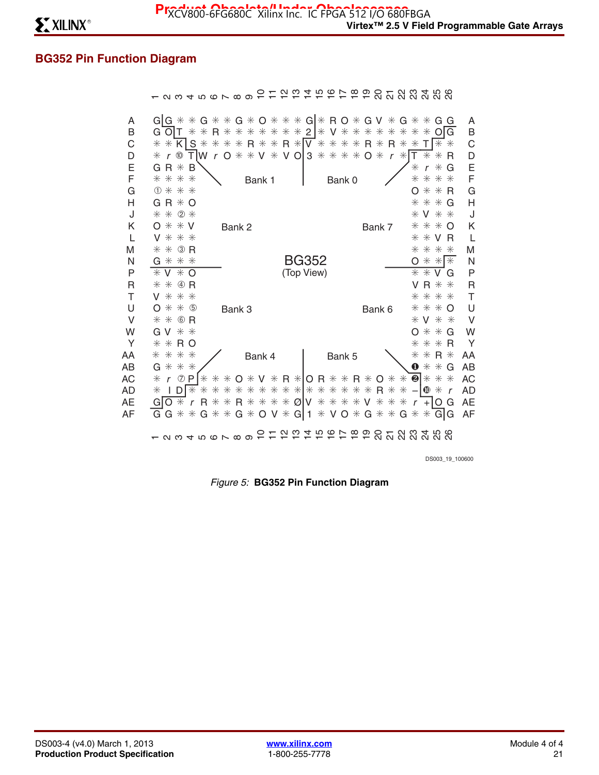# **BG352 Pin Function Diagram**

| A<br>B<br>C<br>D<br>E<br>F | $G G$ * * $G$ * * $G$ * $O$ * * * $G $ * R O * $G$ V * $G$ * * $G$ G<br>G O T * * R * * * * * * * 2   * V * * * * * *<br>$\ast$<br>$*$ O<br>G<br>* * K S * * * * R * * R * V * * * * R * R *<br>$T$ $*$ $*$<br>$*$<br>$T W r 0 * * V * V 0 3 * * * * * 0 * r *$<br>$r \n\infty$<br>т<br>$\ast$<br>$\ast$<br>$\ast$<br>R<br>$G R * B$<br>$\ast$<br>G<br>$\ast$<br>$\mathsf{r}$<br>* * * *<br>* * *<br>$\ast$<br>Bank 0<br>Bank 1 | A<br>B<br>$\mathsf C$<br>D<br>E<br>F |
|----------------------------|---------------------------------------------------------------------------------------------------------------------------------------------------------------------------------------------------------------------------------------------------------------------------------------------------------------------------------------------------------------------------------------------------------------------------------|--------------------------------------|
| G                          | ① 米 米 米<br>$* * R$<br>O                                                                                                                                                                                                                                                                                                                                                                                                         | G                                    |
| H<br>J                     | $G R * O$<br>$* * * G$<br>* * 2 *<br>$*$ V $*$ $*$                                                                                                                                                                                                                                                                                                                                                                              | H<br>J                               |
| K                          | $0$ $*$ $*$ $V$<br>$***$ O<br>Bank 2<br>Bank 7                                                                                                                                                                                                                                                                                                                                                                                  | K                                    |
| L                          | * * *<br>$*$ $*$ $\vee$ $\mathsf{R}$<br>V                                                                                                                                                                                                                                                                                                                                                                                       | L                                    |
| M                          | $*$ 3 R<br>* * * *<br>$\ast$                                                                                                                                                                                                                                                                                                                                                                                                    | M                                    |
| N                          | <b>BG352</b><br>* * *<br>$G$ $*$ $*$ $*$<br>O                                                                                                                                                                                                                                                                                                                                                                                   | N                                    |
| P                          | $*$ V $*$ O<br>(Top View)<br>$\ast * v$<br>G                                                                                                                                                                                                                                                                                                                                                                                    | P                                    |
| R                          | $* * a$<br>$V R$ $*$ $*$                                                                                                                                                                                                                                                                                                                                                                                                        | $\overline{R}$                       |
| T                          | * * *<br>* * * *<br>V.                                                                                                                                                                                                                                                                                                                                                                                                          | $\top$                               |
| U                          | * * 5<br>* * * 0<br>$\Omega$<br>Bank 3<br>Bank 6                                                                                                                                                                                                                                                                                                                                                                                | U                                    |
| $\vee$                     | * * © R<br>* V * *                                                                                                                                                                                                                                                                                                                                                                                                              | $\vee$                               |
| W                          | $G V * *$<br>$* * G$<br>Ω                                                                                                                                                                                                                                                                                                                                                                                                       | W                                    |
| Y                          | $*$ RO<br>$* * R$<br>$\ast$<br>$\ast$                                                                                                                                                                                                                                                                                                                                                                                           | Y                                    |
| AA                         | * * * *<br>$* * R *$<br>Bank 4<br>Bank 5                                                                                                                                                                                                                                                                                                                                                                                        | AA                                   |
| AB                         | * * *<br>$\bf{0}$<br>$* * G$<br>G                                                                                                                                                                                                                                                                                                                                                                                               | AB                                   |
| АC                         | * * * 0 * V * R * O R * * R * O * * @ * * *<br>$r \nolimits \nolimits \nolimits$ $P$<br>$\ast$<br>$ID$ $*$<br>$\mathbf{0} *$                                                                                                                                                                                                                                                                                                    | AC                                   |
| AD<br>AЕ                   | * * * * * * * * * * * * * * * R * *<br>$\ast$<br>$\overline{\phantom{0}}$<br>$\mathbf{r}$<br>r R * * R * * * * Ø V * * * * V * * *<br>$O*$<br>GI<br>$+IO$ G<br>$\mathsf{r}$                                                                                                                                                                                                                                                     | AD                                   |
| AF                         | G * * G * * G * O V * G 1 * V O * G * * G * * G G                                                                                                                                                                                                                                                                                                                                                                               | AE<br>AF                             |
|                            |                                                                                                                                                                                                                                                                                                                                                                                                                                 |                                      |
|                            | け ね や め み み み み み あ                                                                                                                                                                                                                                                                                                                                                                                                             |                                      |

DS003\_19\_100600

*Figure 5:* **BG352 Pin Function Diagram**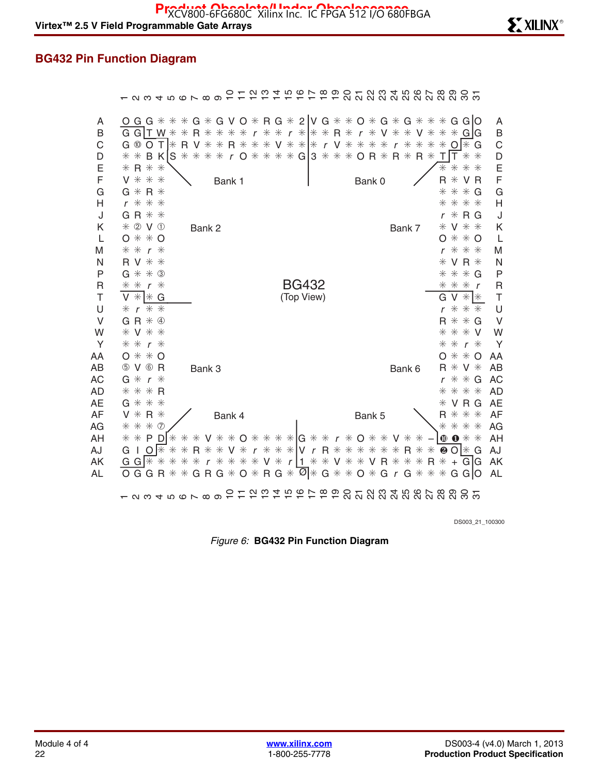# **BG432 Pin Function Diagram**

|                             | <u>នដុន្</u> តា ។ ១៩ ២ ១ ១ ១ ១ ១<br>$\overline{a}$ $\overline{a}$ $\overline{a}$ $\overline{a}$ $\overline{a}$ $\overline{a}$ $\overline{a}$<br>$\infty$<br>တ<br>Q W 4 T Q D T Q Q                                                                                                                                                                                                                                                                                                                                                                                                                                                              |  |
|-----------------------------|-------------------------------------------------------------------------------------------------------------------------------------------------------------------------------------------------------------------------------------------------------------------------------------------------------------------------------------------------------------------------------------------------------------------------------------------------------------------------------------------------------------------------------------------------------------------------------------------------------------------------------------------------|--|
| A<br>Β<br>С<br>D<br>Ε       | G G * * * G * G V O * R G * 2  V G * * O * G * G * * * G G O<br>A<br>Ő<br>G G $\mid$ T W $\ast$<br>$**$<br>B<br>$r * * * R * r$<br>R.<br>$\ast$<br>$\ast$<br>$\ast$<br>$\ast$<br><b>V</b> $*$<br>$*$<br><b>V</b> $*$<br>$* * G$ G<br>$\ast$<br>$\ast$<br>$\mathsf{r}$<br>C<br>G <sup>10</sup><br>$*$ V $*$ $*$   $*$ r V $*$ $*$ $*$<br>l* G<br>$\ast$<br>$\ast$<br>$\circ$<br>T<br> ₩<br>$\ast$<br>$\ast$<br>$R * *$<br>$\ast$<br>$\ast$<br>$\ast$<br>R<br>V<br>$\mathsf{r}$<br>O<br>* r O * * * * G 3 * * * O R *<br>$R * R *$<br>D<br>* *<br>B K<br>S<br>$*$<br>$\ast$<br>$\ast$<br>$**$<br>T<br>E<br>$* R * *$<br>$\ast$<br>$\ast$<br>$* *$ |  |
| F<br>G<br>Н<br>J            | F<br>V * * *<br>$\ast$<br>V <sub>R</sub><br>R<br>Bank 1<br>Bank 0<br>G<br>G $*$<br>$R*$<br>$*$<br>$*$ G<br>$\ast$<br>$\mathsf{H}$<br>$r$ $*$ $*$ $*$<br>$* * *$<br>$\ast$<br>$G R$ $*$ $*$<br>J<br>$*$ R G<br>r                                                                                                                                                                                                                                                                                                                                                                                                                                 |  |
| Κ<br>L<br>M<br>N            | * 2 V 1<br>Κ<br>V * *<br>Bank 2<br>Bank 7<br>⋇<br>L<br>$*$ $*$ O<br>$* * o$<br>O<br>O<br>M<br>$**$ $*$<br>* *<br>$*$<br>$\mathsf{r}$<br>r<br>N<br>R V * *<br>V R $*$<br>$\ast$                                                                                                                                                                                                                                                                                                                                                                                                                                                                  |  |
| P<br>$\mathsf{R}$<br>T<br>U | $G *$<br>$*$ 3<br>P<br>$* * G$<br>$\ast$<br><b>BG432</b><br>$\mathsf R$<br>$\ast$<br>$\ast$<br>$\ast$<br>$\ast$<br>$*$<br>⋇<br>$\mathsf{r}$<br>$\mathsf{r}$<br>$\top$<br>$*$ $*$ G<br>(Top View)<br>V<br>$* *$<br>G<br>V<br>U<br>$**$<br>* * *<br>$\boldsymbol{r}$<br>$\ast$<br>r                                                                                                                                                                                                                                                                                                                                                               |  |
| V<br>W<br>Y<br>AA           | V<br>$R * 4$<br>$R$ $*$ $*$ $G$<br>G<br>W<br><b>V</b> * *<br>$* * * v$<br>$\ast$<br>$\ast$<br>Υ<br>$r *$<br>$*$ $\kappa$<br>$\ast$<br>$\ast$<br>$0$ $*$ $*$ $0$<br>$**$<br>O<br>AA<br>O                                                                                                                                                                                                                                                                                                                                                                                                                                                         |  |
| AB<br><b>AC</b><br>AD<br>AE | 5 V 6 R<br>V *<br>AB<br>$*$<br>R<br>Bank 3<br>Bank 6<br><b>AC</b><br>G $*$<br>$* * G$<br>$r *$<br>r<br>$* * * R$<br>* * *<br><b>AD</b><br>⋇<br>$G$ $*$ $*$ $*$<br>VRG<br><b>AE</b><br>⋇                                                                                                                                                                                                                                                                                                                                                                                                                                                         |  |
| <b>AF</b><br>AG<br>AH       | $*$ R $*$<br>AF<br>* * *<br>V<br>R.<br>Bank 4<br>Bank 5<br>* * * 0<br>* * *<br>AG<br>$\ast$<br>V * * O * * * * HG * * r * O * *<br>$\mathbf{0} *$<br>AH<br>$\ast\ast$<br>- P<br>D<br>$\ast$<br>$\ast$<br>$\ast$<br>$\bullet$<br>V<br>$\ast$<br>$\ast$<br>$\ast$                                                                                                                                                                                                                                                                                                                                                                                 |  |
| AJ<br>AK<br>AL              | r * * *   V r R * * * * *<br>AJ<br>∦<br>R<br><b>∨</b> $*$<br>$\ast$<br>$R*$<br>❷ $\bigcirc$   $\ast$<br>G<br>O<br>⋇<br>$\ast$<br>$\ast$<br>$\ast$<br>$\ast$<br>G<br>L<br>* * * * V * r 1 * * V * * V R * * *<br>G<br>GIG<br>AK<br>$G$ $*$<br>$\ast$<br>$\ast$<br>$\ast$<br>$R * +$<br>$\mathsf{r}$<br>$\overline{Q}$ * G * * O * G r G * *<br>$G R G * O * R G *$<br>$\ast$<br>$*$<br>G GIO<br>AL<br>G G<br>$\ast$<br>R                                                                                                                                                                                                                         |  |
|                             | ດ ຕ<br>400L<br><u>ភ្លង់ ដូច ដូច ដូច ដូច</u><br>$\infty$<br>ပာ<br>$Q \cup Q$ $Q \cup Q$ $Q \cup Q$                                                                                                                                                                                                                                                                                                                                                                                                                                                                                                                                               |  |

DS003\_21\_100300

*Figure 6:* **BG432 Pin Function Diagram**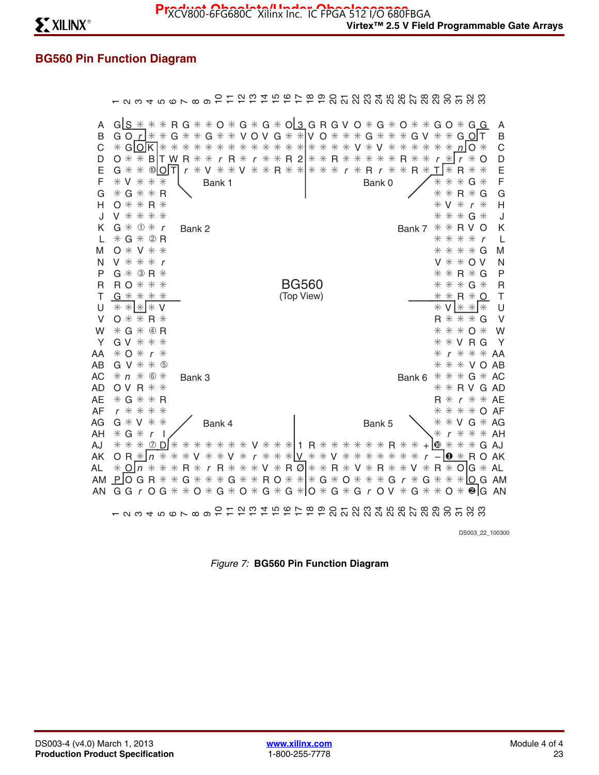# **BG560 Pin Function Diagram**

 $\mathbb{R}^n$ 

|                                                               | - 8 8 4 5 6 6 7 8 9 7                                                                                                                                                                                                                           |                          |        |              |                  |        |              |                                                                                                     |  | က |  |               |  |  |               |                               |                            |                                 |                              |                  |              |                                              |                                                                                            | <b>E P R R R R R R R R R R R R R R R P R R R R P</b>                                                                                                                                                         |                                                                         |
|---------------------------------------------------------------|-------------------------------------------------------------------------------------------------------------------------------------------------------------------------------------------------------------------------------------------------|--------------------------|--------|--------------|------------------|--------|--------------|-----------------------------------------------------------------------------------------------------|--|---|--|---------------|--|--|---------------|-------------------------------|----------------------------|---------------------------------|------------------------------|------------------|--------------|----------------------------------------------|--------------------------------------------------------------------------------------------|--------------------------------------------------------------------------------------------------------------------------------------------------------------------------------------------------------------|-------------------------------------------------------------------------|
| A<br>B<br>C<br>D<br>Ε<br>F<br>G<br>н<br>J<br>Κ<br>L<br>M<br>N | $GIS*$<br>GO $r$ $\mid$ $*$ $\ast$<br>$*$ GIOK $**$<br>$0$ * * B T W R * * r R * r * * R 2   * * R * *<br>G * *<br>$*$ V $*$ $*$<br>$*G**R$<br>$0$ $*$ $*$ $R$ $*$<br>V * * * *<br>$G * ① * r$<br>$*G*QR$<br>$0 * V * *$<br>$V$ $*$ $*$ $*$ $r$ | $\circledR$ O $\uparrow$ | ⋇      | $G *$<br>$*$ | ⋇<br>r<br>Bank 2 |        |              | * G * * V O V G * * V O * * * G *<br>* * * * * * *<br>* V * * V * * R * * * * * r * R r *<br>Bank 1 |  |   |  | * * * * * * * |  |  | V *<br>$\ast$ | $*$<br>Bank 0                 | $\ast$<br>$\ast$<br>$\ast$ | $\ast$<br>$\ast$<br>R<br>$\ast$ | $*$<br>$*$<br>$R*$<br>Bank 7 | $\ast$<br>$\ast$ | $*$<br>$*$ V | $*$<br>$\ast$<br>$*$<br>$\ast$<br>$\ast\ast$ | n<br>$\mathbf{r}$<br>R<br>$\ast$<br>$R*$<br>$\ast$<br>$\mathbf{r}$<br>$* * R V$<br>* * * * | * R G * * O * G * G * O 3 G R G V O * G * O * * G O * G G<br>$GV * * G$ O T<br>$\Omega$ $*$<br>$*$<br>$\Omega$<br>$*$<br>⋇<br>$G *$<br>G<br>⋇<br>* * * G *<br>O<br>$\mathbf{r}$<br>$* * * * G$<br>$V * * 0V$ | A<br>$\mathsf B$<br>C<br>D<br>E<br>F<br>Ġ<br>H<br>J<br>Κ<br>L<br>M<br>N |
| P                                                             | $G * 3R *$                                                                                                                                                                                                                                      |                          |        |              |                  |        |              |                                                                                                     |  |   |  |               |  |  |               |                               |                            |                                 |                              |                  |              |                                              |                                                                                            | $* * R * G$                                                                                                                                                                                                  | P                                                                       |
| R                                                             | $R$ O $*$ $*$ $*$                                                                                                                                                                                                                               |                          |        |              |                  |        |              |                                                                                                     |  |   |  | <b>BG560</b>  |  |  |               |                               |                            |                                 |                              |                  |              |                                              |                                                                                            | * * * G *                                                                                                                                                                                                    | $\overline{\mathsf{R}}$                                                 |
| Т                                                             | $G$ $*$ $*$ $*$ $*$                                                                                                                                                                                                                             |                          |        |              |                  |        |              |                                                                                                     |  |   |  | (Top View)    |  |  |               |                               |                            |                                 |                              |                  |              |                                              |                                                                                            | $* * R * O$                                                                                                                                                                                                  | T                                                                       |
| U<br>V                                                        | $* *  *  * v$<br>$0$ $*$ $*$ R $*$                                                                                                                                                                                                              |                          |        |              |                  |        |              |                                                                                                     |  |   |  |               |  |  |               |                               |                            |                                 |                              |                  |              |                                              |                                                                                            | $*$ V $*$ $*$ $*$<br>$R$ $*$ $*$ $*$ $G$                                                                                                                                                                     | U<br>V                                                                  |
| W                                                             | $*G*@R$                                                                                                                                                                                                                                         |                          |        |              |                  |        |              |                                                                                                     |  |   |  |               |  |  |               |                               |                            |                                 |                              |                  |              |                                              |                                                                                            | * * * 0 *                                                                                                                                                                                                    | W                                                                       |
| Y                                                             | $G V * * * *$                                                                                                                                                                                                                                   |                          |        |              |                  |        |              |                                                                                                     |  |   |  |               |  |  |               |                               |                            |                                 |                              |                  |              |                                              |                                                                                            | $*$ $*$ $V$ R G                                                                                                                                                                                              | Y                                                                       |
| AA                                                            | $* 0 * r *$                                                                                                                                                                                                                                     |                          |        |              |                  |        |              |                                                                                                     |  |   |  |               |  |  |               |                               |                            |                                 |                              |                  | $\ast$       |                                              |                                                                                            | $r$ $*$ $*$ $*$ AA                                                                                                                                                                                           |                                                                         |
| AB                                                            | $G V * * 9$                                                                                                                                                                                                                                     |                          |        |              |                  |        |              |                                                                                                     |  |   |  |               |  |  |               |                               |                            |                                 |                              |                  |              |                                              |                                                                                            | * * * V O AB                                                                                                                                                                                                 |                                                                         |
| AC                                                            | $* n * 6 *$                                                                                                                                                                                                                                     |                          |        |              | Bank 3           |        |              |                                                                                                     |  |   |  |               |  |  |               |                               |                            |                                 | Bank 6                       |                  |              |                                              |                                                                                            | $* * * G * AC$                                                                                                                                                                                               |                                                                         |
| <b>AD</b>                                                     | $O V R$ $*$ $*$                                                                                                                                                                                                                                 |                          |        |              |                  |        |              |                                                                                                     |  |   |  |               |  |  |               |                               |                            |                                 |                              |                  |              |                                              |                                                                                            | $* * R V G AD$                                                                                                                                                                                               |                                                                         |
| <b>AE</b>                                                     | $* G * * R$                                                                                                                                                                                                                                     |                          |        |              |                  |        |              |                                                                                                     |  |   |  |               |  |  |               |                               |                            |                                 |                              |                  |              |                                              |                                                                                            | $R * r * * AF$                                                                                                                                                                                               |                                                                         |
| AF                                                            | $r$ * * * *                                                                                                                                                                                                                                     |                          |        |              |                  |        |              |                                                                                                     |  |   |  |               |  |  |               |                               |                            |                                 |                              |                  | ⋇            |                                              |                                                                                            | $* * * o$ AF                                                                                                                                                                                                 |                                                                         |
| AG                                                            | $G * V * *$                                                                                                                                                                                                                                     |                          |        |              |                  |        |              | Bank 4                                                                                              |  |   |  |               |  |  |               | Bank 5                        |                            |                                 |                              |                  |              |                                              |                                                                                            | $*$ $*$ $V$ G $*$ AG                                                                                                                                                                                         |                                                                         |
| AH                                                            | $*$ G $*$                                                                                                                                                                                                                                       | $\mathbf{r}$             |        |              |                  |        |              |                                                                                                     |  |   |  |               |  |  |               |                               |                            |                                 |                              |                  | ⋇            | $\boldsymbol{r}$                             |                                                                                            | $* * * A$                                                                                                                                                                                                    |                                                                         |
| AJ<br>AK                                                      | $***$<br>$O R * In$                                                                                                                                                                                                                             | (7)                      | $\ast$ | $*$          | Ж                | ⋇<br>V |              | * * * * V * * * 1 R * * * * * * R *<br>* * V *                                                      |  |   |  |               |  |  |               | r * * *   V * * V * * * * * * |                            | $*$                             | ⋇<br>$\ast$                  |                  |              |                                              |                                                                                            | $+100$ $*$ $*$ $*$ G AJ<br>$-10 * R O AK$                                                                                                                                                                    |                                                                         |
| AL                                                            | $*$ O n                                                                                                                                                                                                                                         | $\ast$                   | $\ast$ | $\ast$       | $R*$             |        | $\mathsf{r}$ | $R$ * * * V * R Ø * * R * V * R *                                                                   |  |   |  |               |  |  |               |                               |                            | $\ast$                          | V                            | $*$              |              |                                              |                                                                                            | $R * O G * AL$                                                                                                                                                                                               |                                                                         |
| AM                                                            | $P$ O G R $*$                                                                                                                                                                                                                                   |                          |        | $\ast$       |                  |        |              | $G$ * * * $G$ * * $R$ O * * * * $G$ * $O$ * * * * $G$ r *                                           |  |   |  |               |  |  |               |                               |                            |                                 |                              |                  |              |                                              |                                                                                            | $G$ $*$ $*$ $*$ $\vert$ O G AM                                                                                                                                                                               |                                                                         |
| AN                                                            | G G r O G * * O * G * O * G * G * IO * G * G r O V * G * * O * @ IG AN                                                                                                                                                                          |                          |        |              |                  |        |              |                                                                                                     |  |   |  |               |  |  |               |                               |                            |                                 |                              |                  |              |                                              |                                                                                            |                                                                                                                                                                                                              |                                                                         |
|                                                               | $\overline{r}$ N M $\overline{r}$ N $\overline{w}$ W $\overline{w}$ N $\overline{w}$ W $\overline{w}$                                                                                                                                           |                          |        |              |                  |        |              |                                                                                                     |  |   |  | ユカカケある        |  |  |               |                               |                            |                                 |                              |                  |              |                                              |                                                                                            |                                                                                                                                                                                                              |                                                                         |

DS003\_22\_100300

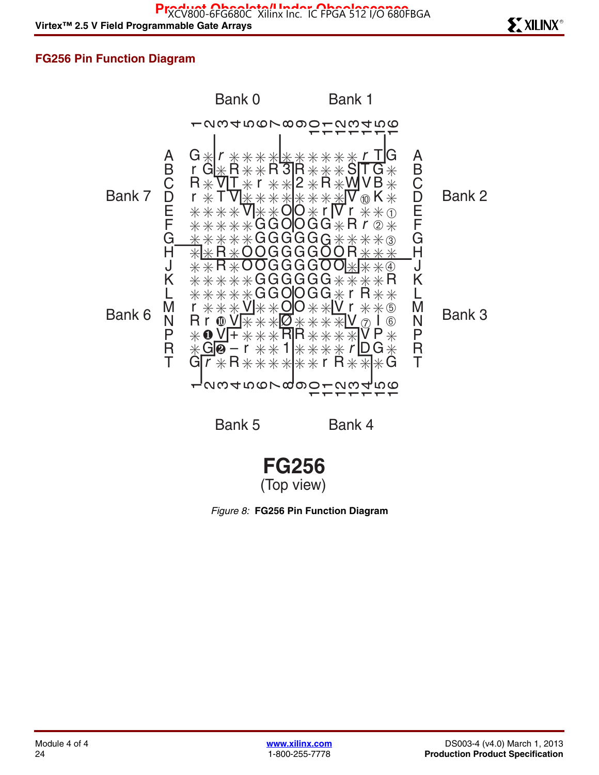### **FG256 Pin Function Diagram**



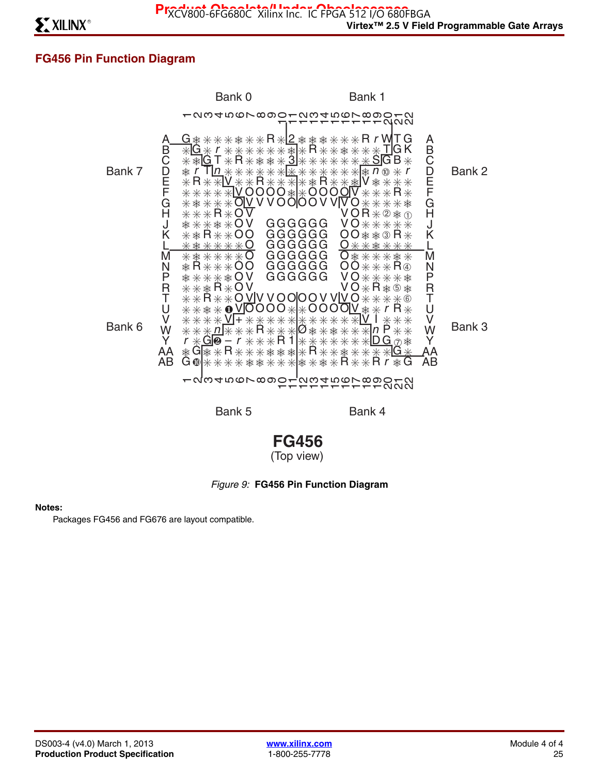## **FG456 Pin Function Diagram**



**FG456** (Top view)

#### *Figure 9:* **FG456 Pin Function Diagram**

#### **Notes:**

Packages FG456 and FG676 are layout compatible.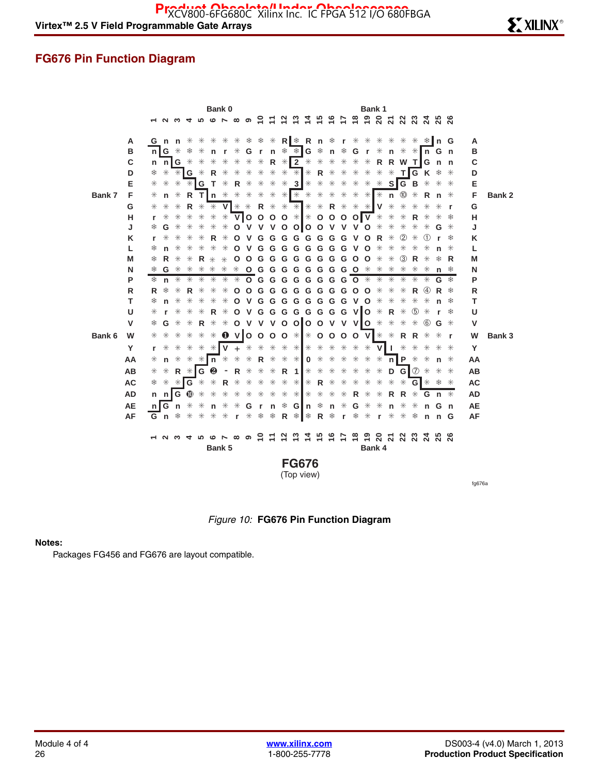### **FG676 Pin Function Diagram**



*Figure 10:* **FG676 Pin Function Diagram**

#### **Notes:**

Packages FG456 and FG676 are layout compatible.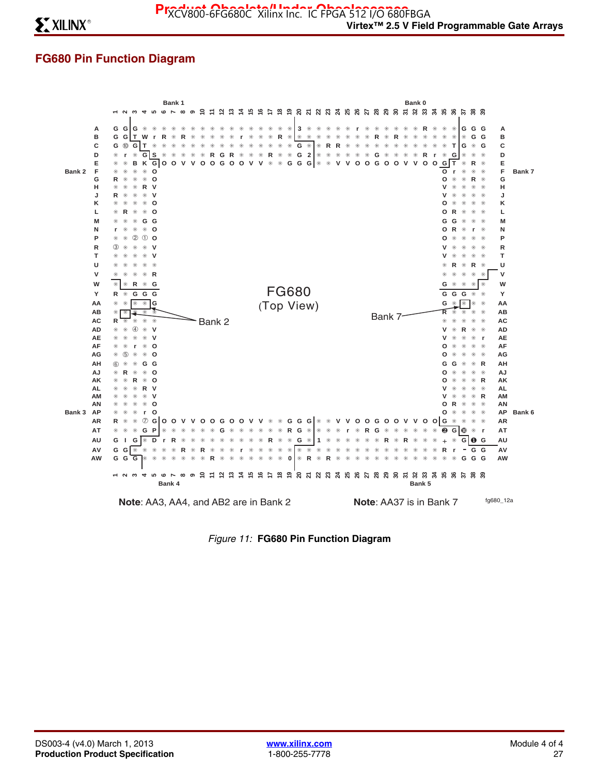## **FG680 Pin Function Diagram**



*Figure 11:* **FG680 Pin Function Diagram**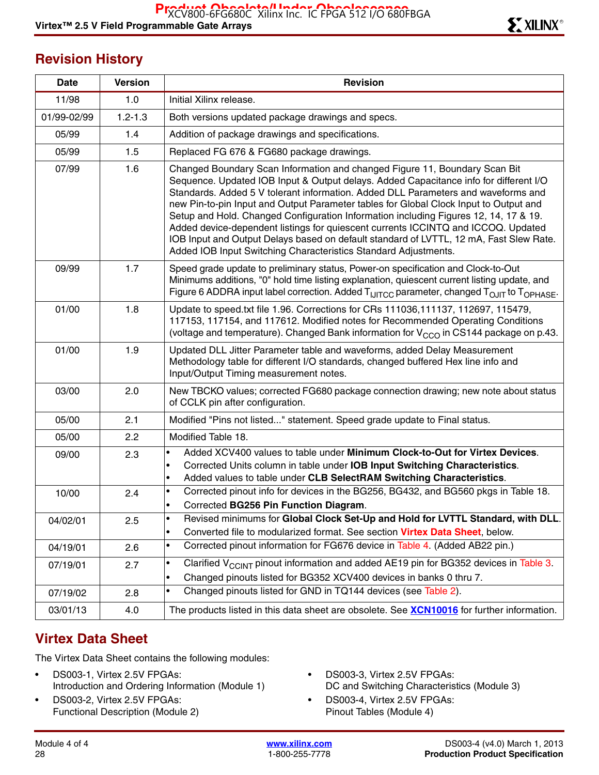## **Revision History**

| Date        | <b>Version</b> | <b>Revision</b>                                                                                                                                                                                                                                                                                                                                                                                                                                                                                                                                                                                                                                                                             |
|-------------|----------------|---------------------------------------------------------------------------------------------------------------------------------------------------------------------------------------------------------------------------------------------------------------------------------------------------------------------------------------------------------------------------------------------------------------------------------------------------------------------------------------------------------------------------------------------------------------------------------------------------------------------------------------------------------------------------------------------|
| 11/98       | 1.0            | Initial Xilinx release.                                                                                                                                                                                                                                                                                                                                                                                                                                                                                                                                                                                                                                                                     |
| 01/99-02/99 | $1.2 - 1.3$    | Both versions updated package drawings and specs.                                                                                                                                                                                                                                                                                                                                                                                                                                                                                                                                                                                                                                           |
| 05/99       | 1.4            | Addition of package drawings and specifications.                                                                                                                                                                                                                                                                                                                                                                                                                                                                                                                                                                                                                                            |
| 05/99       | 1.5            | Replaced FG 676 & FG680 package drawings.                                                                                                                                                                                                                                                                                                                                                                                                                                                                                                                                                                                                                                                   |
| 07/99       | 1.6            | Changed Boundary Scan Information and changed Figure 11, Boundary Scan Bit<br>Sequence. Updated IOB Input & Output delays. Added Capacitance info for different I/O<br>Standards. Added 5 V tolerant information. Added DLL Parameters and waveforms and<br>new Pin-to-pin Input and Output Parameter tables for Global Clock Input to Output and<br>Setup and Hold. Changed Configuration Information including Figures 12, 14, 17 & 19.<br>Added device-dependent listings for quiescent currents ICCINTQ and ICCOQ. Updated<br>IOB Input and Output Delays based on default standard of LVTTL, 12 mA, Fast Slew Rate.<br>Added IOB Input Switching Characteristics Standard Adjustments. |
| 09/99       | 1.7            | Speed grade update to preliminary status, Power-on specification and Clock-to-Out<br>Minimums additions, "0" hold time listing explanation, quiescent current listing update, and<br>Figure 6 ADDRA input label correction. Added T <sub>IJITCC</sub> parameter, changed T <sub>OJIT</sub> to T <sub>OPHASE</sub> .                                                                                                                                                                                                                                                                                                                                                                         |
| 01/00       | 1.8            | Update to speed.txt file 1.96. Corrections for CRs 111036,111137, 112697, 115479,<br>117153, 117154, and 117612. Modified notes for Recommended Operating Conditions<br>(voltage and temperature). Changed Bank information for $V_{CCO}$ in CS144 package on p.43.                                                                                                                                                                                                                                                                                                                                                                                                                         |
| 01/00       | 1.9            | Updated DLL Jitter Parameter table and waveforms, added Delay Measurement<br>Methodology table for different I/O standards, changed buffered Hex line info and<br>Input/Output Timing measurement notes.                                                                                                                                                                                                                                                                                                                                                                                                                                                                                    |
| 03/00       | 2.0            | New TBCKO values; corrected FG680 package connection drawing; new note about status<br>of CCLK pin after configuration.                                                                                                                                                                                                                                                                                                                                                                                                                                                                                                                                                                     |
| 05/00       | 2.1            | Modified "Pins not listed" statement. Speed grade update to Final status.                                                                                                                                                                                                                                                                                                                                                                                                                                                                                                                                                                                                                   |
| 05/00       | 2.2            | Modified Table 18.                                                                                                                                                                                                                                                                                                                                                                                                                                                                                                                                                                                                                                                                          |
| 09/00       | 2.3            | Added XCV400 values to table under Minimum Clock-to-Out for Virtex Devices.<br>$\bullet$<br>Corrected Units column in table under IOB Input Switching Characteristics.<br>$\bullet$<br>Added values to table under CLB SelectRAM Switching Characteristics.<br>$\bullet$                                                                                                                                                                                                                                                                                                                                                                                                                    |
| 10/00       | 2.4            | Corrected pinout info for devices in the BG256, BG432, and BG560 pkgs in Table 18.<br>$\bullet$<br>Corrected BG256 Pin Function Diagram.<br>$\bullet$                                                                                                                                                                                                                                                                                                                                                                                                                                                                                                                                       |
| 04/02/01    | 2.5            | Revised minimums for Global Clock Set-Up and Hold for LVTTL Standard, with DLL.<br>$\bullet$<br>Converted file to modularized format. See section Virtex Data Sheet, below.<br>٠                                                                                                                                                                                                                                                                                                                                                                                                                                                                                                            |
| 04/19/01    | 2.6            | Corrected pinout information for FG676 device in Table 4. (Added AB22 pin.)<br>$\bullet$                                                                                                                                                                                                                                                                                                                                                                                                                                                                                                                                                                                                    |
| 07/19/01    | 2.7            | Clarified $V_{CCINT}$ pinout information and added AE19 pin for BG352 devices in Table 3.<br>$\bullet$<br>Changed pinouts listed for BG352 XCV400 devices in banks 0 thru 7.<br>$\bullet$                                                                                                                                                                                                                                                                                                                                                                                                                                                                                                   |
| 07/19/02    | 2.8            | Changed pinouts listed for GND in TQ144 devices (see Table 2).<br>$\bullet$                                                                                                                                                                                                                                                                                                                                                                                                                                                                                                                                                                                                                 |
| 03/01/13    | 4.0            | The products listed in this data sheet are obsolete. See <b>XCN10016</b> for further information.                                                                                                                                                                                                                                                                                                                                                                                                                                                                                                                                                                                           |

## **Virtex Data Sheet**

The Virtex Data Sheet contains the following modules:

- DS003-1, Virtex 2.5V FPGAs: Introduction and Ordering Information (Module 1)
- DS003-2, Virtex 2.5V FPGAs: Functional Description (Module 2)
- DS003-3, Virtex 2.5V FPGAs: DC and Switching Characteristics (Module 3)
- DS003-4, Virtex 2.5V FPGAs: Pinout Tables (Module 4)